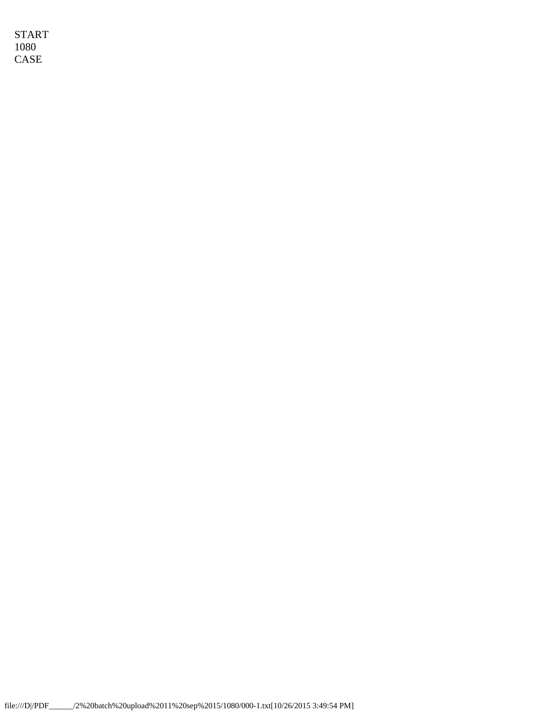START 1080 CASE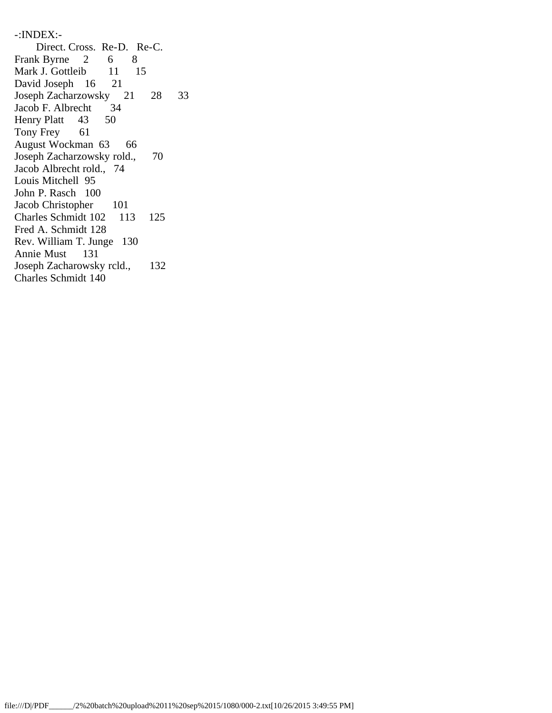-:INDEX:- Direct. Cross. Re-D. Re-C. Frank Byrne 2 6 8 Mark J. Gottleib 11 15 David Joseph 16 21 Joseph Zacharzowsky 21 28 33 Jacob F. Albrecht 34 Henry Platt 43 50 Tony Frey 61 August Wockman 63 66 Joseph Zacharzowsky rold., 70 Jacob Albrecht rold., 74 Louis Mitchell 95 John P. Rasch 100 Jacob Christopher 101 Charles Schmidt 102 113 125 Fred A. Schmidt 128 Rev. William T. Junge 130 Annie Must 131 Joseph Zacharowsky rcld., 132 Charles Schmidt 140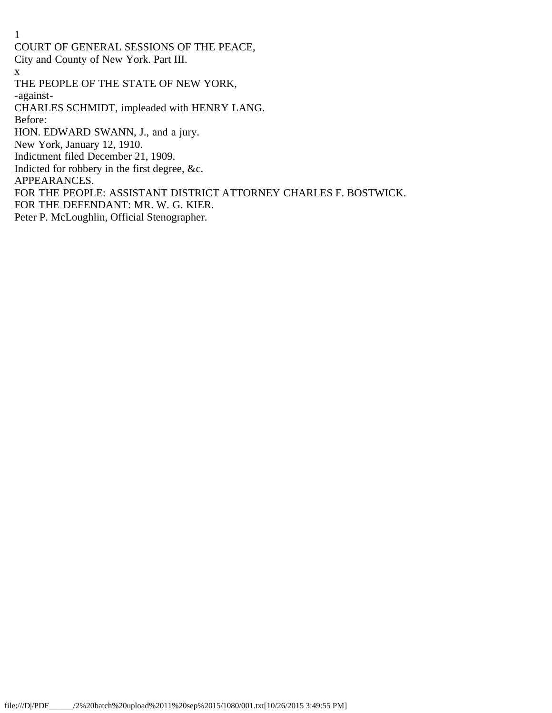COURT OF GENERAL SESSIONS OF THE PEACE,

City and County of New York. Part III.

x

THE PEOPLE OF THE STATE OF NEW YORK,

-against-

CHARLES SCHMIDT, impleaded with HENRY LANG.

Before:

HON. EDWARD SWANN, J., and a jury.

New York, January 12, 1910.

Indictment filed December 21, 1909.

Indicted for robbery in the first degree, &c.

APPEARANCES.

FOR THE PEOPLE: ASSISTANT DISTRICT ATTORNEY CHARLES F. BOSTWICK.

FOR THE DEFENDANT: MR. W. G. KIER.

Peter P. McLoughlin, Official Stenographer.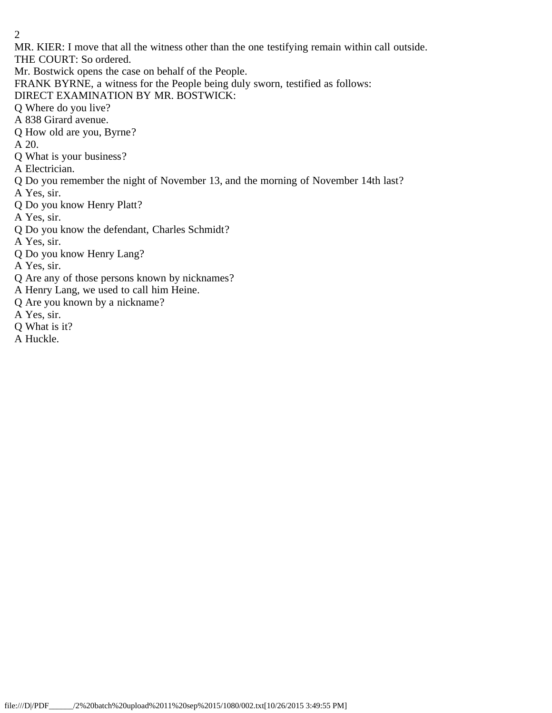MR. KIER: I move that all the witness other than the one testifying remain within call outside.

THE COURT: So ordered.

Mr. Bostwick opens the case on behalf of the People.

FRANK BYRNE, a witness for the People being duly sworn, testified as follows:

DIRECT EXAMINATION BY MR. BOSTWICK:

Q Where do you live?

A 838 Girard avenue.

Q How old are you, Byrne?

A 20.

Q What is your business?

A Electrician.

Q Do you remember the night of November 13, and the morning of November 14th last?

A Yes, sir.

Q Do you know Henry Platt?

A Yes, sir.

Q Do you know the defendant, Charles Schmidt?

A Yes, sir.

Q Do you know Henry Lang?

A Yes, sir.

Q Are any of those persons known by nicknames?

A Henry Lang, we used to call him Heine.

Q Are you known by a nickname?

A Yes, sir.

Q What is it?

A Huckle.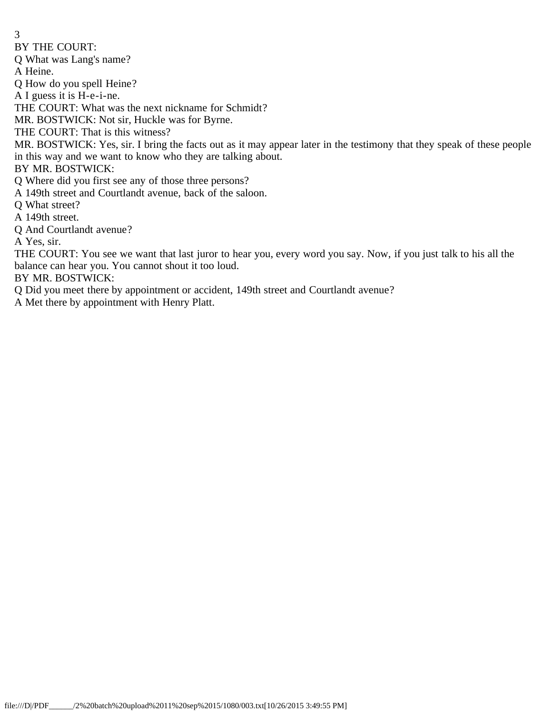BY THE COURT:

Q What was Lang's name?

A Heine.

Q How do you spell Heine?

A I guess it is H-e-i-ne.

THE COURT: What was the next nickname for Schmidt?

MR. BOSTWICK: Not sir, Huckle was for Byrne.

THE COURT: That is this witness?

MR. BOSTWICK: Yes, sir. I bring the facts out as it may appear later in the testimony that they speak of these people in this way and we want to know who they are talking about.

BY MR. BOSTWICK:

Q Where did you first see any of those three persons?

A 149th street and Courtlandt avenue, back of the saloon.

Q What street?

A 149th street.

Q And Courtlandt avenue?

A Yes, sir.

THE COURT: You see we want that last juror to hear you, every word you say. Now, if you just talk to his all the balance can hear you. You cannot shout it too loud.

BY MR. BOSTWICK:

Q Did you meet there by appointment or accident, 149th street and Courtlandt avenue?

A Met there by appointment with Henry Platt.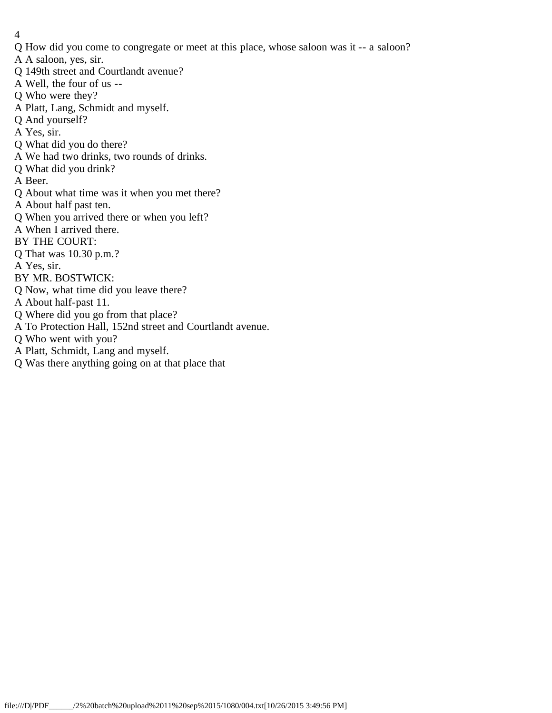- Q How did you come to congregate or meet at this place, whose saloon was it -- a saloon?
- A A saloon, yes, sir.
- Q 149th street and Courtlandt avenue?
- A Well, the four of us --
- Q Who were they?
- A Platt, Lang, Schmidt and myself.
- Q And yourself?
- A Yes, sir.
- Q What did you do there?
- A We had two drinks, two rounds of drinks.
- Q What did you drink?
- A Beer.
- Q About what time was it when you met there?
- A About half past ten.
- Q When you arrived there or when you left?
- A When I arrived there.
- BY THE COURT:
- Q That was 10.30 p.m.?
- A Yes, sir.
- BY MR. BOSTWICK:
- Q Now, what time did you leave there?
- A About half-past 11.
- Q Where did you go from that place?
- A To Protection Hall, 152nd street and Courtlandt avenue.
- Q Who went with you?
- A Platt, Schmidt, Lang and myself.
- Q Was there anything going on at that place that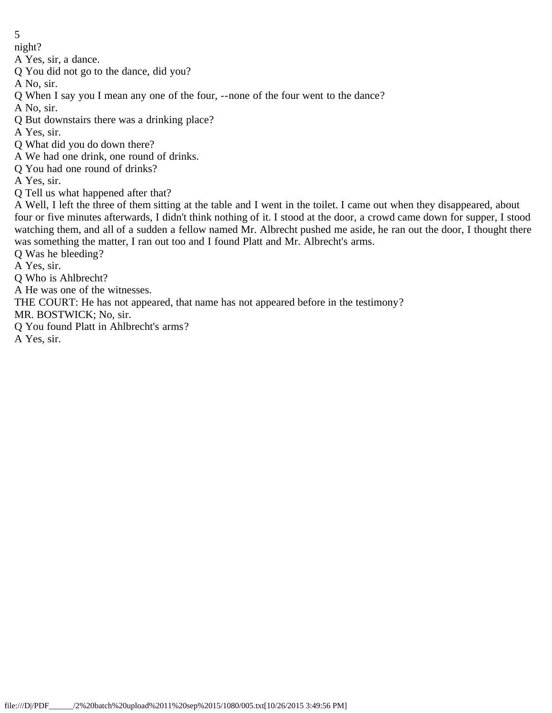night?

A Yes, sir, a dance.

Q You did not go to the dance, did you?

A No, sir.

Q When I say you I mean any one of the four, --none of the four went to the dance?

A No, sir.

Q But downstairs there was a drinking place?

A Yes, sir.

Q What did you do down there?

A We had one drink, one round of drinks.

Q You had one round of drinks?

A Yes, sir.

Q Tell us what happened after that?

A Well, I left the three of them sitting at the table and I went in the toilet. I came out when they disappeared, about four or five minutes afterwards, I didn't think nothing of it. I stood at the door, a crowd came down for supper, I stood watching them, and all of a sudden a fellow named Mr. Albrecht pushed me aside, he ran out the door, I thought there was something the matter, I ran out too and I found Platt and Mr. Albrecht's arms.

Q Was he bleeding?

A Yes, sir.

Q Who is Ahlbrecht?

A He was one of the witnesses.

THE COURT: He has not appeared, that name has not appeared before in the testimony?

MR. BOSTWICK; No, sir.

Q You found Platt in Ahlbrecht's arms?

A Yes, sir.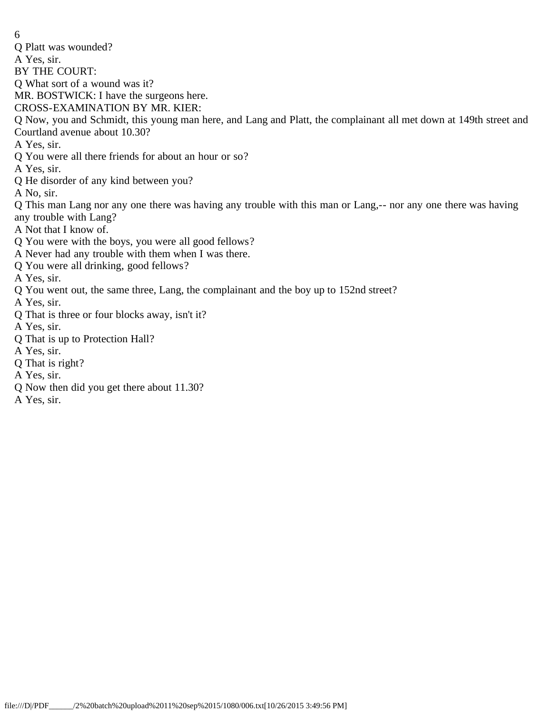6 Q Platt was wounded? A Yes, sir. BY THE COURT: Q What sort of a wound was it? MR. BOSTWICK: I have the surgeons here. CROSS-EXAMINATION BY MR. KIER: Q Now, you and Schmidt, this young man here, and Lang and Platt, the complainant all met down at 149th street and Courtland avenue about 10.30? A Yes, sir. Q You were all there friends for about an hour or so? A Yes, sir. Q He disorder of any kind between you? A No, sir. Q This man Lang nor any one there was having any trouble with this man or Lang,-- nor any one there was having any trouble with Lang? A Not that I know of. Q You were with the boys, you were all good fellows? A Never had any trouble with them when I was there. Q You were all drinking, good fellows? A Yes, sir. Q You went out, the same three, Lang, the complainant and the boy up to 152nd street? A Yes, sir. Q That is three or four blocks away, isn't it? A Yes, sir. Q That is up to Protection Hall? A Yes, sir. Q That is right? A Yes, sir.

- Q Now then did you get there about 11.30?
- A Yes, sir.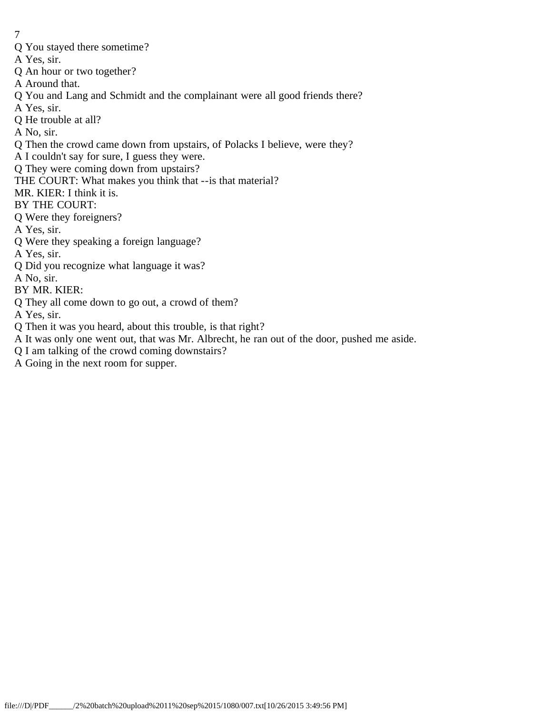- 7
- Q You stayed there sometime?
- A Yes, sir.
- Q An hour or two together?
- A Around that.
- Q You and Lang and Schmidt and the complainant were all good friends there?
- A Yes, sir.
- Q He trouble at all?
- A No, sir.
- Q Then the crowd came down from upstairs, of Polacks I believe, were they?
- A I couldn't say for sure, I guess they were.
- Q They were coming down from upstairs?
- THE COURT: What makes you think that --is that material?
- MR. KIER: I think it is.
- BY THE COURT:
- Q Were they foreigners?
- A Yes, sir.
- Q Were they speaking a foreign language?
- A Yes, sir.
- Q Did you recognize what language it was?
- A No, sir.
- BY MR. KIER:
- Q They all come down to go out, a crowd of them?
- A Yes, sir.
- Q Then it was you heard, about this trouble, is that right?
- A It was only one went out, that was Mr. Albrecht, he ran out of the door, pushed me aside.
- Q I am talking of the crowd coming downstairs?
- A Going in the next room for supper.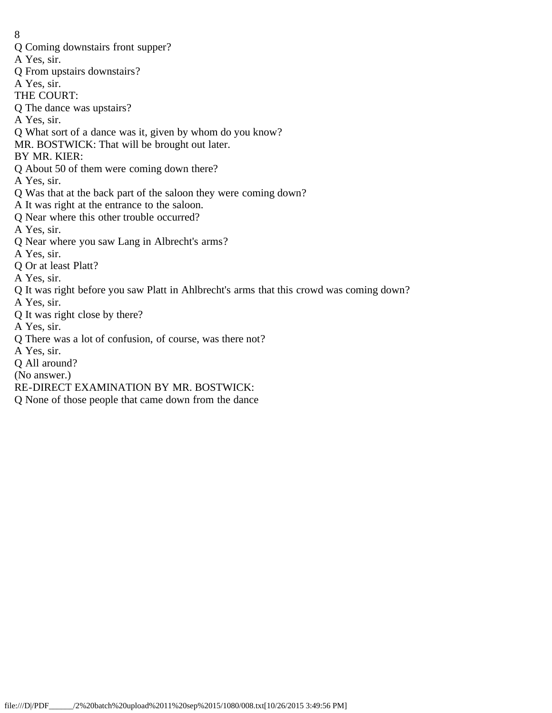- 8
- Q Coming downstairs front supper?
- A Yes, sir.
- Q From upstairs downstairs?
- A Yes, sir.
- THE COURT:
- Q The dance was upstairs?
- A Yes, sir.
- Q What sort of a dance was it, given by whom do you know?
- MR. BOSTWICK: That will be brought out later.
- BY MR. KIER:
- Q About 50 of them were coming down there?
- A Yes, sir.
- Q Was that at the back part of the saloon they were coming down?
- A It was right at the entrance to the saloon.
- Q Near where this other trouble occurred?
- A Yes, sir.
- Q Near where you saw Lang in Albrecht's arms?
- A Yes, sir.
- Q Or at least Platt?
- A Yes, sir.
- Q It was right before you saw Platt in Ahlbrecht's arms that this crowd was coming down?
- A Yes, sir.
- Q It was right close by there?
- A Yes, sir.
- Q There was a lot of confusion, of course, was there not?
- A Yes, sir.
- Q All around?
- (No answer.)
- RE-DIRECT EXAMINATION BY MR. BOSTWICK:
- Q None of those people that came down from the dance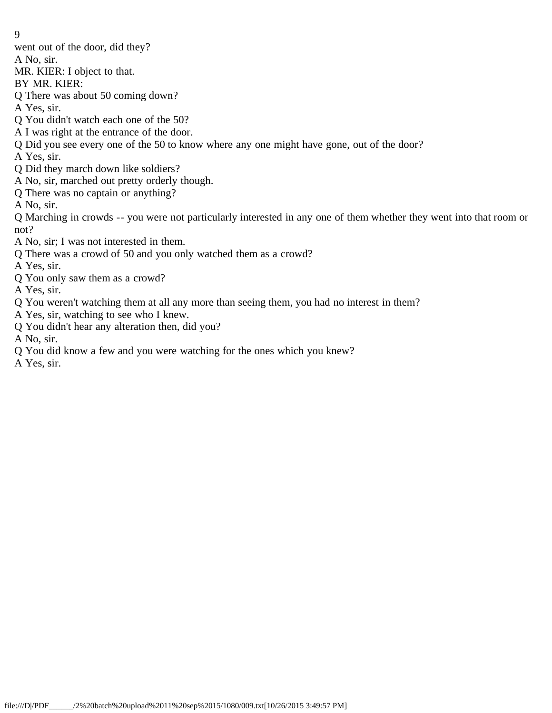- 9
- went out of the door, did they?
- A No, sir.
- MR. KIER: I object to that.
- BY MR. KIER:
- Q There was about 50 coming down?
- A Yes, sir.
- Q You didn't watch each one of the 50?
- A I was right at the entrance of the door.
- Q Did you see every one of the 50 to know where any one might have gone, out of the door?
- A Yes, sir.
- Q Did they march down like soldiers?
- A No, sir, marched out pretty orderly though.
- Q There was no captain or anything?
- A No, sir.

Q Marching in crowds -- you were not particularly interested in any one of them whether they went into that room or not?

- A No, sir; I was not interested in them.
- Q There was a crowd of 50 and you only watched them as a crowd?
- A Yes, sir.
- Q You only saw them as a crowd?
- A Yes, sir.
- Q You weren't watching them at all any more than seeing them, you had no interest in them?
- A Yes, sir, watching to see who I knew.
- Q You didn't hear any alteration then, did you?
- A No, sir.
- Q You did know a few and you were watching for the ones which you knew?
- A Yes, sir.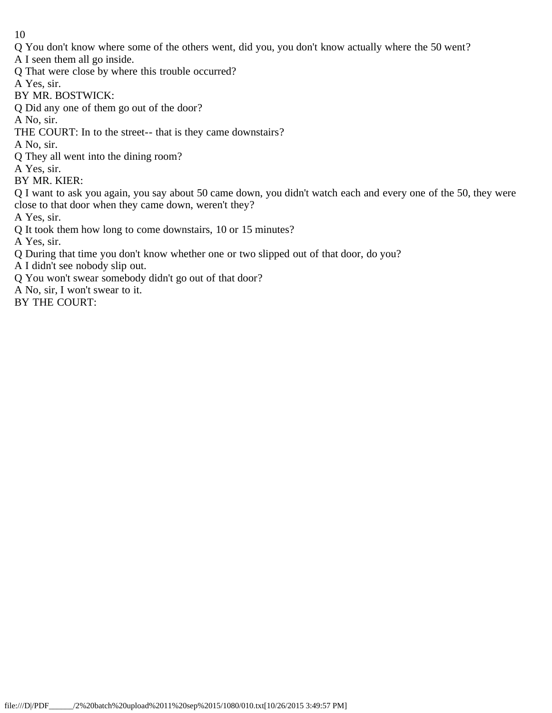- Q You don't know where some of the others went, did you, you don't know actually where the 50 went?
- A I seen them all go inside.
- Q That were close by where this trouble occurred?
- A Yes, sir.
- BY MR. BOSTWICK:
- Q Did any one of them go out of the door?
- A No, sir.
- THE COURT: In to the street-- that is they came downstairs?
- A No, sir.
- Q They all went into the dining room?
- A Yes, sir.
- BY MR. KIER:
- Q I want to ask you again, you say about 50 came down, you didn't watch each and every one of the 50, they were close to that door when they came down, weren't they?
- A Yes, sir.
- Q It took them how long to come downstairs, 10 or 15 minutes?
- A Yes, sir.
- Q During that time you don't know whether one or two slipped out of that door, do you?
- A I didn't see nobody slip out.
- Q You won't swear somebody didn't go out of that door?
- A No, sir, I won't swear to it.
- BY THE COURT: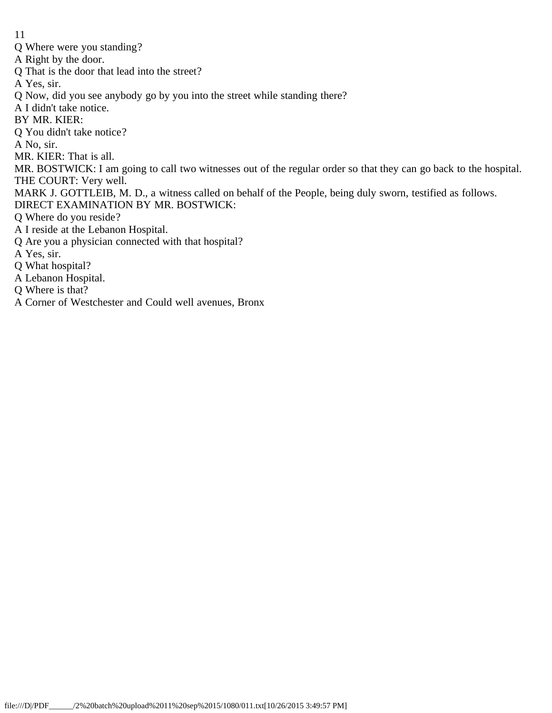- Q Where were you standing?
- A Right by the door.
- Q That is the door that lead into the street?
- A Yes, sir.
- Q Now, did you see anybody go by you into the street while standing there?
- A I didn't take notice.
- BY MR. KIER:
- Q You didn't take notice?
- A No, sir.
- MR. KIER: That is all.
- MR. BOSTWICK: I am going to call two witnesses out of the regular order so that they can go back to the hospital. THE COURT: Very well.
- MARK J. GOTTLEIB, M. D., a witness called on behalf of the People, being duly sworn, testified as follows.
- DIRECT EXAMINATION BY MR. BOSTWICK:
- Q Where do you reside?
- A I reside at the Lebanon Hospital.
- Q Are you a physician connected with that hospital?
- A Yes, sir.
- Q What hospital?
- A Lebanon Hospital.
- Q Where is that?
- A Corner of Westchester and Could well avenues, Bronx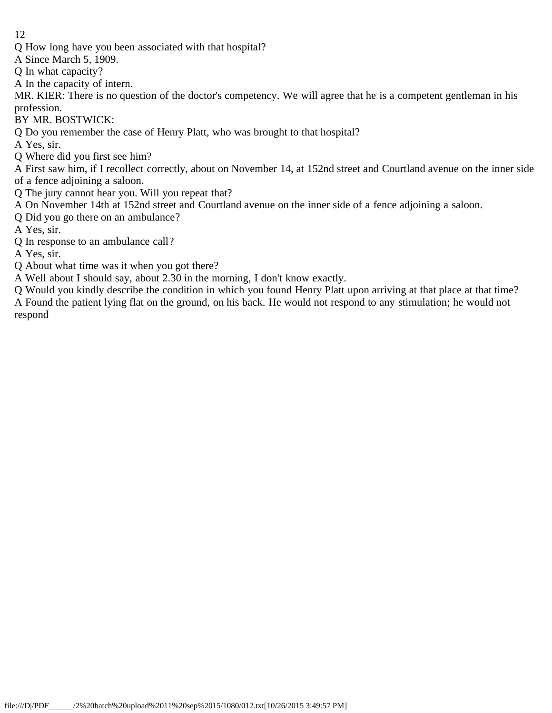Q How long have you been associated with that hospital?

A Since March 5, 1909.

Q In what capacity?

A In the capacity of intern.

MR. KIER: There is no question of the doctor's competency. We will agree that he is a competent gentleman in his profession.

BY MR. BOSTWICK:

Q Do you remember the case of Henry Platt, who was brought to that hospital?

A Yes, sir.

Q Where did you first see him?

A First saw him, if I recollect correctly, about on November 14, at 152nd street and Courtland avenue on the inner side of a fence adjoining a saloon.

Q The jury cannot hear you. Will you repeat that?

A On November 14th at 152nd street and Courtland avenue on the inner side of a fence adjoining a saloon.

Q Did you go there on an ambulance?

A Yes, sir.

Q In response to an ambulance call?

A Yes, sir.

Q About what time was it when you got there?

A Well about I should say, about 2.30 in the morning, I don't know exactly.

Q Would you kindly describe the condition in which you found Henry Platt upon arriving at that place at that time? A Found the patient lying flat on the ground, on his back. He would not respond to any stimulation; he would not respond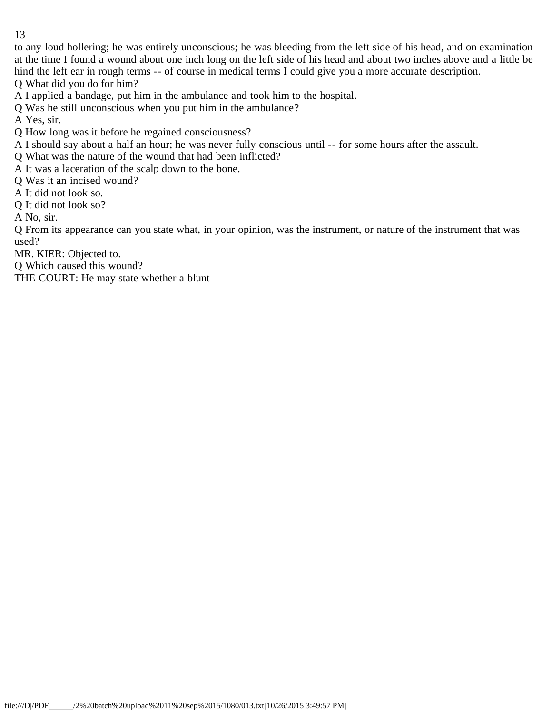to any loud hollering; he was entirely unconscious; he was bleeding from the left side of his head, and on examination at the time I found a wound about one inch long on the left side of his head and about two inches above and a little be hind the left ear in rough terms -- of course in medical terms I could give you a more accurate description. Q What did you do for him?

A I applied a bandage, put him in the ambulance and took him to the hospital.

Q Was he still unconscious when you put him in the ambulance?

A Yes, sir.

Q How long was it before he regained consciousness?

A I should say about a half an hour; he was never fully conscious until -- for some hours after the assault.

Q What was the nature of the wound that had been inflicted?

A It was a laceration of the scalp down to the bone.

Q Was it an incised wound?

A It did not look so.

Q It did not look so?

A No, sir.

Q From its appearance can you state what, in your opinion, was the instrument, or nature of the instrument that was used?

MR. KIER: Objected to.

Q Which caused this wound?

THE COURT: He may state whether a blunt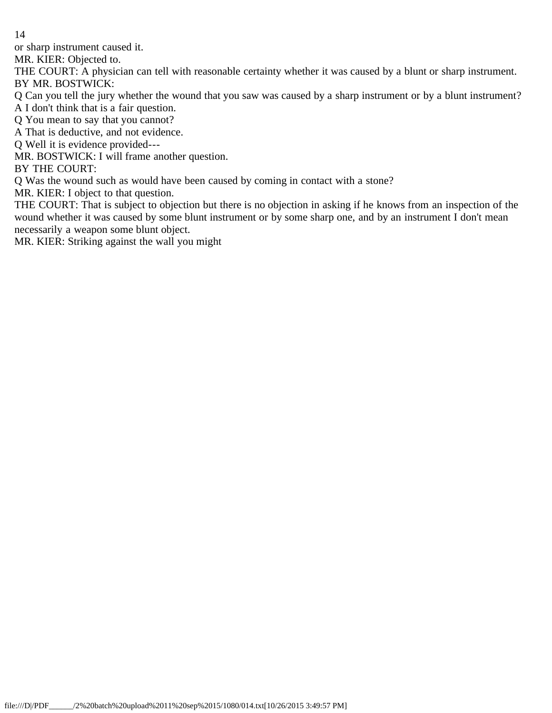or sharp instrument caused it.

MR. KIER: Objected to.

THE COURT: A physician can tell with reasonable certainty whether it was caused by a blunt or sharp instrument. BY MR. BOSTWICK:

Q Can you tell the jury whether the wound that you saw was caused by a sharp instrument or by a blunt instrument?

A I don't think that is a fair question.

Q You mean to say that you cannot?

A That is deductive, and not evidence.

Q Well it is evidence provided---

MR. BOSTWICK: I will frame another question.

BY THE COURT:

Q Was the wound such as would have been caused by coming in contact with a stone?

MR. KIER: I object to that question.

THE COURT: That is subject to objection but there is no objection in asking if he knows from an inspection of the wound whether it was caused by some blunt instrument or by some sharp one, and by an instrument I don't mean necessarily a weapon some blunt object.

MR. KIER: Striking against the wall you might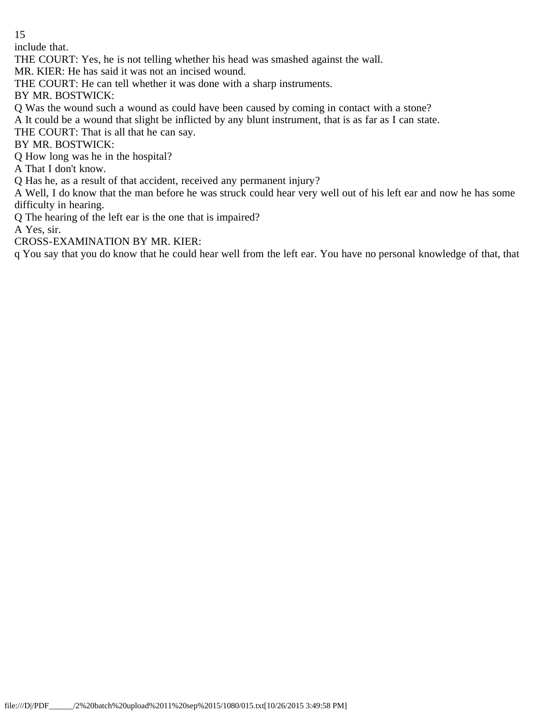include that.

THE COURT: Yes, he is not telling whether his head was smashed against the wall.

MR. KIER: He has said it was not an incised wound.

THE COURT: He can tell whether it was done with a sharp instruments.

BY MR. BOSTWICK:

Q Was the wound such a wound as could have been caused by coming in contact with a stone?

A It could be a wound that slight be inflicted by any blunt instrument, that is as far as I can state.

THE COURT: That is all that he can say.

BY MR. BOSTWICK:

Q How long was he in the hospital?

A That I don't know.

Q Has he, as a result of that accident, received any permanent injury?

A Well, I do know that the man before he was struck could hear very well out of his left ear and now he has some difficulty in hearing.

Q The hearing of the left ear is the one that is impaired?

A Yes, sir.

CROSS-EXAMINATION BY MR. KIER:

q You say that you do know that he could hear well from the left ear. You have no personal knowledge of that, that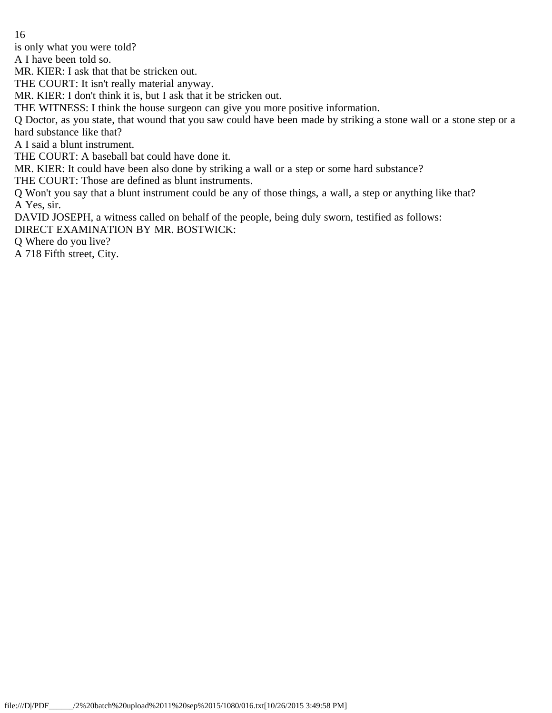is only what you were told?

A I have been told so.

MR. KIER: I ask that that be stricken out.

THE COURT: It isn't really material anyway.

MR. KIER: I don't think it is, but I ask that it be stricken out.

THE WITNESS: I think the house surgeon can give you more positive information.

Q Doctor, as you state, that wound that you saw could have been made by striking a stone wall or a stone step or a hard substance like that?

A I said a blunt instrument.

THE COURT: A baseball bat could have done it.

MR. KIER: It could have been also done by striking a wall or a step or some hard substance?

THE COURT: Those are defined as blunt instruments.

Q Won't you say that a blunt instrument could be any of those things, a wall, a step or anything like that? A Yes, sir.

DAVID JOSEPH, a witness called on behalf of the people, being duly sworn, testified as follows:

DIRECT EXAMINATION BY MR. BOSTWICK:

Q Where do you live?

A 718 Fifth street, City.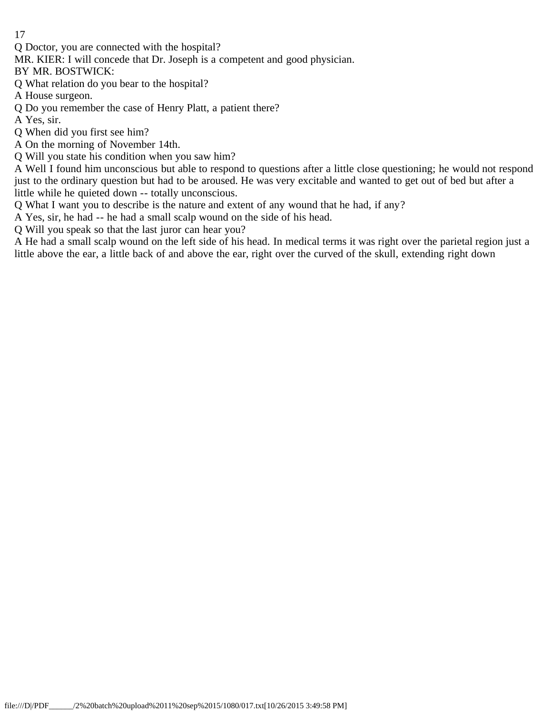Q Doctor, you are connected with the hospital?

MR. KIER: I will concede that Dr. Joseph is a competent and good physician.

BY MR. BOSTWICK:

Q What relation do you bear to the hospital?

A House surgeon.

Q Do you remember the case of Henry Platt, a patient there?

A Yes, sir.

Q When did you first see him?

A On the morning of November 14th.

Q Will you state his condition when you saw him?

A Well I found him unconscious but able to respond to questions after a little close questioning; he would not respond just to the ordinary question but had to be aroused. He was very excitable and wanted to get out of bed but after a little while he quieted down -- totally unconscious.

Q What I want you to describe is the nature and extent of any wound that he had, if any?

A Yes, sir, he had -- he had a small scalp wound on the side of his head.

Q Will you speak so that the last juror can hear you?

A He had a small scalp wound on the left side of his head. In medical terms it was right over the parietal region just a little above the ear, a little back of and above the ear, right over the curved of the skull, extending right down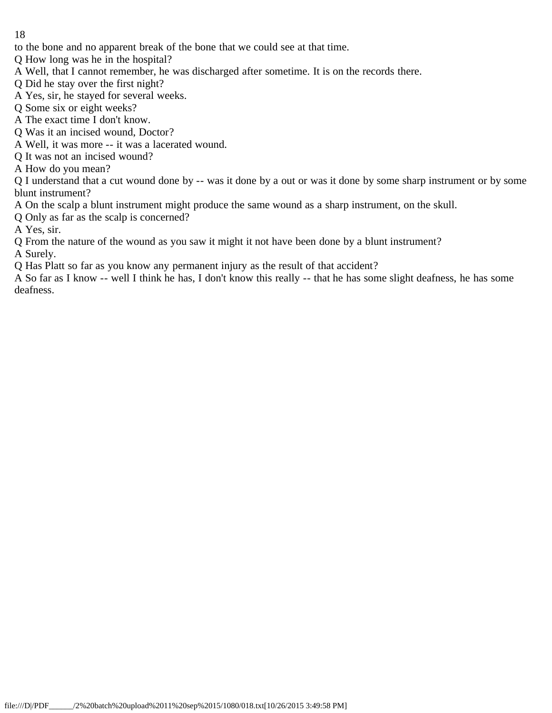to the bone and no apparent break of the bone that we could see at that time.

Q How long was he in the hospital?

- A Well, that I cannot remember, he was discharged after sometime. It is on the records there.
- Q Did he stay over the first night?
- A Yes, sir, he stayed for several weeks.
- Q Some six or eight weeks?
- A The exact time I don't know.
- Q Was it an incised wound, Doctor?
- A Well, it was more -- it was a lacerated wound.
- Q It was not an incised wound?
- A How do you mean?

Q I understand that a cut wound done by -- was it done by a out or was it done by some sharp instrument or by some blunt instrument?

A On the scalp a blunt instrument might produce the same wound as a sharp instrument, on the skull.

- Q Only as far as the scalp is concerned?
- A Yes, sir.
- Q From the nature of the wound as you saw it might it not have been done by a blunt instrument?

A Surely.

Q Has Platt so far as you know any permanent injury as the result of that accident?

A So far as I know -- well I think he has, I don't know this really -- that he has some slight deafness, he has some deafness.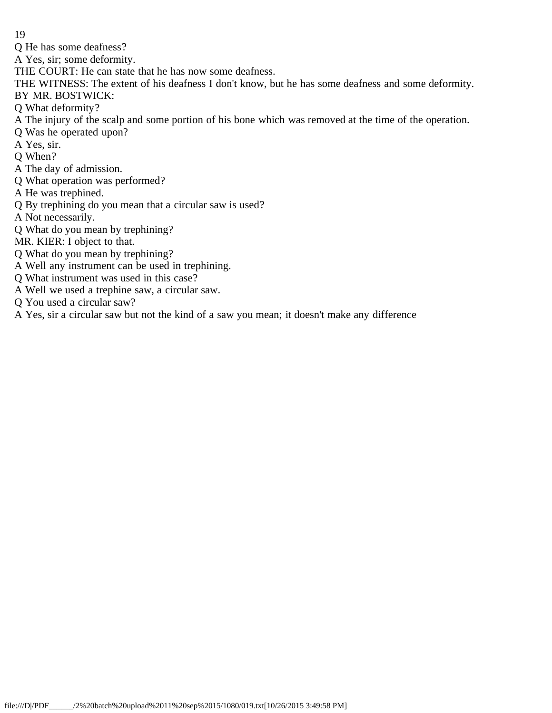Q He has some deafness?

A Yes, sir; some deformity.

THE COURT: He can state that he has now some deafness.

THE WITNESS: The extent of his deafness I don't know, but he has some deafness and some deformity.

BY MR. BOSTWICK:

- Q What deformity?
- A The injury of the scalp and some portion of his bone which was removed at the time of the operation.
- Q Was he operated upon?
- A Yes, sir.
- Q When?
- A The day of admission.
- Q What operation was performed?
- A He was trephined.
- Q By trephining do you mean that a circular saw is used?

A Not necessarily.

Q What do you mean by trephining?

MR. KIER: I object to that.

- Q What do you mean by trephining?
- A Well any instrument can be used in trephining.
- Q What instrument was used in this case?
- A Well we used a trephine saw, a circular saw.
- Q You used a circular saw?

A Yes, sir a circular saw but not the kind of a saw you mean; it doesn't make any difference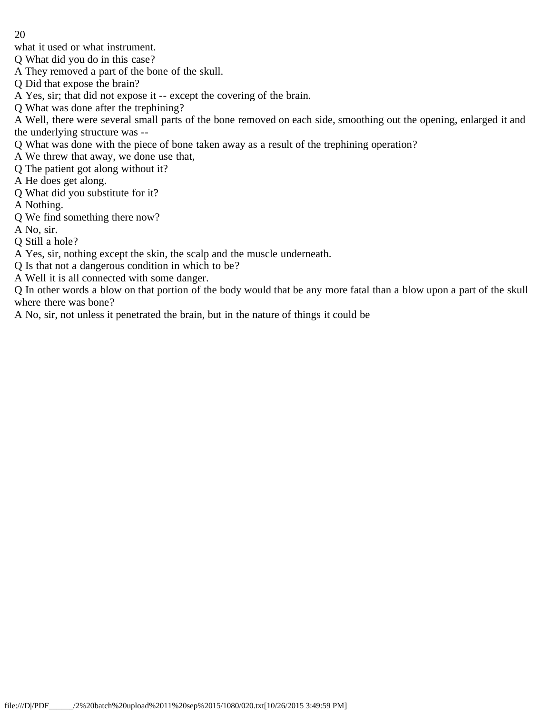what it used or what instrument.

Q What did you do in this case?

- A They removed a part of the bone of the skull.
- Q Did that expose the brain?

A Yes, sir; that did not expose it -- except the covering of the brain.

Q What was done after the trephining?

A Well, there were several small parts of the bone removed on each side, smoothing out the opening, enlarged it and the underlying structure was --

- Q What was done with the piece of bone taken away as a result of the trephining operation?
- A We threw that away, we done use that,
- Q The patient got along without it?

A He does get along.

Q What did you substitute for it?

A Nothing.

Q We find something there now?

A No, sir.

Q Still a hole?

A Yes, sir, nothing except the skin, the scalp and the muscle underneath.

- Q Is that not a dangerous condition in which to be?
- A Well it is all connected with some danger.

Q In other words a blow on that portion of the body would that be any more fatal than a blow upon a part of the skull where there was bone?

A No, sir, not unless it penetrated the brain, but in the nature of things it could be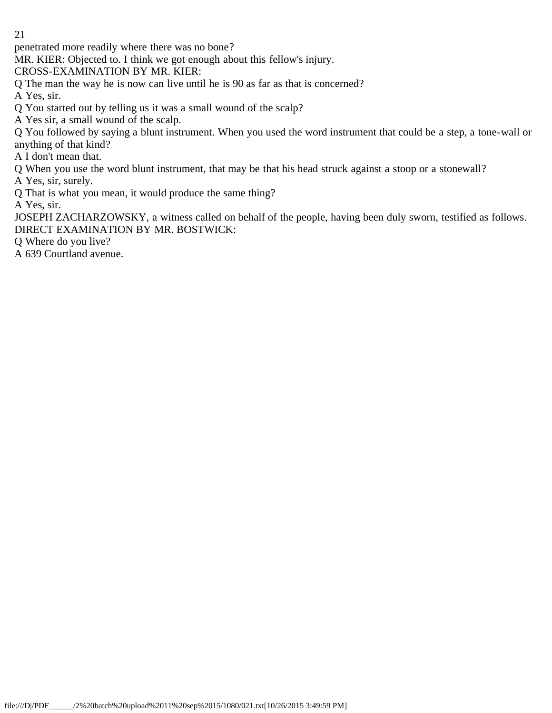penetrated more readily where there was no bone?

MR. KIER: Objected to. I think we got enough about this fellow's injury.

CROSS-EXAMINATION BY MR. KIER:

Q The man the way he is now can live until he is 90 as far as that is concerned?

A Yes, sir.

- Q You started out by telling us it was a small wound of the scalp?
- A Yes sir, a small wound of the scalp.

Q You followed by saying a blunt instrument. When you used the word instrument that could be a step, a tone-wall or anything of that kind?

A I don't mean that.

Q When you use the word blunt instrument, that may be that his head struck against a stoop or a stonewall?

A Yes, sir, surely.

Q That is what you mean, it would produce the same thing?

A Yes, sir.

JOSEPH ZACHARZOWSKY, a witness called on behalf of the people, having been duly sworn, testified as follows. DIRECT EXAMINATION BY MR. BOSTWICK:

Q Where do you live?

A 639 Courtland avenue.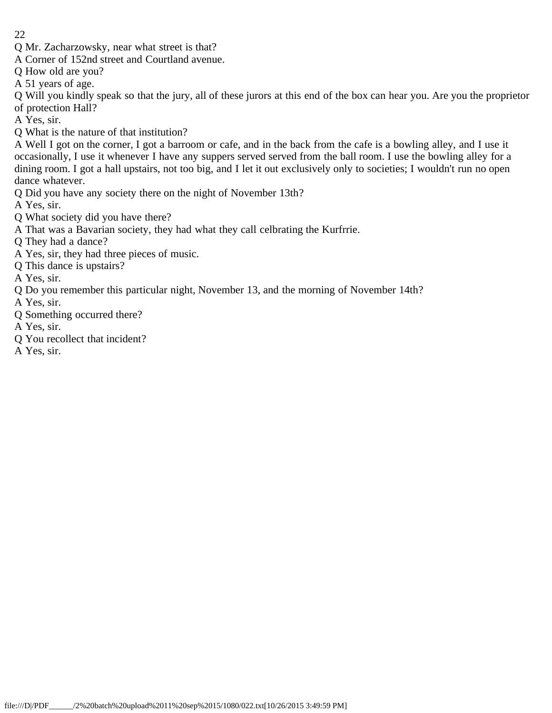- 22
- Q Mr. Zacharzowsky, near what street is that?
- A Corner of 152nd street and Courtland avenue.
- Q How old are you?
- A 51 years of age.

Q Will you kindly speak so that the jury, all of these jurors at this end of the box can hear you. Are you the proprietor of protection Hall?

A Yes, sir.

Q What is the nature of that institution?

A Well I got on the corner, I got a barroom or cafe, and in the back from the cafe is a bowling alley, and I use it occasionally, I use it whenever I have any suppers served served from the ball room. I use the bowling alley for a dining room. I got a hall upstairs, not too big, and I let it out exclusively only to societies; I wouldn't run no open dance whatever.

Q Did you have any society there on the night of November 13th?

A Yes, sir.

- Q What society did you have there?
- A That was a Bavarian society, they had what they call celbrating the Kurfrrie.
- Q They had a dance?
- A Yes, sir, they had three pieces of music.
- Q This dance is upstairs?

A Yes, sir.

- Q Do you remember this particular night, November 13, and the morning of November 14th?
- A Yes, sir.
- Q Something occurred there?
- A Yes, sir.
- Q You recollect that incident?
- A Yes, sir.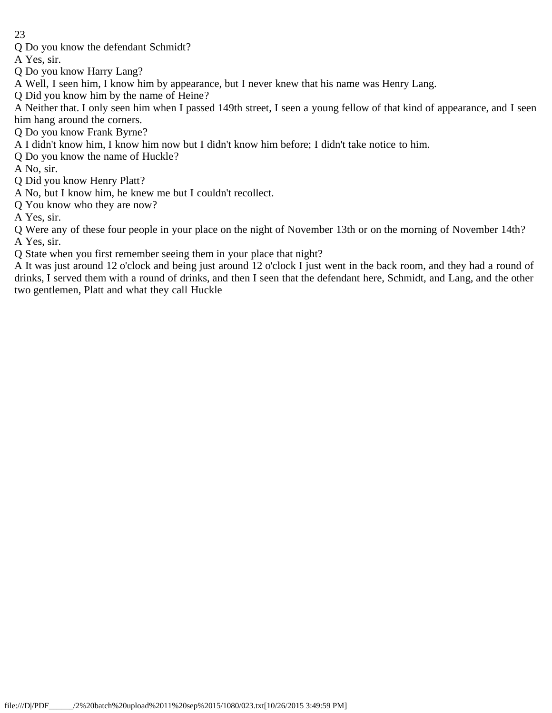Q Do you know the defendant Schmidt?

A Yes, sir.

Q Do you know Harry Lang?

A Well, I seen him, I know him by appearance, but I never knew that his name was Henry Lang.

Q Did you know him by the name of Heine?

A Neither that. I only seen him when I passed 149th street, I seen a young fellow of that kind of appearance, and I seen him hang around the corners.

Q Do you know Frank Byrne?

A I didn't know him, I know him now but I didn't know him before; I didn't take notice to him.

Q Do you know the name of Huckle?

A No, sir.

Q Did you know Henry Platt?

A No, but I know him, he knew me but I couldn't recollect.

Q You know who they are now?

A Yes, sir.

Q Were any of these four people in your place on the night of November 13th or on the morning of November 14th? A Yes, sir.

Q State when you first remember seeing them in your place that night?

A It was just around 12 o'clock and being just around 12 o'clock I just went in the back room, and they had a round of drinks, I served them with a round of drinks, and then I seen that the defendant here, Schmidt, and Lang, and the other two gentlemen, Platt and what they call Huckle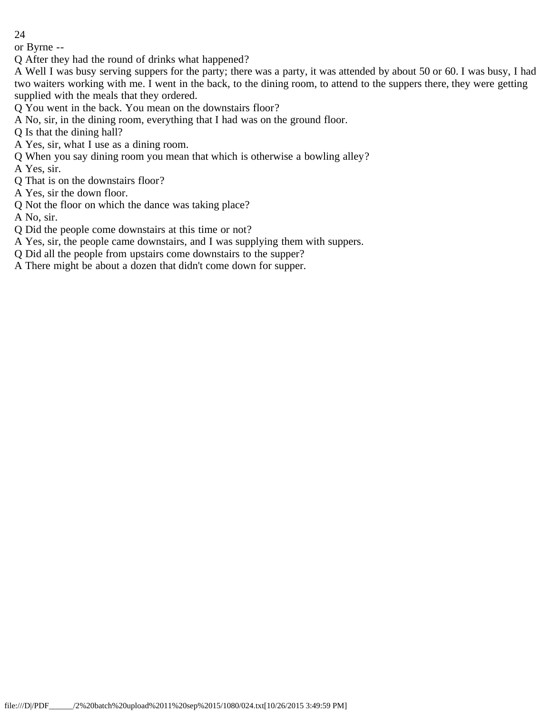or Byrne --

Q After they had the round of drinks what happened?

A Well I was busy serving suppers for the party; there was a party, it was attended by about 50 or 60. I was busy, I had two waiters working with me. I went in the back, to the dining room, to attend to the suppers there, they were getting supplied with the meals that they ordered.

Q You went in the back. You mean on the downstairs floor?

A No, sir, in the dining room, everything that I had was on the ground floor.

Q Is that the dining hall?

- A Yes, sir, what I use as a dining room.
- Q When you say dining room you mean that which is otherwise a bowling alley?
- A Yes, sir.
- Q That is on the downstairs floor?
- A Yes, sir the down floor.
- Q Not the floor on which the dance was taking place?

A No, sir.

Q Did the people come downstairs at this time or not?

A Yes, sir, the people came downstairs, and I was supplying them with suppers.

- Q Did all the people from upstairs come downstairs to the supper?
- A There might be about a dozen that didn't come down for supper.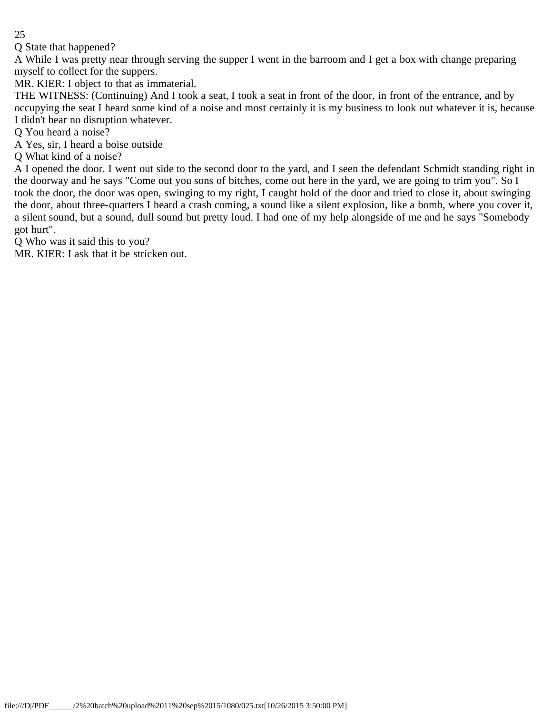Q State that happened?

A While I was pretty near through serving the supper I went in the barroom and I get a box with change preparing myself to collect for the suppers.

MR. KIER: I object to that as immaterial.

THE WITNESS: (Continuing) And I took a seat, I took a seat in front of the door, in front of the entrance, and by occupying the seat I heard some kind of a noise and most certainly it is my business to look out whatever it is, because I didn't hear no disruption whatever.

Q You heard a noise?

A Yes, sir, I heard a boise outside

Q What kind of a noise?

A I opened the door. I went out side to the second door to the yard, and I seen the defendant Schmidt standing right in the doorway and he says "Come out you sons of bitches, come out here in the yard, we are going to trim you". So I took the door, the door was open, swinging to my right, I caught hold of the door and tried to close it, about swinging the door, about three-quarters I heard a crash coming, a sound like a silent explosion, like a bomb, where you cover it, a silent sound, but a sound, dull sound but pretty loud. I had one of my help alongside of me and he says "Somebody got hurt".

Q Who was it said this to you?

MR. KIER: I ask that it be stricken out.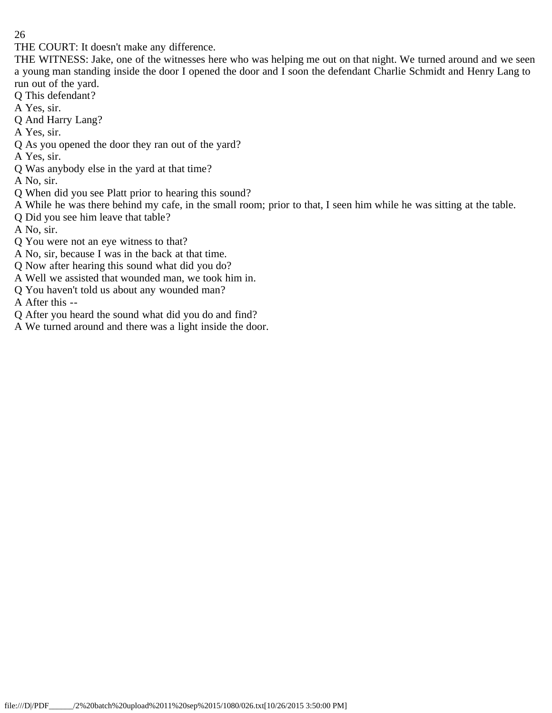THE COURT: It doesn't make any difference.

THE WITNESS: Jake, one of the witnesses here who was helping me out on that night. We turned around and we seen a young man standing inside the door I opened the door and I soon the defendant Charlie Schmidt and Henry Lang to run out of the yard.

- Q This defendant?
- A Yes, sir.
- Q And Harry Lang?
- A Yes, sir.
- Q As you opened the door they ran out of the yard?
- A Yes, sir.
- Q Was anybody else in the yard at that time?
- A No, sir.
- Q When did you see Platt prior to hearing this sound?
- A While he was there behind my cafe, in the small room; prior to that, I seen him while he was sitting at the table.
- Q Did you see him leave that table?
- A No, sir.
- Q You were not an eye witness to that?
- A No, sir, because I was in the back at that time.
- Q Now after hearing this sound what did you do?
- A Well we assisted that wounded man, we took him in.
- Q You haven't told us about any wounded man?
- A After this --
- Q After you heard the sound what did you do and find?
- A We turned around and there was a light inside the door.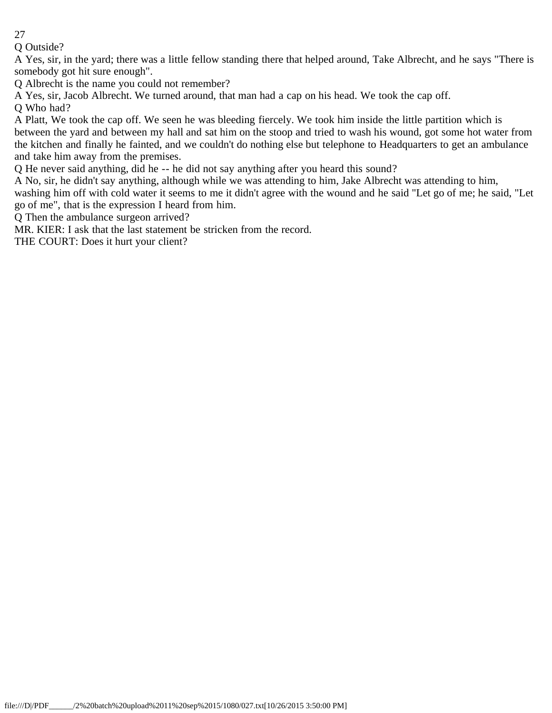Q Outside?

A Yes, sir, in the yard; there was a little fellow standing there that helped around, Take Albrecht, and he says "There is somebody got hit sure enough".

Q Albrecht is the name you could not remember?

A Yes, sir, Jacob Albrecht. We turned around, that man had a cap on his head. We took the cap off.

Q Who had?

A Platt, We took the cap off. We seen he was bleeding fiercely. We took him inside the little partition which is between the yard and between my hall and sat him on the stoop and tried to wash his wound, got some hot water from the kitchen and finally he fainted, and we couldn't do nothing else but telephone to Headquarters to get an ambulance and take him away from the premises.

Q He never said anything, did he -- he did not say anything after you heard this sound?

A No, sir, he didn't say anything, although while we was attending to him, Jake Albrecht was attending to him, washing him off with cold water it seems to me it didn't agree with the wound and he said "Let go of me; he said, "Let go of me", that is the expression I heard from him.

Q Then the ambulance surgeon arrived?

MR. KIER: I ask that the last statement be stricken from the record.

THE COURT: Does it hurt your client?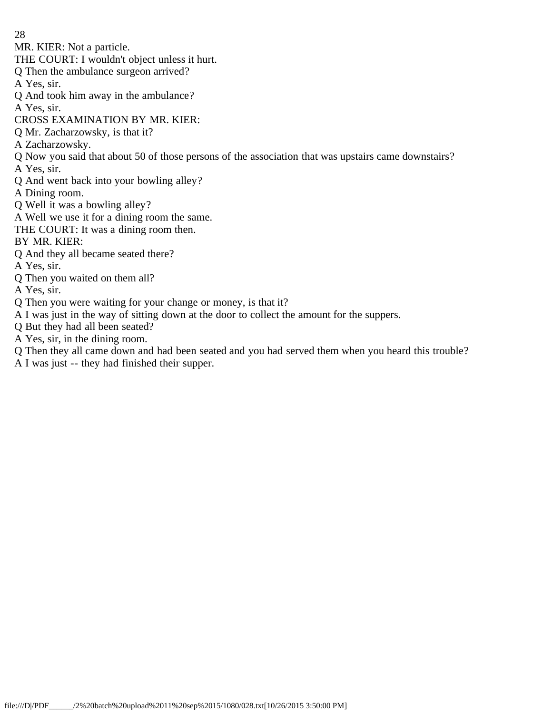- 28
- MR. KIER: Not a particle.
- THE COURT: I wouldn't object unless it hurt.
- Q Then the ambulance surgeon arrived?
- A Yes, sir.
- Q And took him away in the ambulance?
- A Yes, sir.
- CROSS EXAMINATION BY MR. KIER:
- Q Mr. Zacharzowsky, is that it?
- A Zacharzowsky.
- Q Now you said that about 50 of those persons of the association that was upstairs came downstairs?
- A Yes, sir.
- Q And went back into your bowling alley?
- A Dining room.
- Q Well it was a bowling alley?
- A Well we use it for a dining room the same.
- THE COURT: It was a dining room then.

## BY MR. KIER:

- Q And they all became seated there?
- A Yes, sir.
- Q Then you waited on them all?
- A Yes, sir.
- Q Then you were waiting for your change or money, is that it?
- A I was just in the way of sitting down at the door to collect the amount for the suppers.
- Q But they had all been seated?
- A Yes, sir, in the dining room.
- Q Then they all came down and had been seated and you had served them when you heard this trouble?
- A I was just -- they had finished their supper.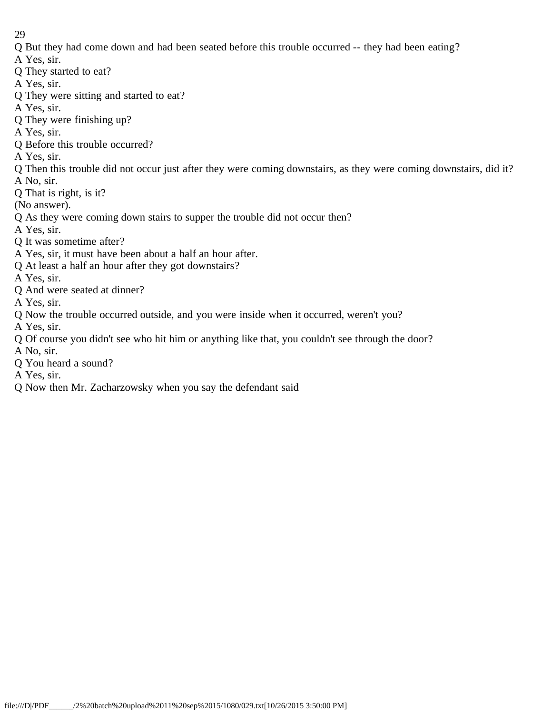- Q But they had come down and had been seated before this trouble occurred -- they had been eating?
- A Yes, sir.
- Q They started to eat?
- A Yes, sir.
- Q They were sitting and started to eat?
- A Yes, sir.
- Q They were finishing up?
- A Yes, sir.
- Q Before this trouble occurred?
- A Yes, sir.
- Q Then this trouble did not occur just after they were coming downstairs, as they were coming downstairs, did it? A No, sir.
- Q That is right, is it?
- (No answer).
- Q As they were coming down stairs to supper the trouble did not occur then?
- A Yes, sir.
- Q It was sometime after?
- A Yes, sir, it must have been about a half an hour after.
- Q At least a half an hour after they got downstairs?
- A Yes, sir.
- Q And were seated at dinner?
- A Yes, sir.
- Q Now the trouble occurred outside, and you were inside when it occurred, weren't you?
- A Yes, sir.
- Q Of course you didn't see who hit him or anything like that, you couldn't see through the door?
- A No, sir.
- Q You heard a sound?
- A Yes, sir.
- Q Now then Mr. Zacharzowsky when you say the defendant said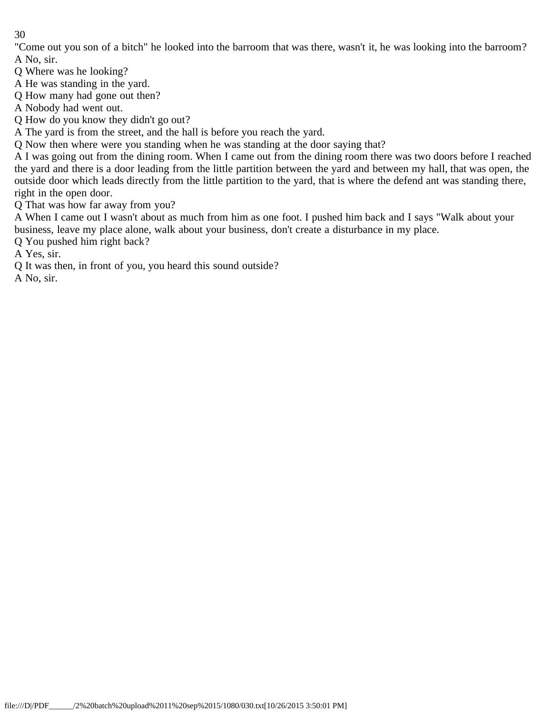"Come out you son of a bitch" he looked into the barroom that was there, wasn't it, he was looking into the barroom? A No, sir.

Q Where was he looking?

A He was standing in the yard.

Q How many had gone out then?

A Nobody had went out.

Q How do you know they didn't go out?

A The yard is from the street, and the hall is before you reach the yard.

Q Now then where were you standing when he was standing at the door saying that?

A I was going out from the dining room. When I came out from the dining room there was two doors before I reached the yard and there is a door leading from the little partition between the yard and between my hall, that was open, the outside door which leads directly from the little partition to the yard, that is where the defend ant was standing there, right in the open door.

Q That was how far away from you?

A When I came out I wasn't about as much from him as one foot. I pushed him back and I says "Walk about your business, leave my place alone, walk about your business, don't create a disturbance in my place.

Q You pushed him right back?

A Yes, sir.

Q It was then, in front of you, you heard this sound outside?

A No, sir.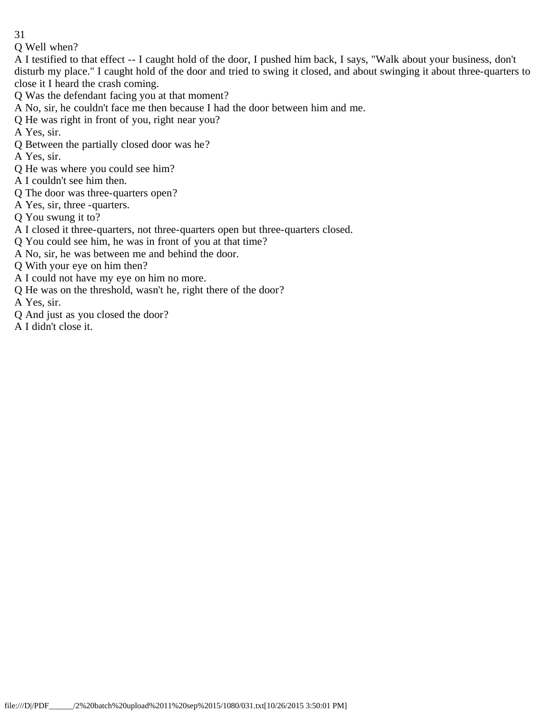Q Well when?

A I testified to that effect -- I caught hold of the door, I pushed him back, I says, "Walk about your business, don't disturb my place." I caught hold of the door and tried to swing it closed, and about swinging it about three-quarters to close it I heard the crash coming.

Q Was the defendant facing you at that moment?

A No, sir, he couldn't face me then because I had the door between him and me.

Q He was right in front of you, right near you?

A Yes, sir.

- Q Between the partially closed door was he?
- A Yes, sir.
- Q He was where you could see him?
- A I couldn't see him then.
- Q The door was three-quarters open?
- A Yes, sir, three -quarters.
- Q You swung it to?
- A I closed it three-quarters, not three-quarters open but three-quarters closed.
- Q You could see him, he was in front of you at that time?
- A No, sir, he was between me and behind the door.
- Q With your eye on him then?
- A I could not have my eye on him no more.
- Q He was on the threshold, wasn't he, right there of the door?
- A Yes, sir.
- Q And just as you closed the door?
- A I didn't close it.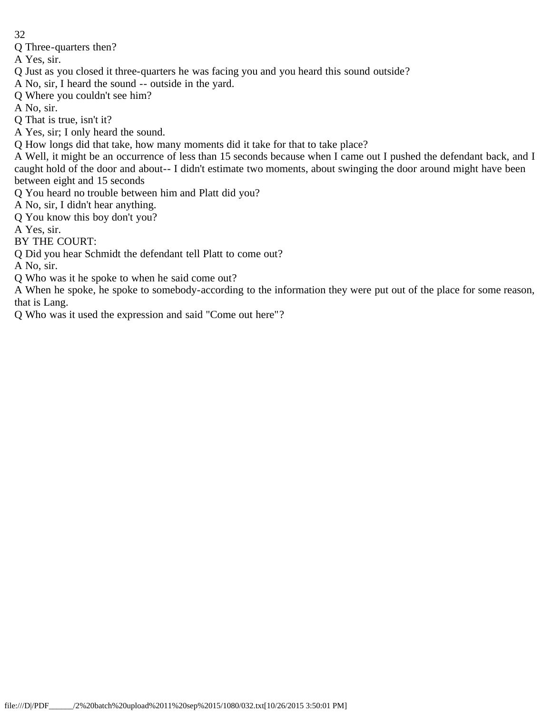- 32
- Q Three-quarters then?
- A Yes, sir.
- Q Just as you closed it three-quarters he was facing you and you heard this sound outside?
- A No, sir, I heard the sound -- outside in the yard.
- Q Where you couldn't see him?
- A No, sir.
- Q That is true, isn't it?
- A Yes, sir; I only heard the sound.
- Q How longs did that take, how many moments did it take for that to take place?
- A Well, it might be an occurrence of less than 15 seconds because when I came out I pushed the defendant back, and I caught hold of the door and about-- I didn't estimate two moments, about swinging the door around might have been between eight and 15 seconds
- Q You heard no trouble between him and Platt did you?
- A No, sir, I didn't hear anything.
- Q You know this boy don't you?
- A Yes, sir.
- BY THE COURT:
- Q Did you hear Schmidt the defendant tell Platt to come out?
- A No, sir.
- Q Who was it he spoke to when he said come out?
- A When he spoke, he spoke to somebody-according to the information they were put out of the place for some reason, that is Lang.
- Q Who was it used the expression and said "Come out here"?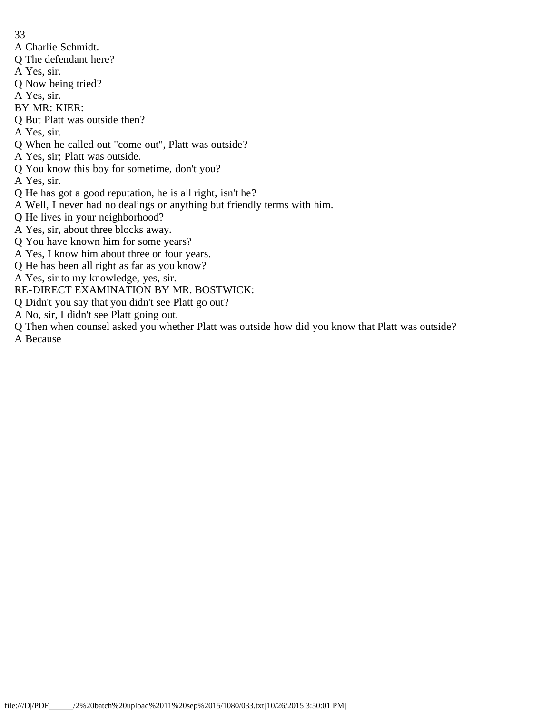- A Charlie Schmidt.
- Q The defendant here?
- A Yes, sir.
- Q Now being tried?
- A Yes, sir.
- BY MR: KIER:
- Q But Platt was outside then?
- A Yes, sir.
- Q When he called out "come out", Platt was outside?
- A Yes, sir; Platt was outside.
- Q You know this boy for sometime, don't you?
- A Yes, sir.
- Q He has got a good reputation, he is all right, isn't he?
- A Well, I never had no dealings or anything but friendly terms with him.
- Q He lives in your neighborhood?
- A Yes, sir, about three blocks away.
- Q You have known him for some years?
- A Yes, I know him about three or four years.
- Q He has been all right as far as you know?
- A Yes, sir to my knowledge, yes, sir.
- RE-DIRECT EXAMINATION BY MR. BOSTWICK:
- Q Didn't you say that you didn't see Platt go out?
- A No, sir, I didn't see Platt going out.
- Q Then when counsel asked you whether Platt was outside how did you know that Platt was outside?
- A Because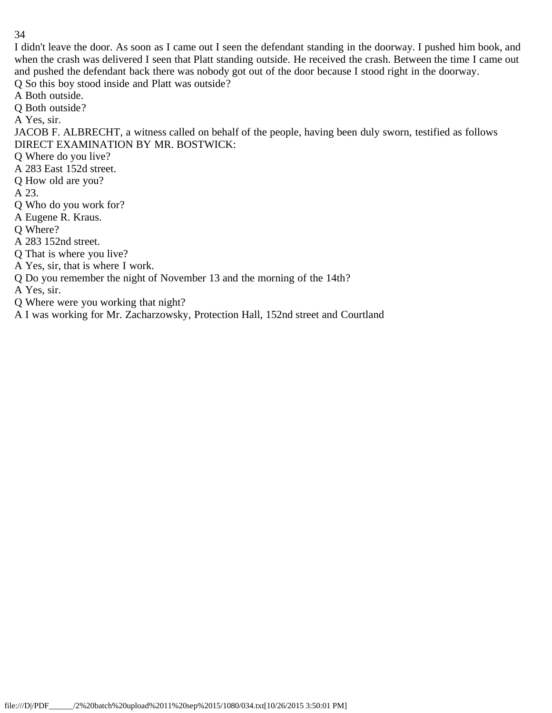I didn't leave the door. As soon as I came out I seen the defendant standing in the doorway. I pushed him book, and when the crash was delivered I seen that Platt standing outside. He received the crash. Between the time I came out and pushed the defendant back there was nobody got out of the door because I stood right in the doorway. Q So this boy stood inside and Platt was outside?

A Both outside.

Q Both outside?

A Yes, sir.

JACOB F. ALBRECHT, a witness called on behalf of the people, having been duly sworn, testified as follows DIRECT EXAMINATION BY MR. BOSTWICK:

- Q Where do you live?
- A 283 East 152d street.
- Q How old are you?

A 23.

- Q Who do you work for?
- A Eugene R. Kraus.
- Q Where?
- A 283 152nd street.
- Q That is where you live?
- A Yes, sir, that is where I work.
- Q Do you remember the night of November 13 and the morning of the 14th?
- A Yes, sir.
- Q Where were you working that night?
- A I was working for Mr. Zacharzowsky, Protection Hall, 152nd street and Courtland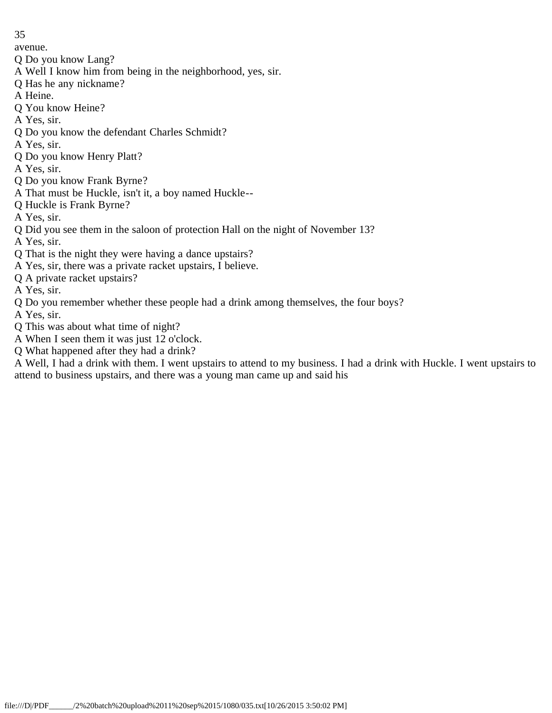avenue.

- Q Do you know Lang?
- A Well I know him from being in the neighborhood, yes, sir.
- Q Has he any nickname?
- A Heine.
- Q You know Heine?
- A Yes, sir.
- Q Do you know the defendant Charles Schmidt?
- A Yes, sir.
- Q Do you know Henry Platt?
- A Yes, sir.
- Q Do you know Frank Byrne?
- A That must be Huckle, isn't it, a boy named Huckle--
- Q Huckle is Frank Byrne?
- A Yes, sir.
- Q Did you see them in the saloon of protection Hall on the night of November 13?
- A Yes, sir.
- Q That is the night they were having a dance upstairs?
- A Yes, sir, there was a private racket upstairs, I believe.
- Q A private racket upstairs?
- A Yes, sir.
- Q Do you remember whether these people had a drink among themselves, the four boys?
- A Yes, sir.
- Q This was about what time of night?
- A When I seen them it was just 12 o'clock.
- Q What happened after they had a drink?

A Well, I had a drink with them. I went upstairs to attend to my business. I had a drink with Huckle. I went upstairs to attend to business upstairs, and there was a young man came up and said his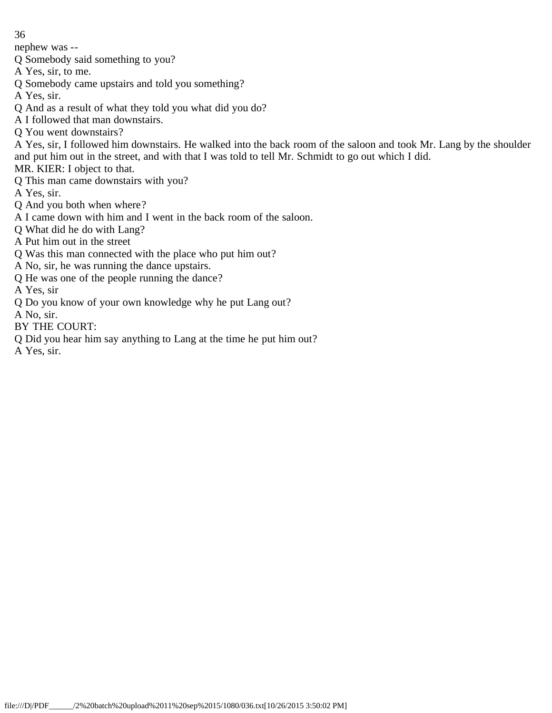nephew was --

Q Somebody said something to you?

A Yes, sir, to me.

Q Somebody came upstairs and told you something?

A Yes, sir.

- Q And as a result of what they told you what did you do?
- A I followed that man downstairs.
- Q You went downstairs?

A Yes, sir, I followed him downstairs. He walked into the back room of the saloon and took Mr. Lang by the shoulder and put him out in the street, and with that I was told to tell Mr. Schmidt to go out which I did.

MR. KIER: I object to that.

Q This man came downstairs with you?

A Yes, sir.

Q And you both when where?

- A I came down with him and I went in the back room of the saloon.
- Q What did he do with Lang?
- A Put him out in the street
- Q Was this man connected with the place who put him out?
- A No, sir, he was running the dance upstairs.
- Q He was one of the people running the dance?

A Yes, sir

- Q Do you know of your own knowledge why he put Lang out?
- A No, sir.
- BY THE COURT:
- Q Did you hear him say anything to Lang at the time he put him out?

A Yes, sir.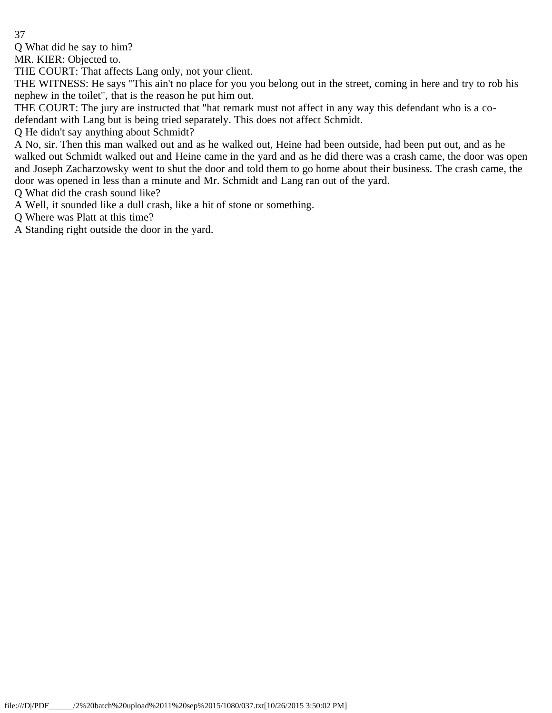Q What did he say to him?

MR. KIER: Objected to.

THE COURT: That affects Lang only, not your client.

THE WITNESS: He says "This ain't no place for you you belong out in the street, coming in here and try to rob his nephew in the toilet", that is the reason he put him out.

THE COURT: The jury are instructed that "hat remark must not affect in any way this defendant who is a codefendant with Lang but is being tried separately. This does not affect Schmidt.

Q He didn't say anything about Schmidt?

A No, sir. Then this man walked out and as he walked out, Heine had been outside, had been put out, and as he walked out Schmidt walked out and Heine came in the yard and as he did there was a crash came, the door was open and Joseph Zacharzowsky went to shut the door and told them to go home about their business. The crash came, the door was opened in less than a minute and Mr. Schmidt and Lang ran out of the yard.

Q What did the crash sound like?

A Well, it sounded like a dull crash, like a hit of stone or something.

Q Where was Platt at this time?

A Standing right outside the door in the yard.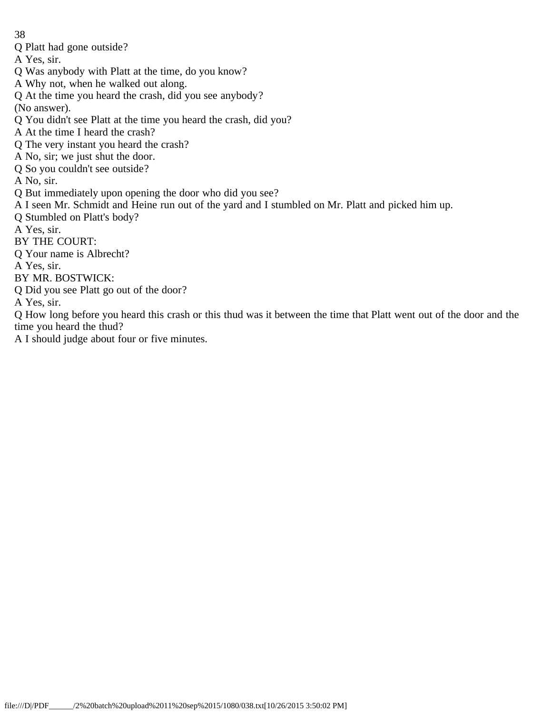Q Platt had gone outside?

A Yes, sir.

- Q Was anybody with Platt at the time, do you know?
- A Why not, when he walked out along.
- Q At the time you heard the crash, did you see anybody?
- (No answer).
- Q You didn't see Platt at the time you heard the crash, did you?
- A At the time I heard the crash?
- Q The very instant you heard the crash?
- A No, sir; we just shut the door.
- Q So you couldn't see outside?
- A No, sir.
- Q But immediately upon opening the door who did you see?
- A I seen Mr. Schmidt and Heine run out of the yard and I stumbled on Mr. Platt and picked him up.
- Q Stumbled on Platt's body?
- A Yes, sir.
- BY THE COURT:
- Q Your name is Albrecht?
- A Yes, sir.
- BY MR. BOSTWICK:
- Q Did you see Platt go out of the door?
- A Yes, sir.
- Q How long before you heard this crash or this thud was it between the time that Platt went out of the door and the time you heard the thud?
- A I should judge about four or five minutes.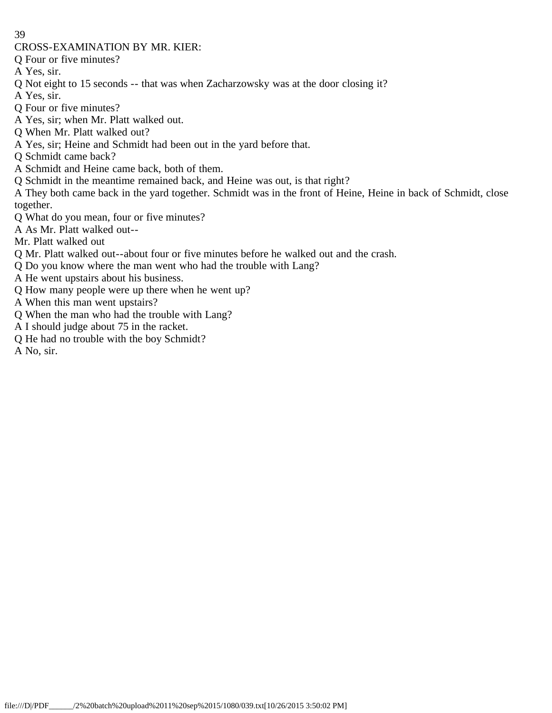CROSS-EXAMINATION BY MR. KIER:

Q Four or five minutes?

A Yes, sir.

Q Not eight to 15 seconds -- that was when Zacharzowsky was at the door closing it?

A Yes, sir.

Q Four or five minutes?

A Yes, sir; when Mr. Platt walked out.

Q When Mr. Platt walked out?

A Yes, sir; Heine and Schmidt had been out in the yard before that.

Q Schmidt came back?

A Schmidt and Heine came back, both of them.

Q Schmidt in the meantime remained back, and Heine was out, is that right?

A They both came back in the yard together. Schmidt was in the front of Heine, Heine in back of Schmidt, close together.

Q What do you mean, four or five minutes?

A As Mr. Platt walked out--

Mr. Platt walked out

Q Mr. Platt walked out--about four or five minutes before he walked out and the crash.

Q Do you know where the man went who had the trouble with Lang?

A He went upstairs about his business.

Q How many people were up there when he went up?

A When this man went upstairs?

Q When the man who had the trouble with Lang?

A I should judge about 75 in the racket.

Q He had no trouble with the boy Schmidt?

A No, sir.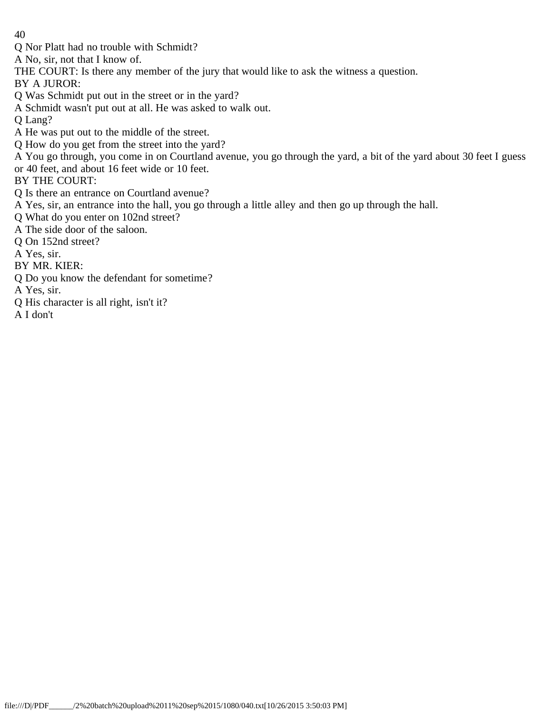Q Nor Platt had no trouble with Schmidt?

A No, sir, not that I know of.

- THE COURT: Is there any member of the jury that would like to ask the witness a question.
- BY A JUROR:
- Q Was Schmidt put out in the street or in the yard?
- A Schmidt wasn't put out at all. He was asked to walk out.
- Q Lang?
- A He was put out to the middle of the street.
- Q How do you get from the street into the yard?
- A You go through, you come in on Courtland avenue, you go through the yard, a bit of the yard about 30 feet I guess
- or 40 feet, and about 16 feet wide or 10 feet.
- BY THE COURT:
- Q Is there an entrance on Courtland avenue?
- A Yes, sir, an entrance into the hall, you go through a little alley and then go up through the hall.
- Q What do you enter on 102nd street?
- A The side door of the saloon.
- Q On 152nd street?
- A Yes, sir.
- BY MR. KIER:
- Q Do you know the defendant for sometime?
- A Yes, sir.
- Q His character is all right, isn't it?
- A I don't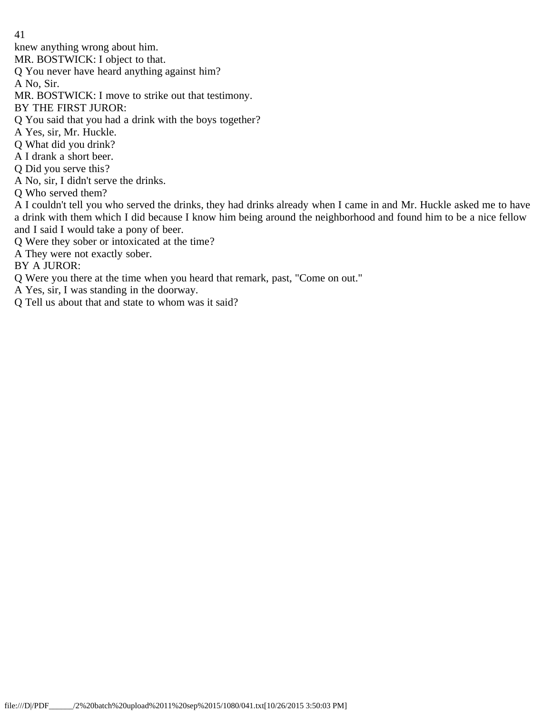knew anything wrong about him.

MR. BOSTWICK: I object to that.

Q You never have heard anything against him?

A No, Sir.

- MR. BOSTWICK: I move to strike out that testimony.
- BY THE FIRST JUROR:
- Q You said that you had a drink with the boys together?
- A Yes, sir, Mr. Huckle.
- Q What did you drink?
- A I drank a short beer.
- Q Did you serve this?
- A No, sir, I didn't serve the drinks.
- Q Who served them?

A I couldn't tell you who served the drinks, they had drinks already when I came in and Mr. Huckle asked me to have a drink with them which I did because I know him being around the neighborhood and found him to be a nice fellow and I said I would take a pony of beer.

- Q Were they sober or intoxicated at the time?
- A They were not exactly sober.

BY A JUROR:

- Q Were you there at the time when you heard that remark, past, "Come on out."
- A Yes, sir, I was standing in the doorway.
- Q Tell us about that and state to whom was it said?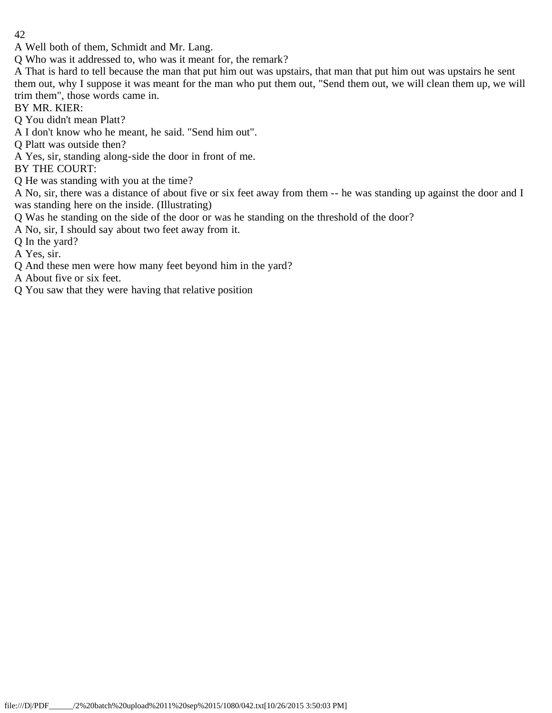A Well both of them, Schmidt and Mr. Lang.

Q Who was it addressed to, who was it meant for, the remark?

A That is hard to tell because the man that put him out was upstairs, that man that put him out was upstairs he sent them out, why I suppose it was meant for the man who put them out, "Send them out, we will clean them up, we will trim them", those words came in.

BY MR. KIER:

Q You didn't mean Platt?

A I don't know who he meant, he said. "Send him out".

Q Platt was outside then?

A Yes, sir, standing along-side the door in front of me.

BY THE COURT:

Q He was standing with you at the time?

A No, sir, there was a distance of about five or six feet away from them -- he was standing up against the door and I was standing here on the inside. (Illustrating)

Q Was he standing on the side of the door or was he standing on the threshold of the door?

A No, sir, I should say about two feet away from it.

Q In the yard?

A Yes, sir.

Q And these men were how many feet beyond him in the yard?

A About five or six feet.

Q You saw that they were having that relative position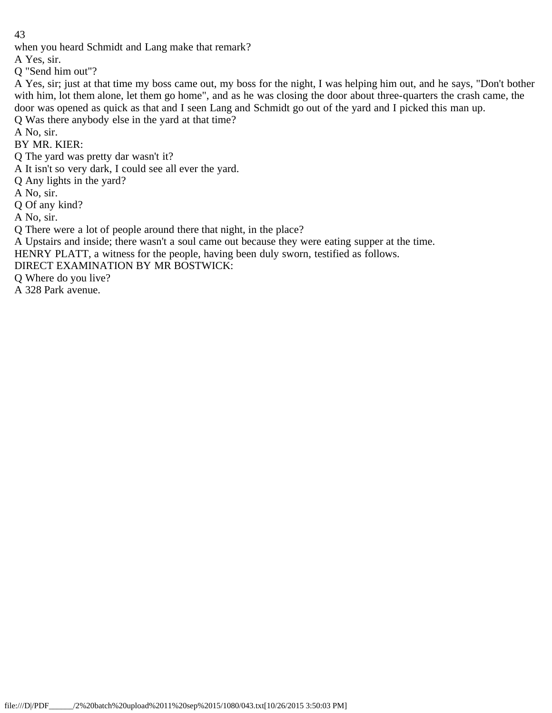when you heard Schmidt and Lang make that remark?

A Yes, sir.

Q "Send him out"?

A Yes, sir; just at that time my boss came out, my boss for the night, I was helping him out, and he says, "Don't bother with him, lot them alone, let them go home", and as he was closing the door about three-quarters the crash came, the door was opened as quick as that and I seen Lang and Schmidt go out of the yard and I picked this man up.

Q Was there anybody else in the yard at that time?

A No, sir.

BY MR. KIER:

Q The yard was pretty dar wasn't it?

A It isn't so very dark, I could see all ever the yard.

Q Any lights in the yard?

A No, sir.

Q Of any kind?

A No, sir.

Q There were a lot of people around there that night, in the place?

A Upstairs and inside; there wasn't a soul came out because they were eating supper at the time.

HENRY PLATT, a witness for the people, having been duly sworn, testified as follows.

DIRECT EXAMINATION BY MR BOSTWICK:

Q Where do you live?

A 328 Park avenue.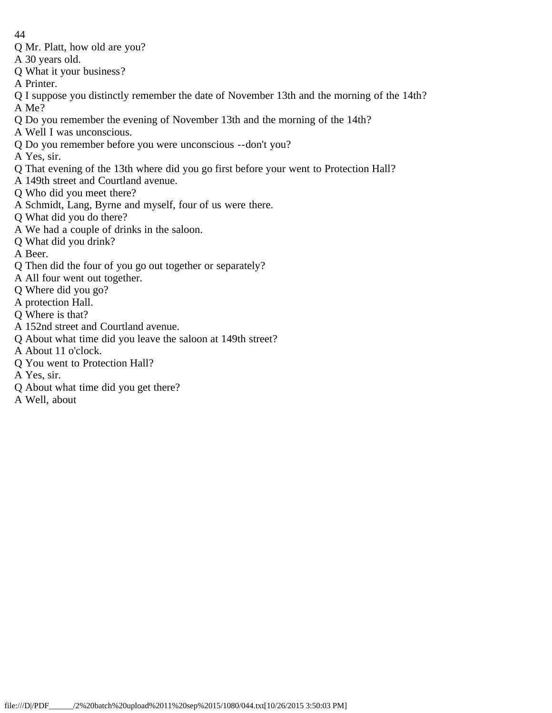- 44
- Q Mr. Platt, how old are you?
- A 30 years old.
- Q What it your business?
- A Printer.
- Q I suppose you distinctly remember the date of November 13th and the morning of the 14th? A Me?
- Q Do you remember the evening of November 13th and the morning of the 14th?
- A Well I was unconscious.
- Q Do you remember before you were unconscious --don't you?
- A Yes, sir.
- Q That evening of the 13th where did you go first before your went to Protection Hall?
- A 149th street and Courtland avenue.
- Q Who did you meet there?
- A Schmidt, Lang, Byrne and myself, four of us were there.
- Q What did you do there?
- A We had a couple of drinks in the saloon.
- Q What did you drink?
- A Beer.
- Q Then did the four of you go out together or separately?
- A All four went out together.
- Q Where did you go?
- A protection Hall.
- Q Where is that?
- A 152nd street and Courtland avenue.
- Q About what time did you leave the saloon at 149th street?
- A About 11 o'clock.
- Q You went to Protection Hall?
- A Yes, sir.
- Q About what time did you get there?
- A Well, about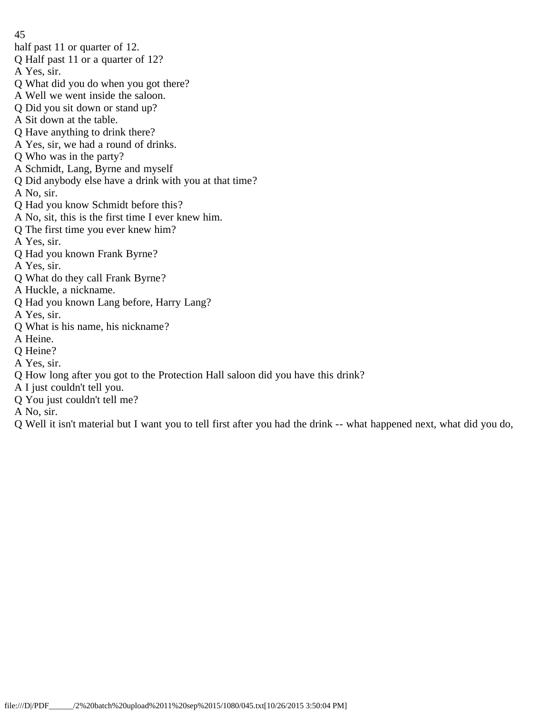- 45
- half past 11 or quarter of 12.
- Q Half past 11 or a quarter of 12?
- A Yes, sir.
- Q What did you do when you got there?
- A Well we went inside the saloon.
- Q Did you sit down or stand up?
- A Sit down at the table.
- Q Have anything to drink there?
- A Yes, sir, we had a round of drinks.
- Q Who was in the party?
- A Schmidt, Lang, Byrne and myself
- Q Did anybody else have a drink with you at that time?
- A No, sir.
- Q Had you know Schmidt before this?
- A No, sit, this is the first time I ever knew him.
- Q The first time you ever knew him?
- A Yes, sir.
- Q Had you known Frank Byrne?
- A Yes, sir.
- Q What do they call Frank Byrne?
- A Huckle, a nickname.
- Q Had you known Lang before, Harry Lang?
- A Yes, sir.
- Q What is his name, his nickname?
- A Heine.
- Q Heine?
- A Yes, sir.
- Q How long after you got to the Protection Hall saloon did you have this drink?
- A I just couldn't tell you.
- Q You just couldn't tell me?
- A No, sir.
- Q Well it isn't material but I want you to tell first after you had the drink -- what happened next, what did you do,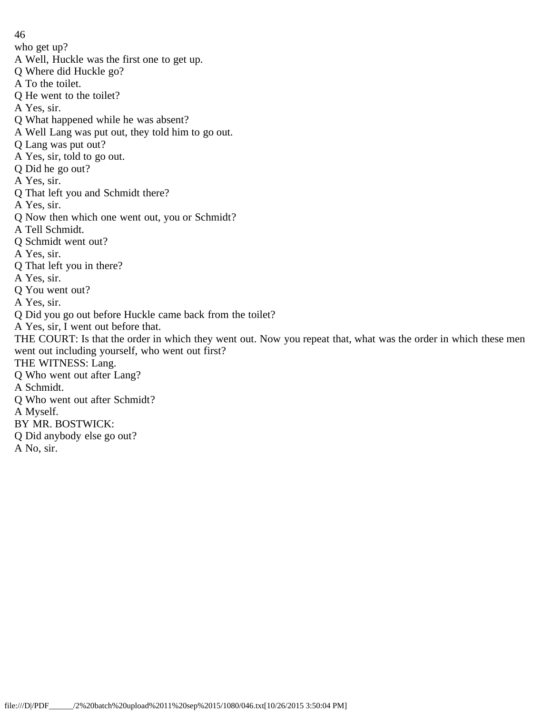46 who get up? A Well, Huckle was the first one to get up. Q Where did Huckle go? A To the toilet. Q He went to the toilet? A Yes, sir. Q What happened while he was absent? A Well Lang was put out, they told him to go out. Q Lang was put out? A Yes, sir, told to go out. Q Did he go out? A Yes, sir. Q That left you and Schmidt there? A Yes, sir. Q Now then which one went out, you or Schmidt? A Tell Schmidt. Q Schmidt went out? A Yes, sir. Q That left you in there? A Yes, sir. Q You went out? A Yes, sir. Q Did you go out before Huckle came back from the toilet? A Yes, sir, I went out before that. THE COURT: Is that the order in which they went out. Now you repeat that, what was the order in which these men went out including yourself, who went out first? THE WITNESS: Lang. Q Who went out after Lang? A Schmidt. Q Who went out after Schmidt? A Myself. BY MR. BOSTWICK: Q Did anybody else go out? A No, sir.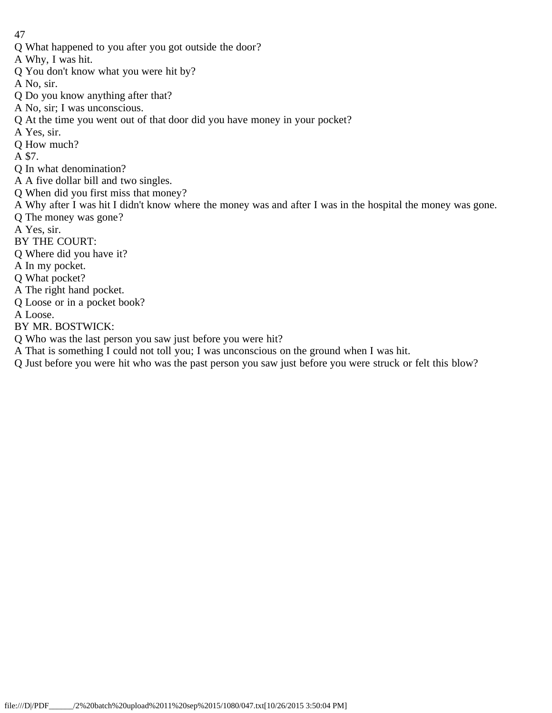- Q What happened to you after you got outside the door?
- A Why, I was hit.
- Q You don't know what you were hit by?
- A No, sir.
- Q Do you know anything after that?
- A No, sir; I was unconscious.
- Q At the time you went out of that door did you have money in your pocket?
- A Yes, sir.
- Q How much?
- A \$7.
- Q In what denomination?
- A A five dollar bill and two singles.
- Q When did you first miss that money?
- A Why after I was hit I didn't know where the money was and after I was in the hospital the money was gone.
- Q The money was gone?
- A Yes, sir.
- BY THE COURT:
- Q Where did you have it?
- A In my pocket.
- Q What pocket?
- A The right hand pocket.
- Q Loose or in a pocket book?
- A Loose.
- BY MR. BOSTWICK:
- Q Who was the last person you saw just before you were hit?
- A That is something I could not toll you; I was unconscious on the ground when I was hit.
- Q Just before you were hit who was the past person you saw just before you were struck or felt this blow?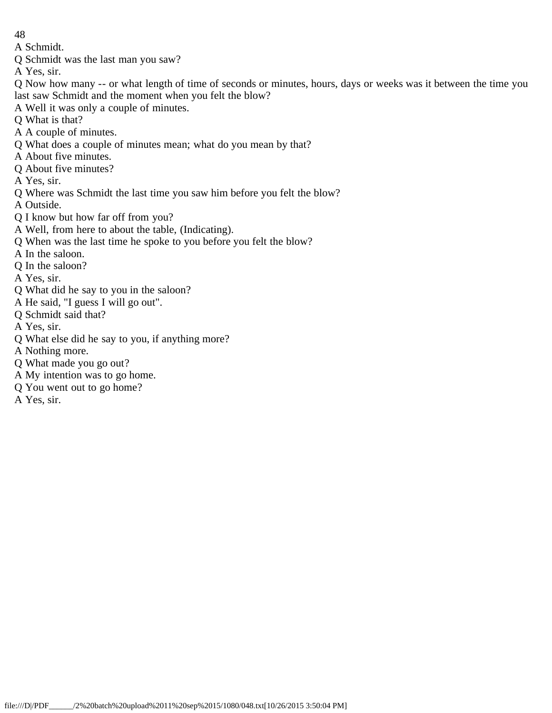A Schmidt.

Q Schmidt was the last man you saw?

A Yes, sir.

- Q Now how many -- or what length of time of seconds or minutes, hours, days or weeks was it between the time you last saw Schmidt and the moment when you felt the blow?
- A Well it was only a couple of minutes.
- Q What is that?
- A A couple of minutes.
- Q What does a couple of minutes mean; what do you mean by that?
- A About five minutes.
- Q About five minutes?
- A Yes, sir.
- Q Where was Schmidt the last time you saw him before you felt the blow?

A Outside.

- Q I know but how far off from you?
- A Well, from here to about the table, (Indicating).
- Q When was the last time he spoke to you before you felt the blow?
- A In the saloon.
- Q In the saloon?
- A Yes, sir.
- Q What did he say to you in the saloon?
- A He said, "I guess I will go out".
- Q Schmidt said that?
- A Yes, sir.
- Q What else did he say to you, if anything more?
- A Nothing more.
- Q What made you go out?
- A My intention was to go home.
- Q You went out to go home?
- A Yes, sir.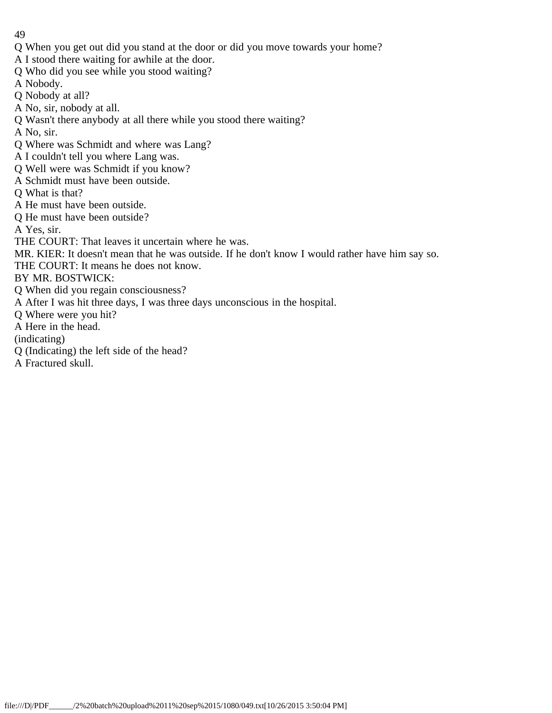- 49
- Q When you get out did you stand at the door or did you move towards your home?
- A I stood there waiting for awhile at the door.
- Q Who did you see while you stood waiting?
- A Nobody.
- Q Nobody at all?
- A No, sir, nobody at all.
- Q Wasn't there anybody at all there while you stood there waiting?
- A No, sir.
- Q Where was Schmidt and where was Lang?
- A I couldn't tell you where Lang was.
- Q Well were was Schmidt if you know?
- A Schmidt must have been outside.
- Q What is that?
- A He must have been outside.
- Q He must have been outside?
- A Yes, sir.
- THE COURT: That leaves it uncertain where he was.
- MR. KIER: It doesn't mean that he was outside. If he don't know I would rather have him say so.
- THE COURT: It means he does not know.
- BY MR. BOSTWICK:
- Q When did you regain consciousness?
- A After I was hit three days, I was three days unconscious in the hospital.
- Q Where were you hit?
- A Here in the head.
- (indicating)
- Q (Indicating) the left side of the head?
- A Fractured skull.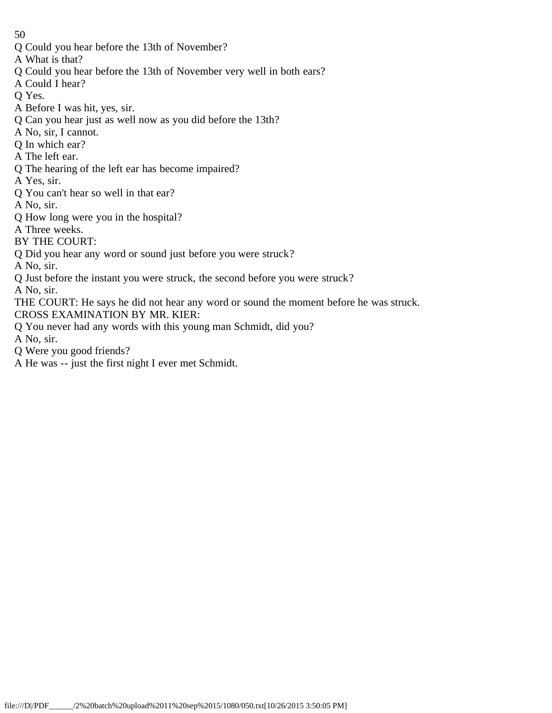- Q Could you hear before the 13th of November?
- A What is that?
- Q Could you hear before the 13th of November very well in both ears?
- A Could I hear?
- Q Yes.
- A Before I was hit, yes, sir.
- Q Can you hear just as well now as you did before the 13th?
- A No, sir, I cannot.
- Q In which ear?
- A The left ear.
- Q The hearing of the left ear has become impaired?
- A Yes, sir.
- Q You can't hear so well in that ear?
- A No, sir.
- Q How long were you in the hospital?
- 
- A Three weeks.
- BY THE COURT:
- Q Did you hear any word or sound just before you were struck?
- A No, sir.
- Q Just before the instant you were struck, the second before you were struck?
- A No, sir.
- THE COURT: He says he did not hear any word or sound the moment before he was struck. CROSS EXAMINATION BY MR. KIER:
- Q You never had any words with this young man Schmidt, did you?
- A No, sir.
- Q Were you good friends?
- A He was -- just the first night I ever met Schmidt.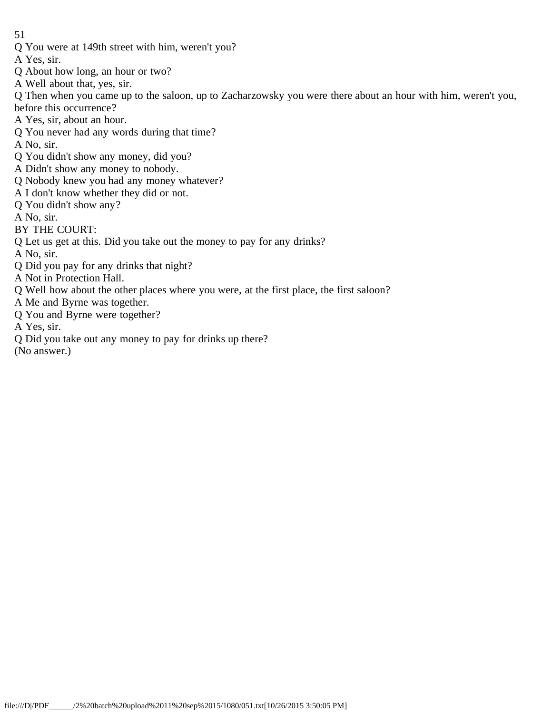- 51
- Q You were at 149th street with him, weren't you?
- A Yes, sir.
- Q About how long, an hour or two?
- A Well about that, yes, sir.

Q Then when you came up to the saloon, up to Zacharzowsky you were there about an hour with him, weren't you, before this occurrence?

- A Yes, sir, about an hour.
- Q You never had any words during that time?
- A No, sir.
- Q You didn't show any money, did you?
- A Didn't show any money to nobody.
- Q Nobody knew you had any money whatever?
- A I don't know whether they did or not.
- Q You didn't show any?
- A No, sir.
- BY THE COURT:
- Q Let us get at this. Did you take out the money to pay for any drinks?
- A No, sir.
- Q Did you pay for any drinks that night?
- A Not in Protection Hall.
- Q Well how about the other places where you were, at the first place, the first saloon?
- A Me and Byrne was together.
- Q You and Byrne were together?
- A Yes, sir.
- Q Did you take out any money to pay for drinks up there?
- (No answer.)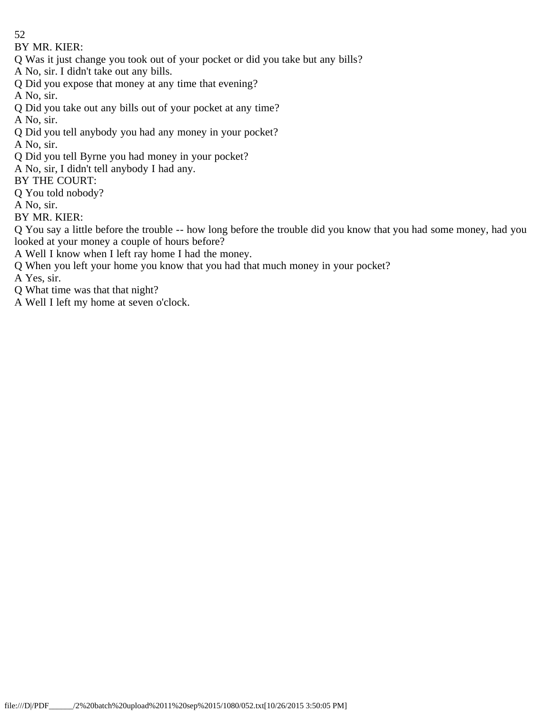- 52
- BY MR. KIER:
- Q Was it just change you took out of your pocket or did you take but any bills?
- A No, sir. I didn't take out any bills.
- Q Did you expose that money at any time that evening?
- A No, sir.
- Q Did you take out any bills out of your pocket at any time?
- A No, sir.
- Q Did you tell anybody you had any money in your pocket?
- A No, sir.
- Q Did you tell Byrne you had money in your pocket?
- A No, sir, I didn't tell anybody I had any.
- BY THE COURT:
- Q You told nobody?
- A No, sir.
- BY MR. KIER:
- Q You say a little before the trouble -- how long before the trouble did you know that you had some money, had you looked at your money a couple of hours before?
- A Well I know when I left ray home I had the money.
- Q When you left your home you know that you had that much money in your pocket?
- A Yes, sir.
- Q What time was that that night?
- A Well I left my home at seven o'clock.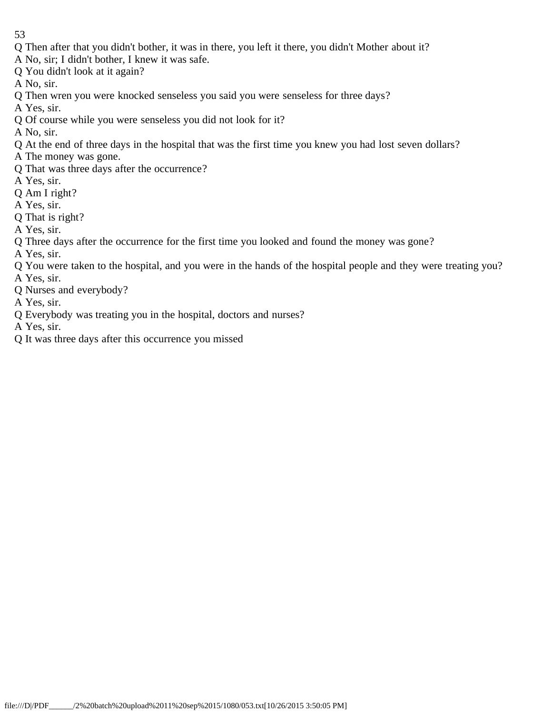- Q Then after that you didn't bother, it was in there, you left it there, you didn't Mother about it?
- A No, sir; I didn't bother, I knew it was safe.
- Q You didn't look at it again?
- A No, sir.
- Q Then wren you were knocked senseless you said you were senseless for three days?
- A Yes, sir.
- Q Of course while you were senseless you did not look for it?
- A No, sir.
- Q At the end of three days in the hospital that was the first time you knew you had lost seven dollars?
- A The money was gone.
- Q That was three days after the occurrence?
- A Yes, sir.
- Q Am I right?
- A Yes, sir.
- Q That is right?
- A Yes, sir.
- Q Three days after the occurrence for the first time you looked and found the money was gone?
- A Yes, sir.
- Q You were taken to the hospital, and you were in the hands of the hospital people and they were treating you?
- A Yes, sir.
- Q Nurses and everybody?
- A Yes, sir.
- Q Everybody was treating you in the hospital, doctors and nurses?
- A Yes, sir.
- Q It was three days after this occurrence you missed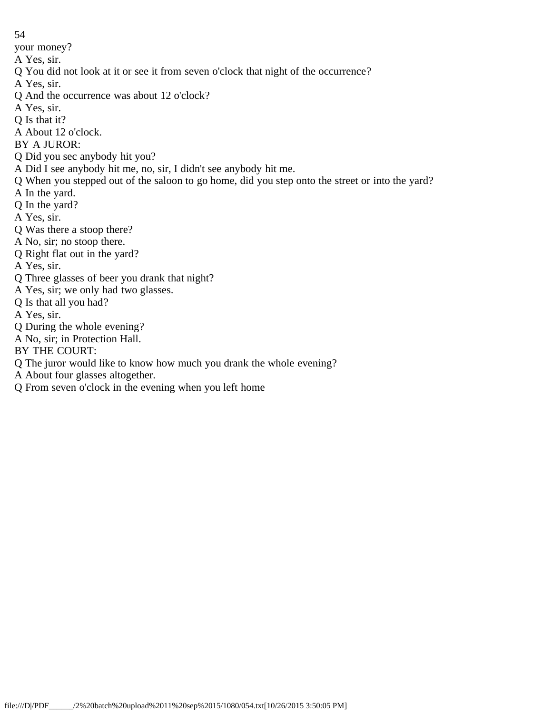your money?

- A Yes, sir.
- Q You did not look at it or see it from seven o'clock that night of the occurrence?
- A Yes, sir.
- Q And the occurrence was about 12 o'clock?
- A Yes, sir.
- Q Is that it?
- A About 12 o'clock.
- BY A JUROR:
- Q Did you sec anybody hit you?
- A Did I see anybody hit me, no, sir, I didn't see anybody hit me.
- Q When you stepped out of the saloon to go home, did you step onto the street or into the yard?
- A In the yard.
- Q In the yard?
- A Yes, sir.
- Q Was there a stoop there?
- A No, sir; no stoop there.
- Q Right flat out in the yard?
- A Yes, sir.
- Q Three glasses of beer you drank that night?
- A Yes, sir; we only had two glasses.
- Q Is that all you had?
- A Yes, sir.
- Q During the whole evening?
- A No, sir; in Protection Hall.
- BY THE COURT:
- Q The juror would like to know how much you drank the whole evening?
- A About four glasses altogether.
- Q From seven o'clock in the evening when you left home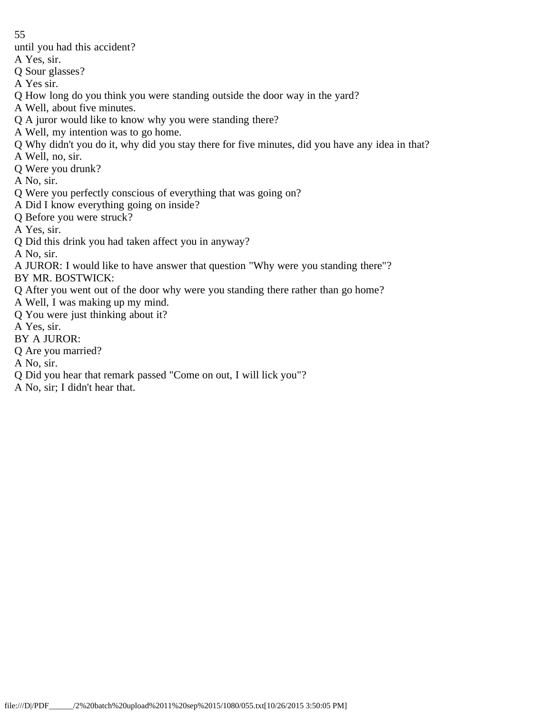- until you had this accident?
- A Yes, sir.
- Q Sour glasses?
- A Yes sir.
- Q How long do you think you were standing outside the door way in the yard?
- A Well, about five minutes.
- Q A juror would like to know why you were standing there?
- A Well, my intention was to go home.
- Q Why didn't you do it, why did you stay there for five minutes, did you have any idea in that?
- A Well, no, sir.
- Q Were you drunk?
- A No, sir.
- Q Were you perfectly conscious of everything that was going on?
- A Did I know everything going on inside?
- Q Before you were struck?
- A Yes, sir.
- Q Did this drink you had taken affect you in anyway?
- A No, sir.
- A JUROR: I would like to have answer that question "Why were you standing there"?
- BY MR. BOSTWICK:
- Q After you went out of the door why were you standing there rather than go home?
- A Well, I was making up my mind.
- Q You were just thinking about it?
- A Yes, sir.
- BY A JUROR:
- Q Are you married?
- A No, sir.
- Q Did you hear that remark passed "Come on out, I will lick you"?
- A No, sir; I didn't hear that.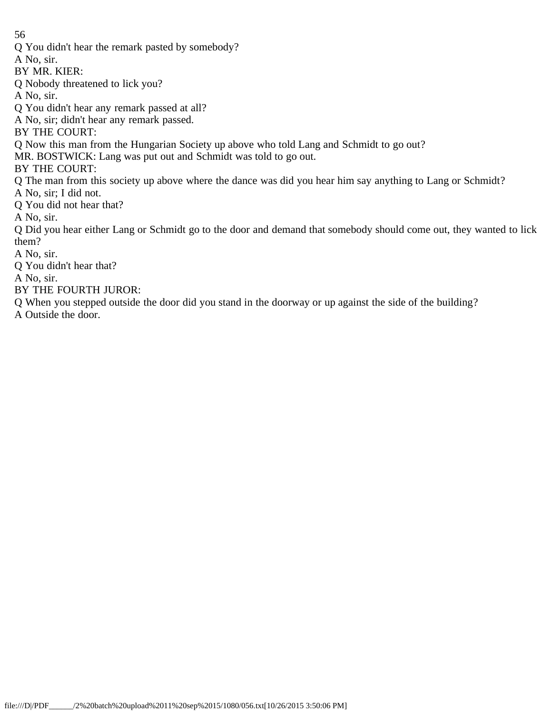Q You didn't hear the remark pasted by somebody?

A No, sir.

- BY MR. KIER:
- Q Nobody threatened to lick you?
- A No, sir.
- Q You didn't hear any remark passed at all?
- A No, sir; didn't hear any remark passed.

BY THE COURT:

- Q Now this man from the Hungarian Society up above who told Lang and Schmidt to go out?
- MR. BOSTWICK: Lang was put out and Schmidt was told to go out.
- BY THE COURT:
- Q The man from this society up above where the dance was did you hear him say anything to Lang or Schmidt?
- A No, sir; I did not.
- Q You did not hear that?
- A No, sir.
- Q Did you hear either Lang or Schmidt go to the door and demand that somebody should come out, they wanted to lick them?
- A No, sir.
- Q You didn't hear that?

A No, sir.

- BY THE FOURTH JUROR:
- Q When you stepped outside the door did you stand in the doorway or up against the side of the building?
- A Outside the door.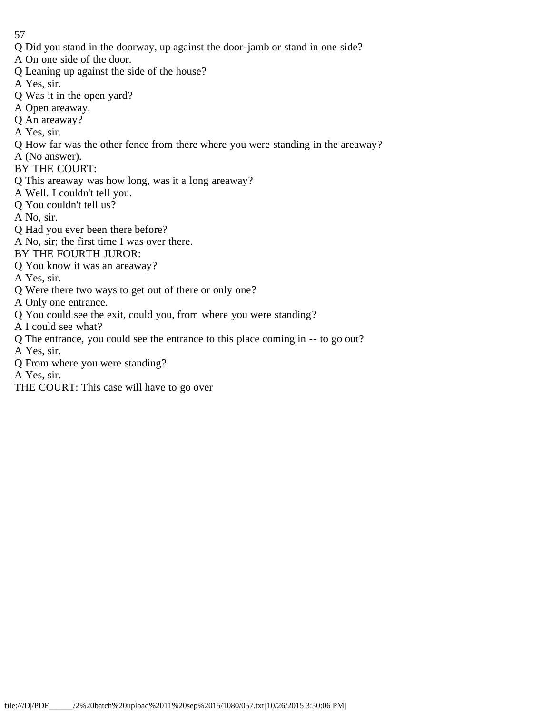- Q Did you stand in the doorway, up against the door-jamb or stand in one side?
- A On one side of the door.
- Q Leaning up against the side of the house?
- A Yes, sir.
- Q Was it in the open yard?
- A Open areaway.
- Q An areaway?
- A Yes, sir.
- Q How far was the other fence from there where you were standing in the areaway?
- A (No answer).
- BY THE COURT:
- Q This areaway was how long, was it a long areaway?
- A Well. I couldn't tell you.
- Q You couldn't tell us?
- A No, sir.
- Q Had you ever been there before?
- A No, sir; the first time I was over there.
- BY THE FOURTH JUROR:
- Q You know it was an areaway?
- A Yes, sir.
- Q Were there two ways to get out of there or only one?
- A Only one entrance.
- Q You could see the exit, could you, from where you were standing?
- A I could see what?
- Q The entrance, you could see the entrance to this place coming in -- to go out?
- A Yes, sir.
- Q From where you were standing?
- A Yes, sir.
- THE COURT: This case will have to go over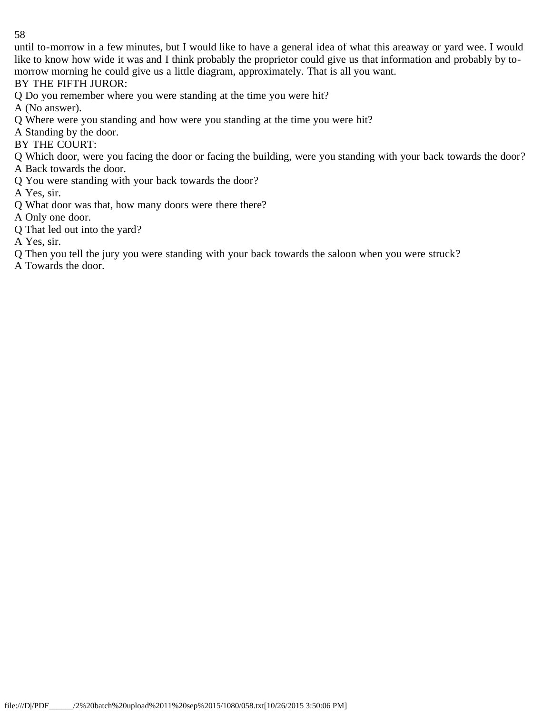until to-morrow in a few minutes, but I would like to have a general idea of what this areaway or yard wee. I would like to know how wide it was and I think probably the proprietor could give us that information and probably by tomorrow morning he could give us a little diagram, approximately. That is all you want.

BY THE FIFTH JUROR:

Q Do you remember where you were standing at the time you were hit?

A (No answer).

- Q Where were you standing and how were you standing at the time you were hit?
- A Standing by the door.
- BY THE COURT:
- Q Which door, were you facing the door or facing the building, were you standing with your back towards the door?
- A Back towards the door.
- Q You were standing with your back towards the door?

A Yes, sir.

- Q What door was that, how many doors were there there?
- A Only one door.
- Q That led out into the yard?

A Yes, sir.

- Q Then you tell the jury you were standing with your back towards the saloon when you were struck?
- A Towards the door.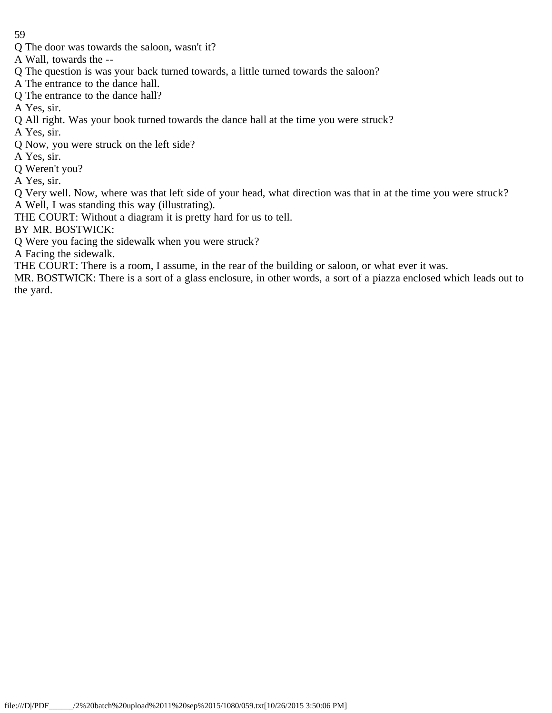- Q The door was towards the saloon, wasn't it?
- A Wall, towards the --
- Q The question is was your back turned towards, a little turned towards the saloon?
- A The entrance to the dance hall.
- Q The entrance to the dance hall?
- A Yes, sir.
- Q All right. Was your book turned towards the dance hall at the time you were struck?
- A Yes, sir.
- Q Now, you were struck on the left side?
- A Yes, sir.
- Q Weren't you?
- A Yes, sir.
- Q Very well. Now, where was that left side of your head, what direction was that in at the time you were struck? A Well, I was standing this way (illustrating).
- THE COURT: Without a diagram it is pretty hard for us to tell.
- BY MR. BOSTWICK:
- Q Were you facing the sidewalk when you were struck?
- A Facing the sidewalk.
- THE COURT: There is a room, I assume, in the rear of the building or saloon, or what ever it was.
- MR. BOSTWICK: There is a sort of a glass enclosure, in other words, a sort of a piazza enclosed which leads out to the yard.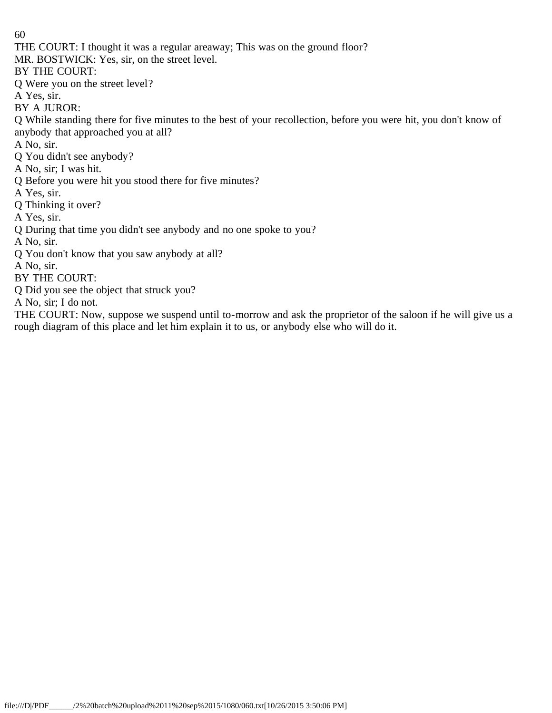THE COURT: I thought it was a regular areaway; This was on the ground floor?

MR. BOSTWICK: Yes, sir, on the street level.

BY THE COURT:

Q Were you on the street level?

A Yes, sir.

BY A JUROR:

Q While standing there for five minutes to the best of your recollection, before you were hit, you don't know of anybody that approached you at all?

A No, sir.

- Q You didn't see anybody?
- A No, sir; I was hit.
- Q Before you were hit you stood there for five minutes?
- A Yes, sir.
- Q Thinking it over?
- A Yes, sir.
- Q During that time you didn't see anybody and no one spoke to you?

A No, sir.

Q You don't know that you saw anybody at all?

A No, sir.

BY THE COURT:

Q Did you see the object that struck you?

A No, sir; I do not.

THE COURT: Now, suppose we suspend until to-morrow and ask the proprietor of the saloon if he will give us a rough diagram of this place and let him explain it to us, or anybody else who will do it.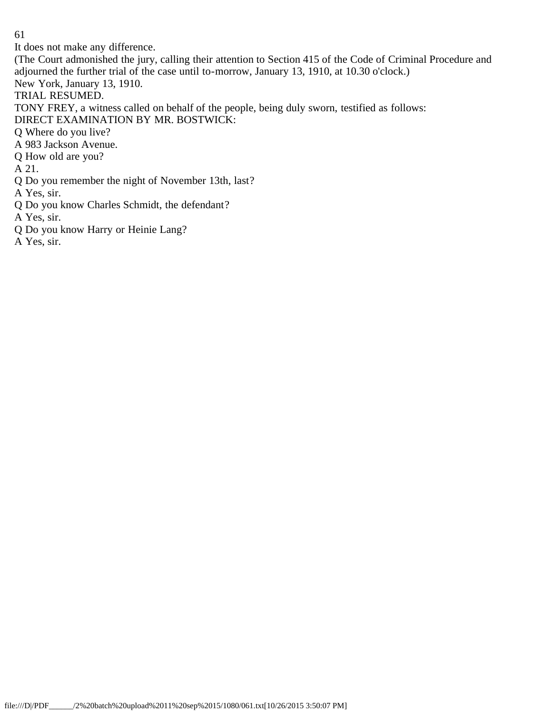It does not make any difference.

(The Court admonished the jury, calling their attention to Section 415 of the Code of Criminal Procedure and adjourned the further trial of the case until to-morrow, January 13, 1910, at 10.30 o'clock.) New York, January 13, 1910.

TRIAL RESUMED.

TONY FREY, a witness called on behalf of the people, being duly sworn, testified as follows:

DIRECT EXAMINATION BY MR. BOSTWICK:

Q Where do you live?

A 983 Jackson Avenue.

Q How old are you?

A 21.

Q Do you remember the night of November 13th, last?

A Yes, sir.

Q Do you know Charles Schmidt, the defendant?

A Yes, sir.

Q Do you know Harry or Heinie Lang?

A Yes, sir.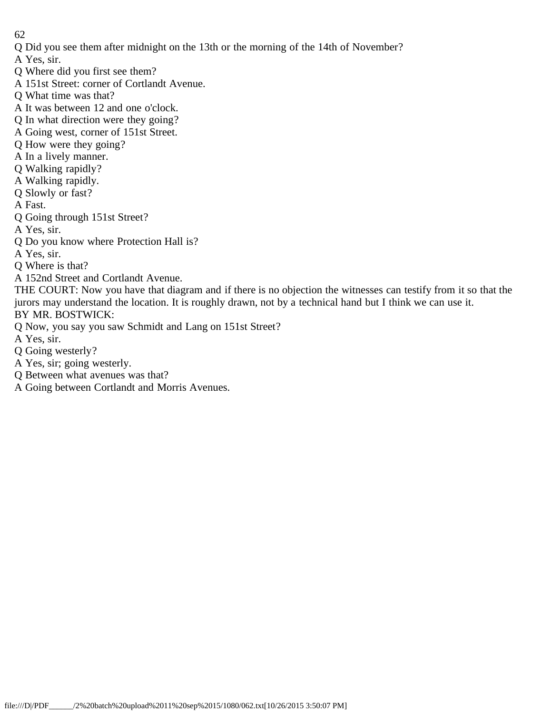- Q Did you see them after midnight on the 13th or the morning of the 14th of November?
- A Yes, sir.
- Q Where did you first see them?
- A 151st Street: corner of Cortlandt Avenue.
- Q What time was that?
- A It was between 12 and one o'clock.
- Q In what direction were they going?
- A Going west, corner of 151st Street.
- Q How were they going?
- A In a lively manner.
- Q Walking rapidly?
- A Walking rapidly.
- Q Slowly or fast?
- A Fast.
- Q Going through 151st Street?
- A Yes, sir.
- Q Do you know where Protection Hall is?
- A Yes, sir.
- Q Where is that?
- A 152nd Street and Cortlandt Avenue.
- THE COURT: Now you have that diagram and if there is no objection the witnesses can testify from it so that the jurors may understand the location. It is roughly drawn, not by a technical hand but I think we can use it. BY MR. BOSTWICK:
- Q Now, you say you saw Schmidt and Lang on 151st Street?
- A Yes, sir.
- Q Going westerly?
- A Yes, sir; going westerly.
- Q Between what avenues was that?
- A Going between Cortlandt and Morris Avenues.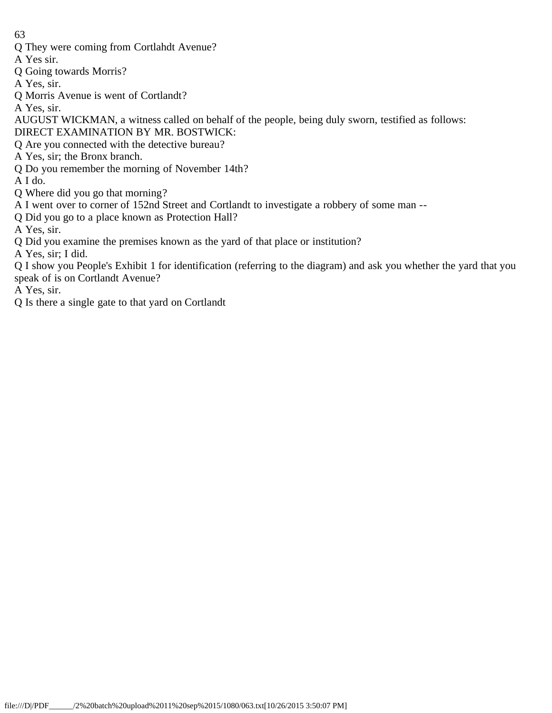Q They were coming from Cortlahdt Avenue?

A Yes sir.

Q Going towards Morris?

A Yes, sir.

Q Morris Avenue is went of Cortlandt?

A Yes, sir.

AUGUST WICKMAN, a witness called on behalf of the people, being duly sworn, testified as follows: DIRECT EXAMINATION BY MR. BOSTWICK:

Q Are you connected with the detective bureau?

- A Yes, sir; the Bronx branch.
- Q Do you remember the morning of November 14th?

A I do.

Q Where did you go that morning?

A I went over to corner of 152nd Street and Cortlandt to investigate a robbery of some man --

Q Did you go to a place known as Protection Hall?

A Yes, sir.

Q Did you examine the premises known as the yard of that place or institution?

A Yes, sir; I did.

Q I show you People's Exhibit 1 for identification (referring to the diagram) and ask you whether the yard that you speak of is on Cortlandt Avenue?

A Yes, sir.

Q Is there a single gate to that yard on Cortlandt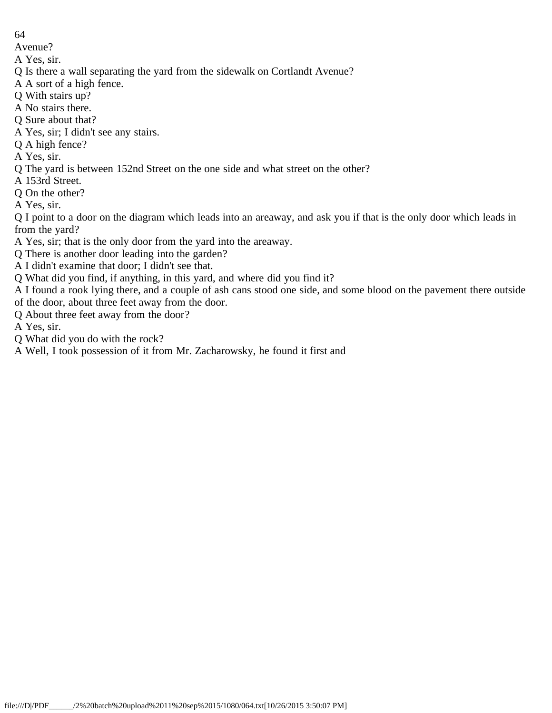Avenue?

- A Yes, sir.
- Q Is there a wall separating the yard from the sidewalk on Cortlandt Avenue?
- A A sort of a high fence.
- Q With stairs up?
- A No stairs there.
- Q Sure about that?
- A Yes, sir; I didn't see any stairs.
- Q A high fence?
- A Yes, sir.
- Q The yard is between 152nd Street on the one side and what street on the other?
- A 153rd Street.
- Q On the other?
- A Yes, sir.

Q I point to a door on the diagram which leads into an areaway, and ask you if that is the only door which leads in from the yard?

- A Yes, sir; that is the only door from the yard into the areaway.
- Q There is another door leading into the garden?
- A I didn't examine that door; I didn't see that.
- Q What did you find, if anything, in this yard, and where did you find it?

A I found a rook lying there, and a couple of ash cans stood one side, and some blood on the pavement there outside of the door, about three feet away from the door.

- Q About three feet away from the door?
- A Yes, sir.
- Q What did you do with the rock?
- A Well, I took possession of it from Mr. Zacharowsky, he found it first and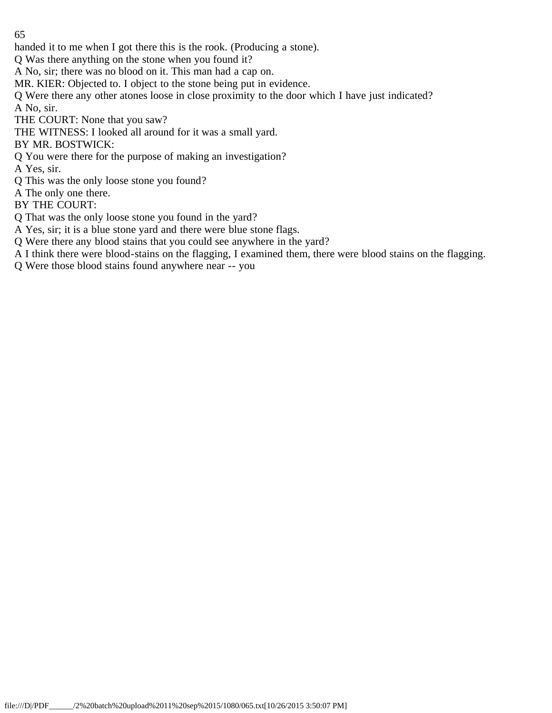handed it to me when I got there this is the rook. (Producing a stone).

Q Was there anything on the stone when you found it?

A No, sir; there was no blood on it. This man had a cap on.

MR. KIER: Objected to. I object to the stone being put in evidence.

Q Were there any other atones loose in close proximity to the door which I have just indicated? A No, sir.

THE COURT: None that you saw?

THE WITNESS: I looked all around for it was a small yard.

BY MR. BOSTWICK:

Q You were there for the purpose of making an investigation?

A Yes, sir.

Q This was the only loose stone you found?

A The only one there.

BY THE COURT:

Q That was the only loose stone you found in the yard?

A Yes, sir; it is a blue stone yard and there were blue stone flags.

Q Were there any blood stains that you could see anywhere in the yard?

A I think there were blood-stains on the flagging, I examined them, there were blood stains on the flagging.

Q Were those blood stains found anywhere near -- you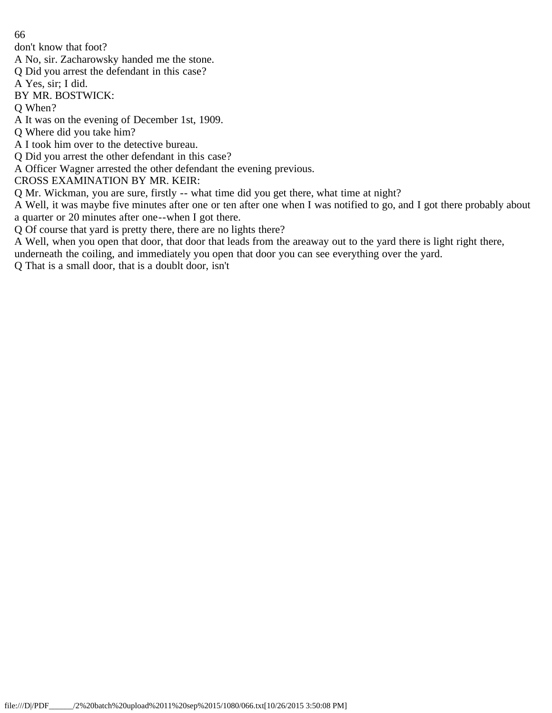don't know that foot?

A No, sir. Zacharowsky handed me the stone.

Q Did you arrest the defendant in this case?

A Yes, sir; I did.

BY MR. BOSTWICK:

Q When?

- A It was on the evening of December 1st, 1909.
- Q Where did you take him?
- A I took him over to the detective bureau.
- Q Did you arrest the other defendant in this case?

A Officer Wagner arrested the other defendant the evening previous.

CROSS EXAMINATION BY MR. KEIR:

Q Mr. Wickman, you are sure, firstly -- what time did you get there, what time at night?

A Well, it was maybe five minutes after one or ten after one when I was notified to go, and I got there probably about a quarter or 20 minutes after one--when I got there.

Q Of course that yard is pretty there, there are no lights there?

A Well, when you open that door, that door that leads from the areaway out to the yard there is light right there,

underneath the coiling, and immediately you open that door you can see everything over the yard.

Q That is a small door, that is a doublt door, isn't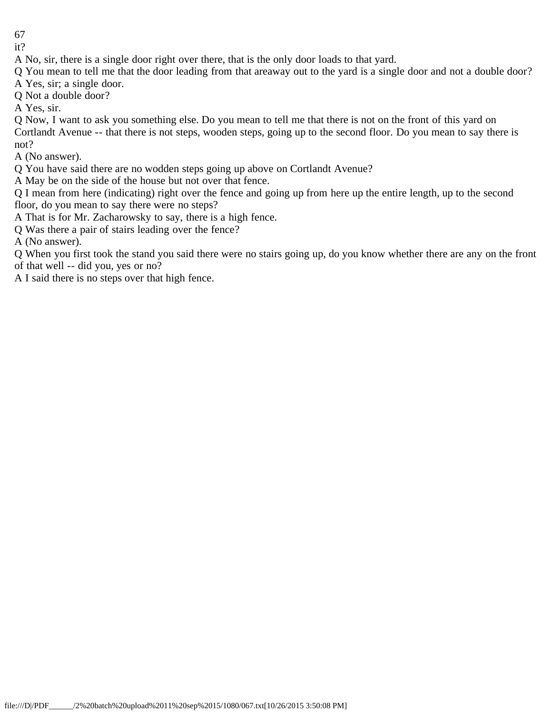it?

A No, sir, there is a single door right over there, that is the only door loads to that yard.

Q You mean to tell me that the door leading from that areaway out to the yard is a single door and not a double door?

A Yes, sir; a single door.

Q Not a double door?

A Yes, sir.

Q Now, I want to ask you something else. Do you mean to tell me that there is not on the front of this yard on Cortlandt Avenue -- that there is not steps, wooden steps, going up to the second floor. Do you mean to say there is not?

A (No answer).

Q You have said there are no wodden steps going up above on Cortlandt Avenue?

A May be on the side of the house but not over that fence.

Q I mean from here (indicating) right over the fence and going up from here up the entire length, up to the second floor, do you mean to say there were no steps?

A That is for Mr. Zacharowsky to say, there is a high fence.

Q Was there a pair of stairs leading over the fence?

A (No answer).

Q When you first took the stand you said there were no stairs going up, do you know whether there are any on the front of that well -- did you, yes or no?

A I said there is no steps over that high fence.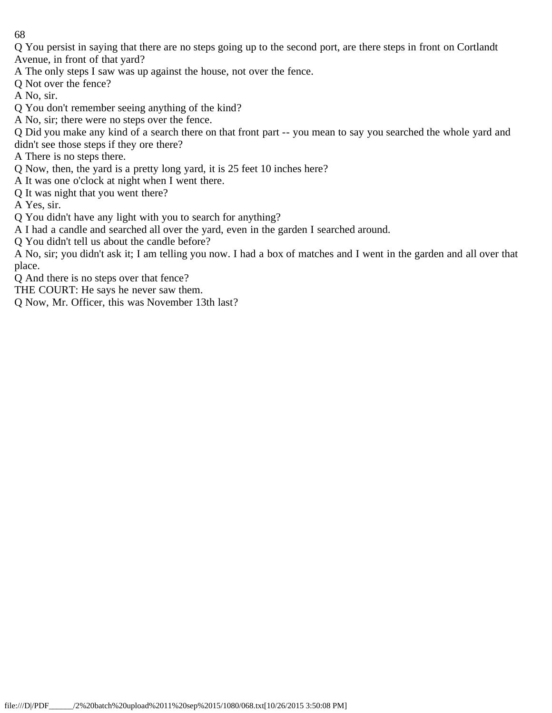Q You persist in saying that there are no steps going up to the second port, are there steps in front on Cortlandt Avenue, in front of that yard?

- A The only steps I saw was up against the house, not over the fence.
- Q Not over the fence?
- A No, sir.
- Q You don't remember seeing anything of the kind?
- A No, sir; there were no steps over the fence.

Q Did you make any kind of a search there on that front part -- you mean to say you searched the whole yard and

- didn't see those steps if they ore there?
- A There is no steps there.
- Q Now, then, the yard is a pretty long yard, it is 25 feet 10 inches here?
- A It was one o'clock at night when I went there.
- Q It was night that you went there?
- A Yes, sir.
- Q You didn't have any light with you to search for anything?
- A I had a candle and searched all over the yard, even in the garden I searched around.
- Q You didn't tell us about the candle before?

A No, sir; you didn't ask it; I am telling you now. I had a box of matches and I went in the garden and all over that place.

- Q And there is no steps over that fence?
- THE COURT: He says he never saw them.
- Q Now, Mr. Officer, this was November 13th last?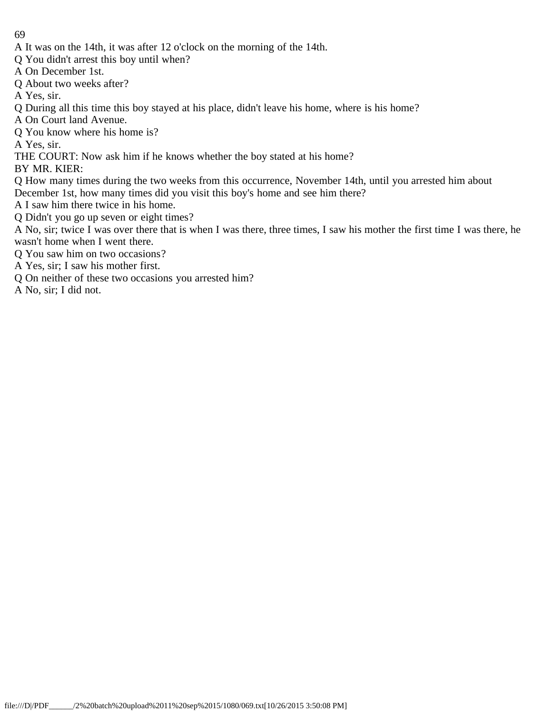- A It was on the 14th, it was after 12 o'clock on the morning of the 14th.
- Q You didn't arrest this boy until when?
- A On December 1st.
- Q About two weeks after?
- A Yes, sir.
- Q During all this time this boy stayed at his place, didn't leave his home, where is his home?
- A On Court land Avenue.
- Q You know where his home is?

A Yes, sir.

THE COURT: Now ask him if he knows whether the boy stated at his home?

BY MR. KIER:

- Q How many times during the two weeks from this occurrence, November 14th, until you arrested him about December 1st, how many times did you visit this boy's home and see him there?
- A I saw him there twice in his home.
- Q Didn't you go up seven or eight times?
- A No, sir; twice I was over there that is when I was there, three times, I saw his mother the first time I was there, he wasn't home when I went there.
- Q You saw him on two occasions?
- A Yes, sir; I saw his mother first.
- Q On neither of these two occasions you arrested him?
- A No, sir; I did not.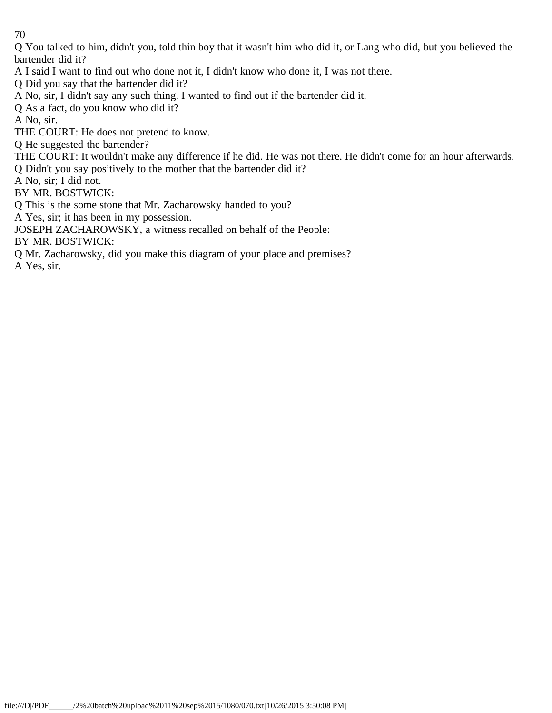Q You talked to him, didn't you, told thin boy that it wasn't him who did it, or Lang who did, but you believed the bartender did it?

A I said I want to find out who done not it, I didn't know who done it, I was not there.

Q Did you say that the bartender did it?

A No, sir, I didn't say any such thing. I wanted to find out if the bartender did it.

Q As a fact, do you know who did it?

A No, sir.

THE COURT: He does not pretend to know.

Q He suggested the bartender?

THE COURT: It wouldn't make any difference if he did. He was not there. He didn't come for an hour afterwards.

Q Didn't you say positively to the mother that the bartender did it?

A No, sir; I did not.

BY MR. BOSTWICK:

Q This is the some stone that Mr. Zacharowsky handed to you?

A Yes, sir; it has been in my possession.

JOSEPH ZACHAROWSKY, a witness recalled on behalf of the People:

BY MR. BOSTWICK:

Q Mr. Zacharowsky, did you make this diagram of your place and premises?

A Yes, sir.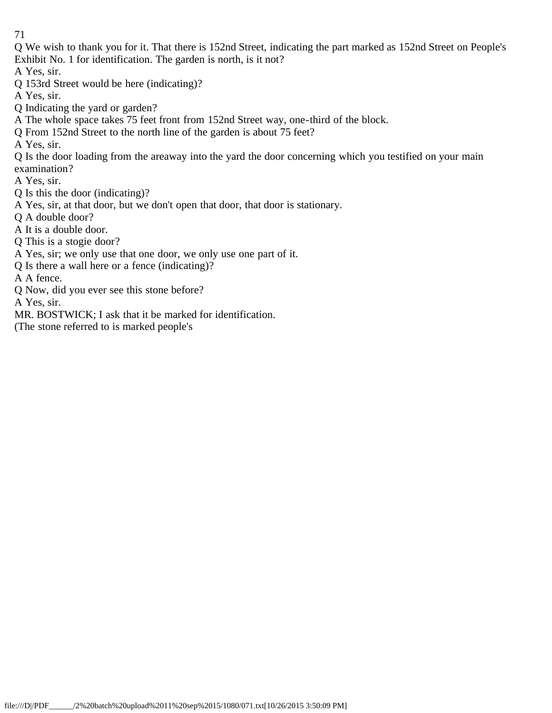Q We wish to thank you for it. That there is 152nd Street, indicating the part marked as 152nd Street on People's Exhibit No. 1 for identification. The garden is north, is it not?

A Yes, sir.

Q 153rd Street would be here (indicating)?

A Yes, sir.

Q Indicating the yard or garden?

A The whole space takes 75 feet front from 152nd Street way, one-third of the block.

Q From 152nd Street to the north line of the garden is about 75 feet?

A Yes, sir.

Q Is the door loading from the areaway into the yard the door concerning which you testified on your main examination?

A Yes, sir.

Q Is this the door (indicating)?

A Yes, sir, at that door, but we don't open that door, that door is stationary.

Q A double door?

A It is a double door.

Q This is a stogie door?

A Yes, sir; we only use that one door, we only use one part of it.

Q Is there a wall here or a fence (indicating)?

A A fence.

Q Now, did you ever see this stone before?

A Yes, sir.

MR. BOSTWICK; I ask that it be marked for identification.

(The stone referred to is marked people's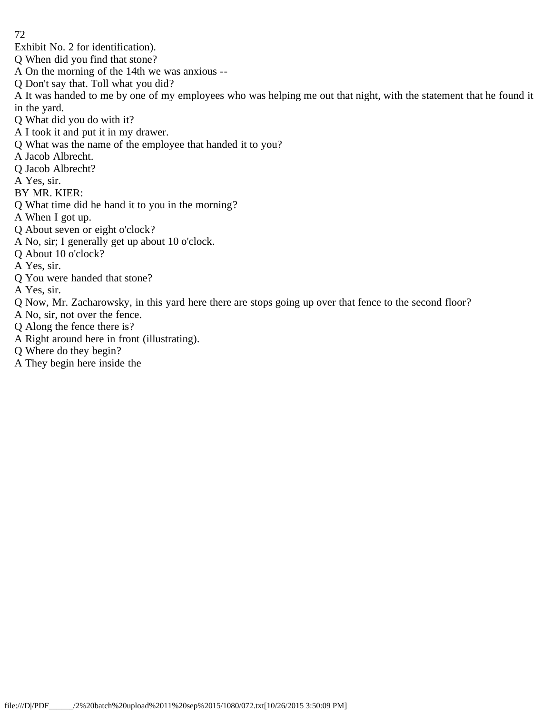- Exhibit No. 2 for identification).
- Q When did you find that stone?
- A On the morning of the 14th we was anxious --
- Q Don't say that. Toll what you did?
- A It was handed to me by one of my employees who was helping me out that night, with the statement that he found it in the yard.
- Q What did you do with it?
- A I took it and put it in my drawer.
- Q What was the name of the employee that handed it to you?
- A Jacob Albrecht.
- Q Jacob Albrecht?
- A Yes, sir.
- BY MR. KIER:
- Q What time did he hand it to you in the morning?
- A When I got up.
- Q About seven or eight o'clock?
- A No, sir; I generally get up about 10 o'clock.
- Q About 10 o'clock?
- A Yes, sir.
- Q You were handed that stone?
- A Yes, sir.
- Q Now, Mr. Zacharowsky, in this yard here there are stops going up over that fence to the second floor?
- A No, sir, not over the fence.
- Q Along the fence there is?
- A Right around here in front (illustrating).
- Q Where do they begin?
- A They begin here inside the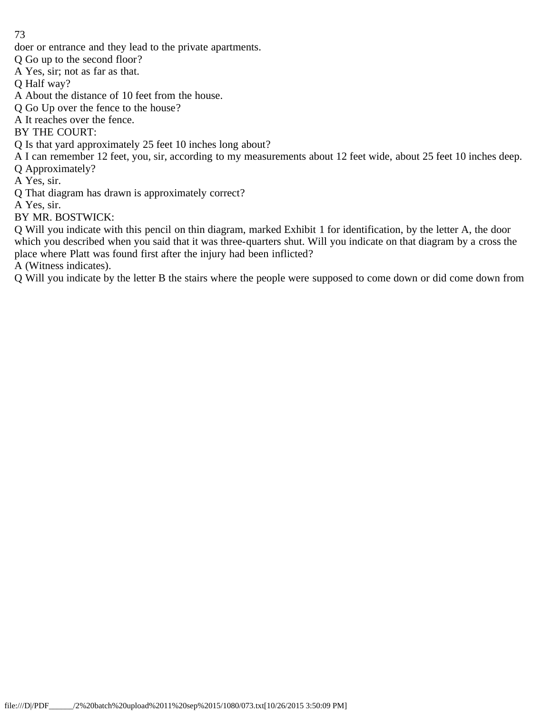doer or entrance and they lead to the private apartments.

Q Go up to the second floor?

A Yes, sir; not as far as that.

Q Half way?

A About the distance of 10 feet from the house.

Q Go Up over the fence to the house?

A It reaches over the fence.

BY THE COURT:

Q Is that yard approximately 25 feet 10 inches long about?

A I can remember 12 feet, you, sir, according to my measurements about 12 feet wide, about 25 feet 10 inches deep.

Q Approximately?

A Yes, sir.

Q That diagram has drawn is approximately correct?

A Yes, sir.

BY MR. BOSTWICK:

Q Will you indicate with this pencil on thin diagram, marked Exhibit 1 for identification, by the letter A, the door which you described when you said that it was three-quarters shut. Will you indicate on that diagram by a cross the place where Platt was found first after the injury had been inflicted?

A (Witness indicates).

Q Will you indicate by the letter B the stairs where the people were supposed to come down or did come down from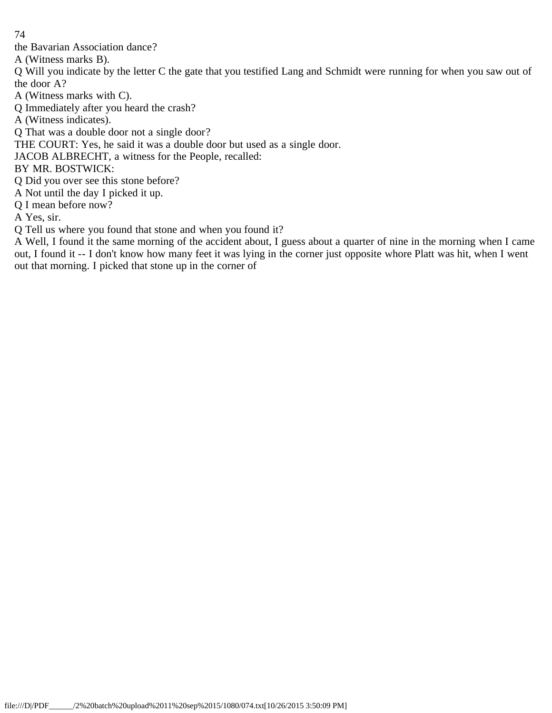the Bavarian Association dance?

A (Witness marks B).

Q Will you indicate by the letter C the gate that you testified Lang and Schmidt were running for when you saw out of the door A?

A (Witness marks with C).

Q Immediately after you heard the crash?

A (Witness indicates).

Q That was a double door not a single door?

THE COURT: Yes, he said it was a double door but used as a single door.

JACOB ALBRECHT, a witness for the People, recalled:

BY MR. BOSTWICK:

Q Did you over see this stone before?

A Not until the day I picked it up.

Q I mean before now?

A Yes, sir.

Q Tell us where you found that stone and when you found it?

A Well, I found it the same morning of the accident about, I guess about a quarter of nine in the morning when I came out, I found it -- I don't know how many feet it was lying in the corner just opposite whore Platt was hit, when I went out that morning. I picked that stone up in the corner of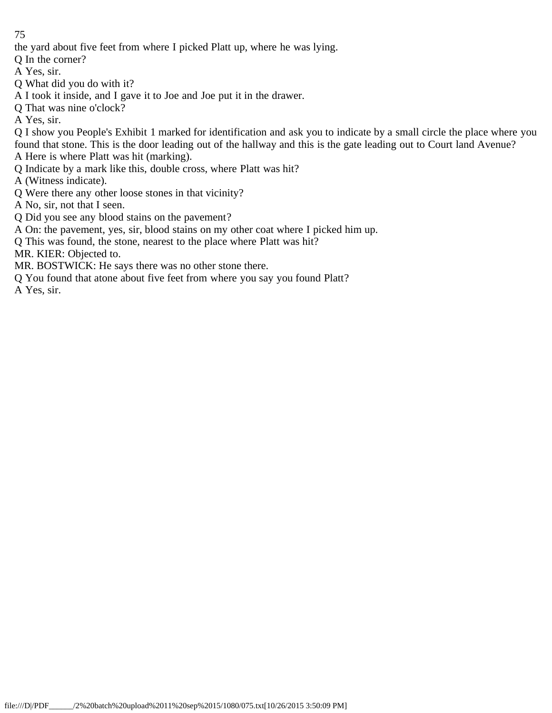the yard about five feet from where I picked Platt up, where he was lying.

Q In the corner?

A Yes, sir.

- Q What did you do with it?
- A I took it inside, and I gave it to Joe and Joe put it in the drawer.
- Q That was nine o'clock?

A Yes, sir.

Q I show you People's Exhibit 1 marked for identification and ask you to indicate by a small circle the place where you found that stone. This is the door leading out of the hallway and this is the gate leading out to Court land Avenue? A Here is where Platt was hit (marking).

Q Indicate by a mark like this, double cross, where Platt was hit?

A (Witness indicate).

Q Were there any other loose stones in that vicinity?

A No, sir, not that I seen.

- Q Did you see any blood stains on the pavement?
- A On: the pavement, yes, sir, blood stains on my other coat where I picked him up.
- Q This was found, the stone, nearest to the place where Platt was hit?

MR. KIER: Objected to.

- MR. BOSTWICK: He says there was no other stone there.
- Q You found that atone about five feet from where you say you found Platt?

A Yes, sir.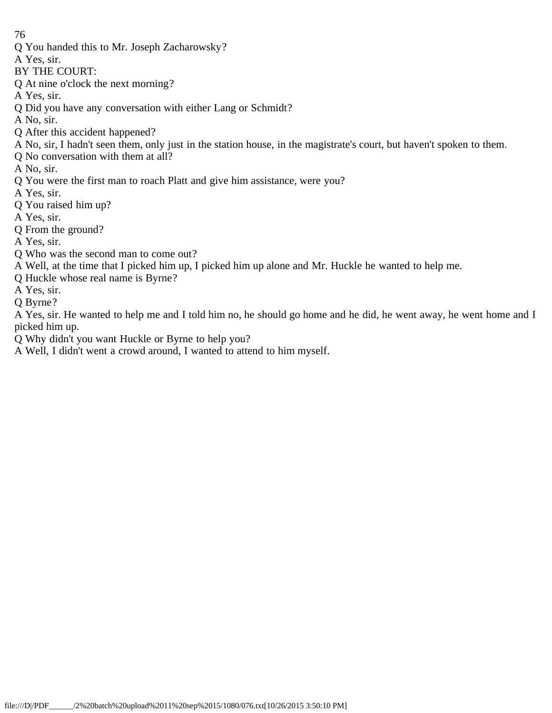- Q You handed this to Mr. Joseph Zacharowsky?
- A Yes, sir.
- BY THE COURT:
- Q At nine o'clock the next morning?
- A Yes, sir.
- Q Did you have any conversation with either Lang or Schmidt?
- A No, sir.
- Q After this accident happened?
- A No, sir, I hadn't seen them, only just in the station house, in the magistrate's court, but haven't spoken to them.
- Q No conversation with them at all?
- A No, sir.
- Q You were the first man to roach Platt and give him assistance, were you?
- A Yes, sir.
- Q You raised him up?
- A Yes, sir.
- Q From the ground?
- A Yes, sir.
- Q Who was the second man to come out?
- A Well, at the time that I picked him up, I picked him up alone and Mr. Huckle he wanted to help me.
- Q Huckle whose real name is Byrne?
- A Yes, sir.
- Q Byrne?
- A Yes, sir. He wanted to help me and I told him no, he should go home and he did, he went away, he went home and I picked him up.
- Q Why didn't you want Huckle or Byrne to help you?
- A Well, I didn't went a crowd around, I wanted to attend to him myself.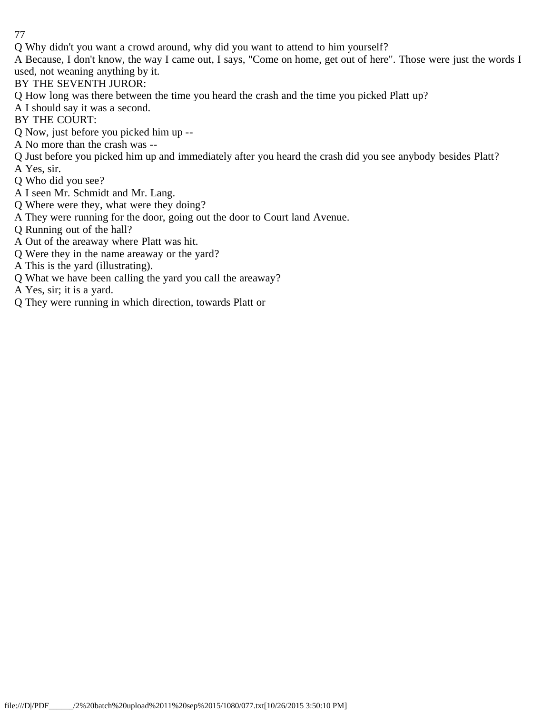Q Why didn't you want a crowd around, why did you want to attend to him yourself?

A Because, I don't know, the way I came out, I says, "Come on home, get out of here". Those were just the words I used, not weaning anything by it.

- BY THE SEVENTH JUROR:
- Q How long was there between the time you heard the crash and the time you picked Platt up?
- A I should say it was a second.
- BY THE COURT:
- Q Now, just before you picked him up --
- A No more than the crash was --
- Q Just before you picked him up and immediately after you heard the crash did you see anybody besides Platt?
- A Yes, sir.
- Q Who did you see?
- A I seen Mr. Schmidt and Mr. Lang.
- Q Where were they, what were they doing?
- A They were running for the door, going out the door to Court land Avenue.
- Q Running out of the hall?
- A Out of the areaway where Platt was hit.
- Q Were they in the name areaway or the yard?
- A This is the yard (illustrating).
- Q What we have been calling the yard you call the areaway?
- A Yes, sir; it is a yard.
- Q They were running in which direction, towards Platt or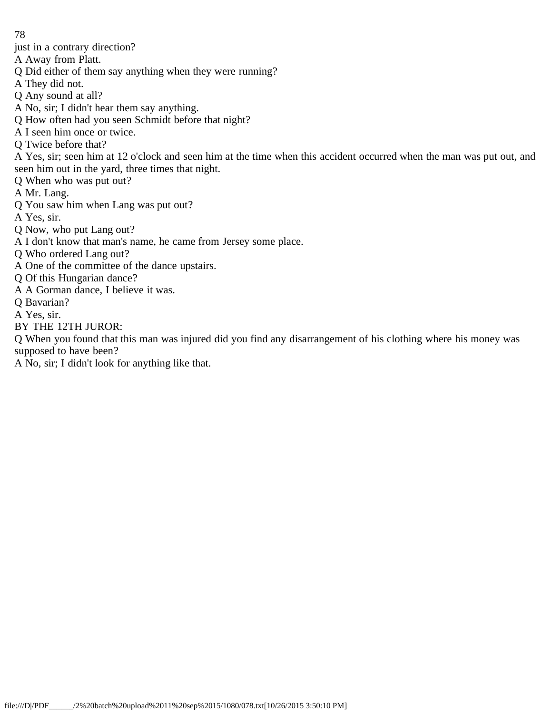just in a contrary direction?

A Away from Platt.

- Q Did either of them say anything when they were running?
- A They did not.
- Q Any sound at all?
- A No, sir; I didn't hear them say anything.
- Q How often had you seen Schmidt before that night?
- A I seen him once or twice.
- Q Twice before that?

A Yes, sir; seen him at 12 o'clock and seen him at the time when this accident occurred when the man was put out, and seen him out in the yard, three times that night.

- Q When who was put out?
- A Mr. Lang.
- Q You saw him when Lang was put out?
- A Yes, sir.
- Q Now, who put Lang out?
- A I don't know that man's name, he came from Jersey some place.
- Q Who ordered Lang out?
- A One of the committee of the dance upstairs.
- Q Of this Hungarian dance?
- A A Gorman dance, I believe it was.
- Q Bavarian?
- A Yes, sir.
- BY THE 12TH JUROR:

Q When you found that this man was injured did you find any disarrangement of his clothing where his money was supposed to have been?

A No, sir; I didn't look for anything like that.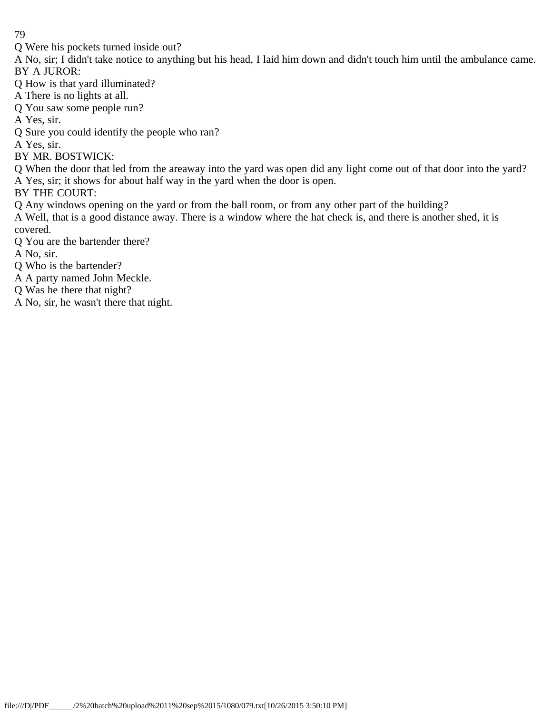Q Were his pockets turned inside out?

A No, sir; I didn't take notice to anything but his head, I laid him down and didn't touch him until the ambulance came. BY A JUROR:

Q How is that yard illuminated?

A There is no lights at all.

Q You saw some people run?

A Yes, sir.

Q Sure you could identify the people who ran?

A Yes, sir.

BY MR. BOSTWICK:

Q When the door that led from the areaway into the yard was open did any light come out of that door into the yard? A Yes, sir; it shows for about half way in the yard when the door is open.

BY THE COURT:

Q Any windows opening on the yard or from the ball room, or from any other part of the building?

A Well, that is a good distance away. There is a window where the hat check is, and there is another shed, it is covered.

Q You are the bartender there?

A No, sir.

Q Who is the bartender?

A A party named John Meckle.

Q Was he there that night?

A No, sir, he wasn't there that night.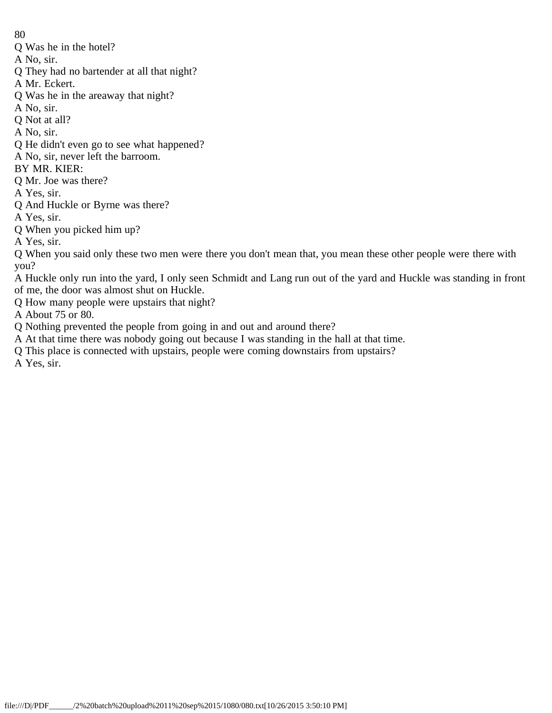- Q Was he in the hotel?
- A No, sir.
- Q They had no bartender at all that night?
- A Mr. Eckert.
- Q Was he in the areaway that night?
- A No, sir.
- Q Not at all?
- A No, sir.
- Q He didn't even go to see what happened?
- A No, sir, never left the barroom.
- BY MR. KIER:
- Q Mr. Joe was there?
- A Yes, sir.
- Q And Huckle or Byrne was there?
- A Yes, sir.
- Q When you picked him up?
- A Yes, sir.
- Q When you said only these two men were there you don't mean that, you mean these other people were there with you?
- A Huckle only run into the yard, I only seen Schmidt and Lang run out of the yard and Huckle was standing in front of me, the door was almost shut on Huckle.
- Q How many people were upstairs that night?
- A About 75 or 80.
- Q Nothing prevented the people from going in and out and around there?
- A At that time there was nobody going out because I was standing in the hall at that time.
- Q This place is connected with upstairs, people were coming downstairs from upstairs?
- A Yes, sir.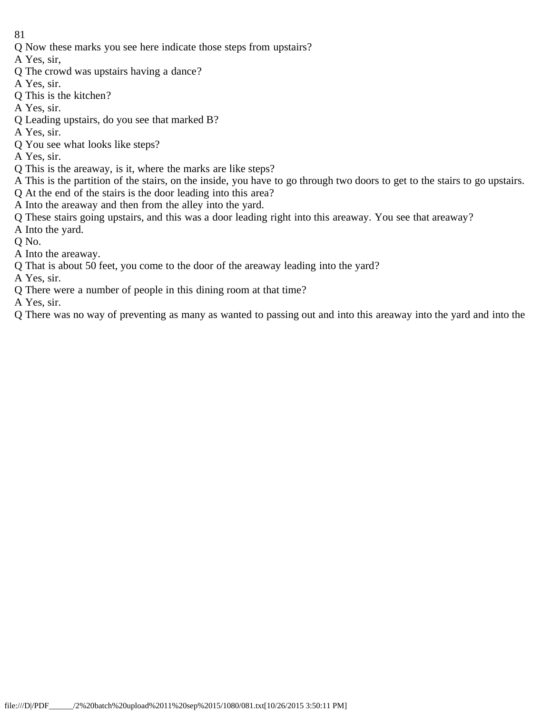- 81
- Q Now these marks you see here indicate those steps from upstairs?
- A Yes, sir,
- Q The crowd was upstairs having a dance?
- A Yes, sir.
- Q This is the kitchen?
- A Yes, sir.
- Q Leading upstairs, do you see that marked B?
- A Yes, sir.
- Q You see what looks like steps?
- A Yes, sir.
- Q This is the areaway, is it, where the marks are like steps?
- A This is the partition of the stairs, on the inside, you have to go through two doors to get to the stairs to go upstairs.
- Q At the end of the stairs is the door leading into this area?
- A Into the areaway and then from the alley into the yard.
- Q These stairs going upstairs, and this was a door leading right into this areaway. You see that areaway?
- A Into the yard.
- Q No.
- A Into the areaway.
- Q That is about 50 feet, you come to the door of the areaway leading into the yard?

A Yes, sir.

Q There were a number of people in this dining room at that time?

A Yes, sir.

Q There was no way of preventing as many as wanted to passing out and into this areaway into the yard and into the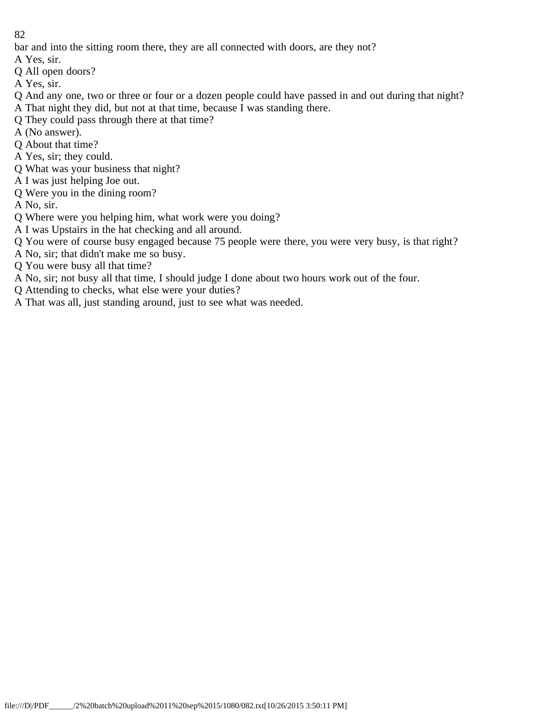bar and into the sitting room there, they are all connected with doors, are they not?

- A Yes, sir.
- Q All open doors?
- A Yes, sir.
- Q And any one, two or three or four or a dozen people could have passed in and out during that night? A That night they did, but not at that time, because I was standing there.
- Q They could pass through there at that time?
- A (No answer).
- Q About that time?
- A Yes, sir; they could.
- Q What was your business that night?
- A I was just helping Joe out.
- Q Were you in the dining room?
- A No, sir.
- Q Where were you helping him, what work were you doing?
- A I was Upstairs in the hat checking and all around.
- Q You were of course busy engaged because 75 people were there, you were very busy, is that right?
- A No, sir; that didn't make me so busy.
- Q You were busy all that time?
- A No, sir; not busy all that time, I should judge I done about two hours work out of the four.
- Q Attending to checks, what else were your duties?
- A That was all, just standing around, just to see what was needed.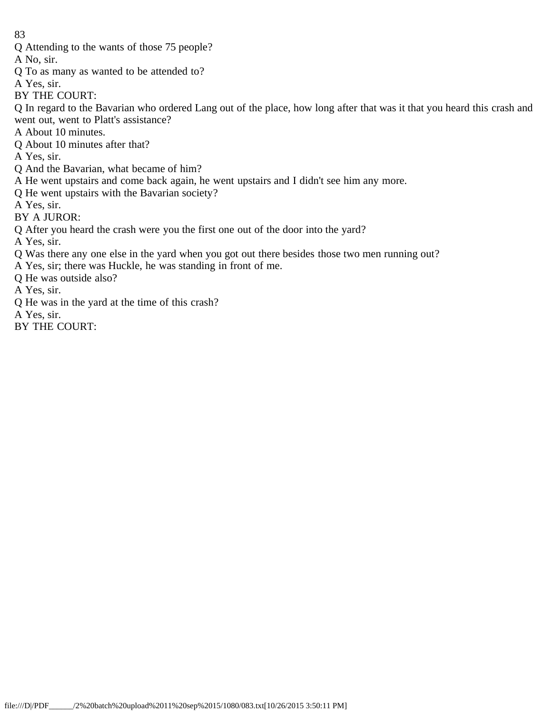Q Attending to the wants of those 75 people?

A No, sir.

- Q To as many as wanted to be attended to?
- A Yes, sir.
- BY THE COURT:

Q In regard to the Bavarian who ordered Lang out of the place, how long after that was it that you heard this crash and went out, went to Platt's assistance?

- A About 10 minutes.
- Q About 10 minutes after that?
- A Yes, sir.
- Q And the Bavarian, what became of him?
- A He went upstairs and come back again, he went upstairs and I didn't see him any more.
- Q He went upstairs with the Bavarian society?
- A Yes, sir.
- BY A JUROR:
- Q After you heard the crash were you the first one out of the door into the yard?
- A Yes, sir.
- Q Was there any one else in the yard when you got out there besides those two men running out?
- A Yes, sir; there was Huckle, he was standing in front of me.
- Q He was outside also?
- A Yes, sir.
- Q He was in the yard at the time of this crash?
- A Yes, sir.
- BY THE COURT: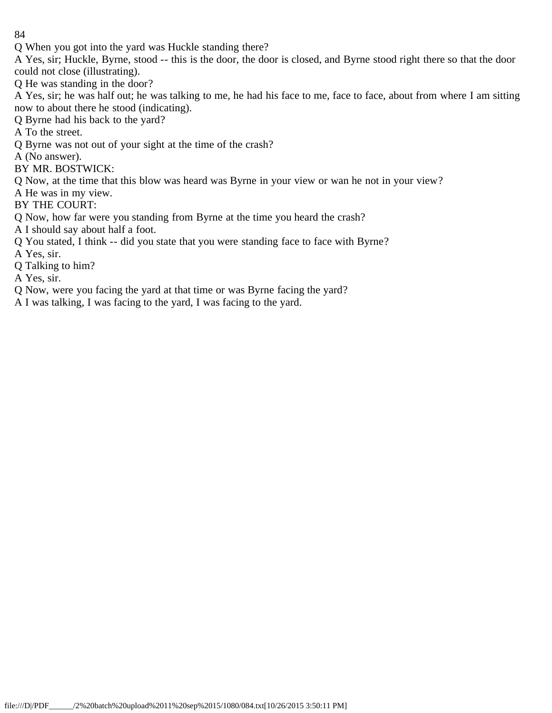Q When you got into the yard was Huckle standing there?

A Yes, sir; Huckle, Byrne, stood -- this is the door, the door is closed, and Byrne stood right there so that the door could not close (illustrating).

Q He was standing in the door?

A Yes, sir; he was half out; he was talking to me, he had his face to me, face to face, about from where I am sitting now to about there he stood (indicating).

Q Byrne had his back to the yard?

A To the street.

Q Byrne was not out of your sight at the time of the crash?

A (No answer).

BY MR. BOSTWICK:

Q Now, at the time that this blow was heard was Byrne in your view or wan he not in your view?

A He was in my view.

BY THE COURT:

Q Now, how far were you standing from Byrne at the time you heard the crash?

A I should say about half a foot.

Q You stated, I think -- did you state that you were standing face to face with Byrne?

A Yes, sir.

Q Talking to him?

A Yes, sir.

Q Now, were you facing the yard at that time or was Byrne facing the yard?

A I was talking, I was facing to the yard, I was facing to the yard.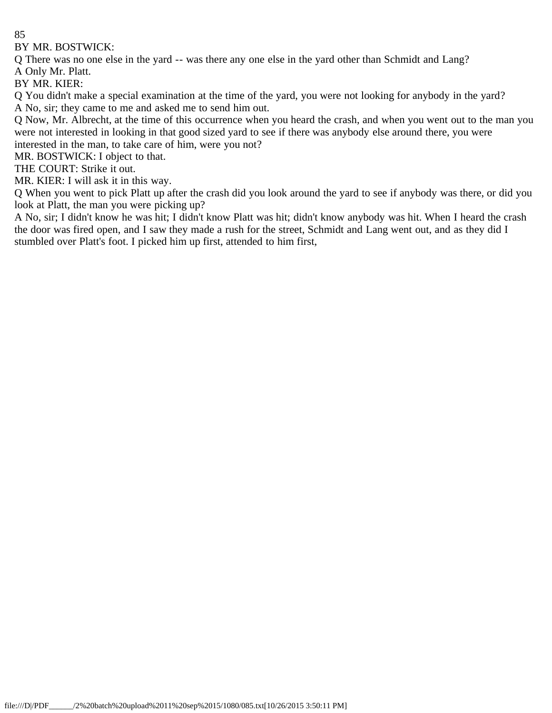BY MR. BOSTWICK:

Q There was no one else in the yard -- was there any one else in the yard other than Schmidt and Lang?

A Only Mr. Platt.

BY MR. KIER:

Q You didn't make a special examination at the time of the yard, you were not looking for anybody in the yard? A No, sir; they came to me and asked me to send him out.

Q Now, Mr. Albrecht, at the time of this occurrence when you heard the crash, and when you went out to the man you were not interested in looking in that good sized yard to see if there was anybody else around there, you were interested in the man, to take care of him, were you not?

MR. BOSTWICK: I object to that.

THE COURT: Strike it out.

MR. KIER: I will ask it in this way.

Q When you went to pick Platt up after the crash did you look around the yard to see if anybody was there, or did you look at Platt, the man you were picking up?

A No, sir; I didn't know he was hit; I didn't know Platt was hit; didn't know anybody was hit. When I heard the crash the door was fired open, and I saw they made a rush for the street, Schmidt and Lang went out, and as they did I stumbled over Platt's foot. I picked him up first, attended to him first,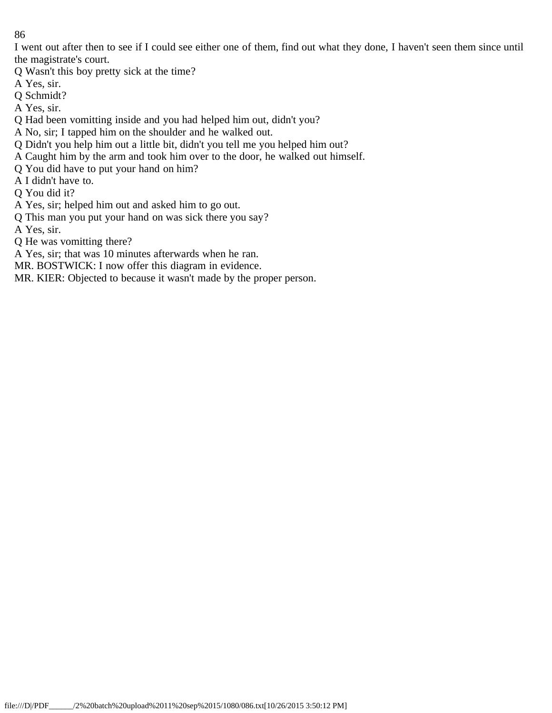I went out after then to see if I could see either one of them, find out what they done, I haven't seen them since until the magistrate's court.

- Q Wasn't this boy pretty sick at the time?
- A Yes, sir.
- Q Schmidt?
- A Yes, sir.
- Q Had been vomitting inside and you had helped him out, didn't you?
- A No, sir; I tapped him on the shoulder and he walked out.
- Q Didn't you help him out a little bit, didn't you tell me you helped him out?
- A Caught him by the arm and took him over to the door, he walked out himself.
- Q You did have to put your hand on him?
- A I didn't have to.
- Q You did it?
- A Yes, sir; helped him out and asked him to go out.
- Q This man you put your hand on was sick there you say?
- A Yes, sir.
- Q He was vomitting there?
- A Yes, sir; that was 10 minutes afterwards when he ran.
- MR. BOSTWICK: I now offer this diagram in evidence.
- MR. KIER: Objected to because it wasn't made by the proper person.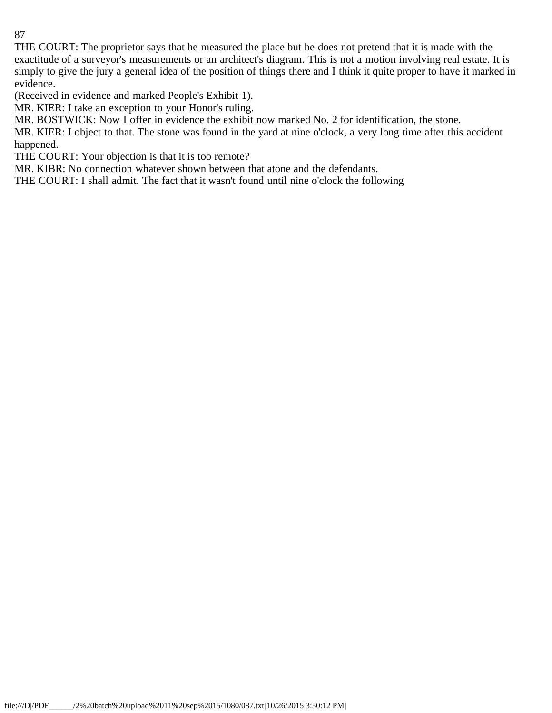THE COURT: The proprietor says that he measured the place but he does not pretend that it is made with the exactitude of a surveyor's measurements or an architect's diagram. This is not a motion involving real estate. It is simply to give the jury a general idea of the position of things there and I think it quite proper to have it marked in evidence.

(Received in evidence and marked People's Exhibit 1).

MR. KIER: I take an exception to your Honor's ruling.

MR. BOSTWICK: Now I offer in evidence the exhibit now marked No. 2 for identification, the stone.

MR. KIER: I object to that. The stone was found in the yard at nine o'clock, a very long time after this accident happened.

THE COURT: Your objection is that it is too remote?

MR. KIBR: No connection whatever shown between that atone and the defendants.

THE COURT: I shall admit. The fact that it wasn't found until nine o'clock the following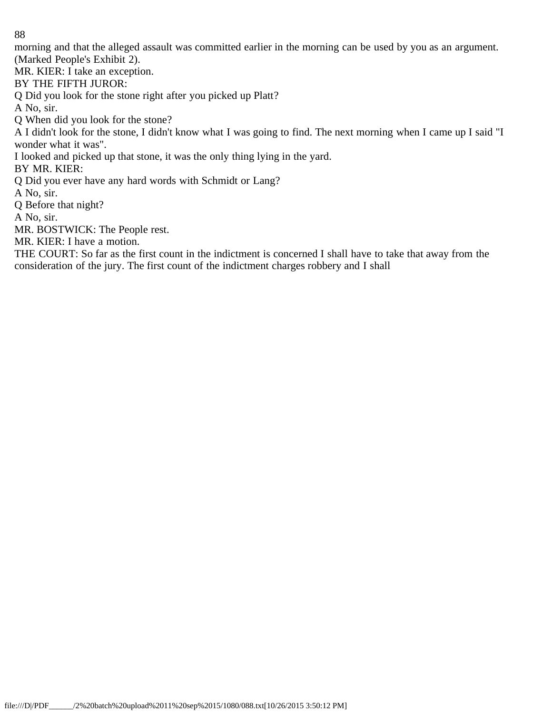morning and that the alleged assault was committed earlier in the morning can be used by you as an argument. (Marked People's Exhibit 2).

MR. KIER: I take an exception.

## BY THE FIFTH JUROR:

Q Did you look for the stone right after you picked up Platt?

A No, sir.

Q When did you look for the stone?

A I didn't look for the stone, I didn't know what I was going to find. The next morning when I came up I said "I wonder what it was".

I looked and picked up that stone, it was the only thing lying in the yard.

BY MR. KIER:

Q Did you ever have any hard words with Schmidt or Lang?

A No, sir.

Q Before that night?

A No, sir.

MR. BOSTWICK: The People rest.

MR. KIER: I have a motion.

THE COURT: So far as the first count in the indictment is concerned I shall have to take that away from the consideration of the jury. The first count of the indictment charges robbery and I shall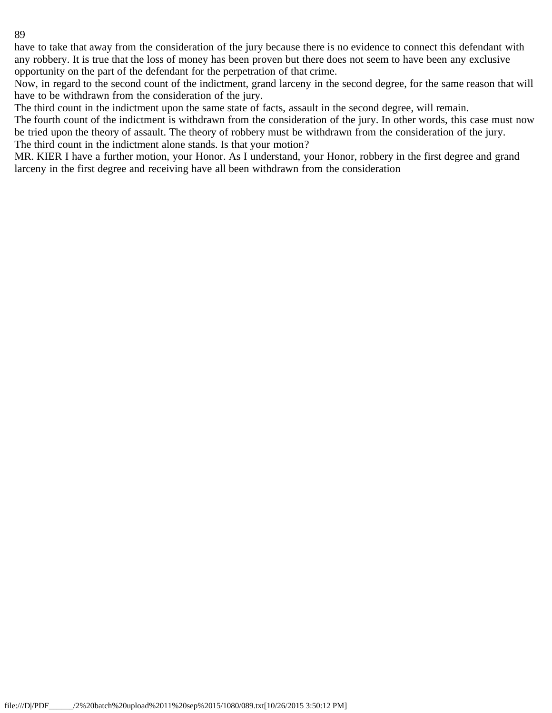have to take that away from the consideration of the jury because there is no evidence to connect this defendant with any robbery. It is true that the loss of money has been proven but there does not seem to have been any exclusive opportunity on the part of the defendant for the perpetration of that crime.

Now, in regard to the second count of the indictment, grand larceny in the second degree, for the same reason that will have to be withdrawn from the consideration of the jury.

The third count in the indictment upon the same state of facts, assault in the second degree, will remain.

The fourth count of the indictment is withdrawn from the consideration of the jury. In other words, this case must now be tried upon the theory of assault. The theory of robbery must be withdrawn from the consideration of the jury. The third count in the indictment alone stands. Is that your motion?

MR. KIER I have a further motion, your Honor. As I understand, your Honor, robbery in the first degree and grand larceny in the first degree and receiving have all been withdrawn from the consideration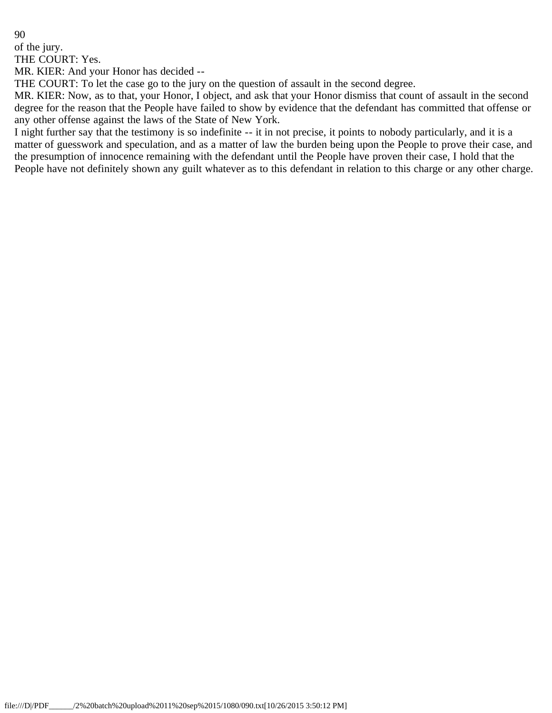of the jury.

THE COURT: Yes.

MR. KIER: And your Honor has decided --

THE COURT: To let the case go to the jury on the question of assault in the second degree.

MR. KIER: Now, as to that, your Honor, I object, and ask that your Honor dismiss that count of assault in the second degree for the reason that the People have failed to show by evidence that the defendant has committed that offense or any other offense against the laws of the State of New York.

I night further say that the testimony is so indefinite -- it in not precise, it points to nobody particularly, and it is a matter of guesswork and speculation, and as a matter of law the burden being upon the People to prove their case, and the presumption of innocence remaining with the defendant until the People have proven their case, I hold that the People have not definitely shown any guilt whatever as to this defendant in relation to this charge or any other charge.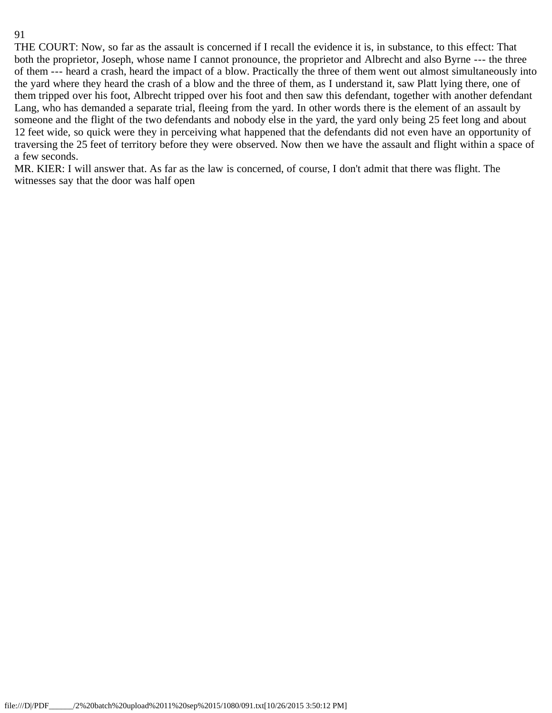THE COURT: Now, so far as the assault is concerned if I recall the evidence it is, in substance, to this effect: That both the proprietor, Joseph, whose name I cannot pronounce, the proprietor and Albrecht and also Byrne --- the three of them --- heard a crash, heard the impact of a blow. Practically the three of them went out almost simultaneously into the yard where they heard the crash of a blow and the three of them, as I understand it, saw Platt lying there, one of them tripped over his foot, Albrecht tripped over his foot and then saw this defendant, together with another defendant Lang, who has demanded a separate trial, fleeing from the yard. In other words there is the element of an assault by someone and the flight of the two defendants and nobody else in the yard, the yard only being 25 feet long and about 12 feet wide, so quick were they in perceiving what happened that the defendants did not even have an opportunity of traversing the 25 feet of territory before they were observed. Now then we have the assault and flight within a space of a few seconds.

MR. KIER: I will answer that. As far as the law is concerned, of course, I don't admit that there was flight. The witnesses say that the door was half open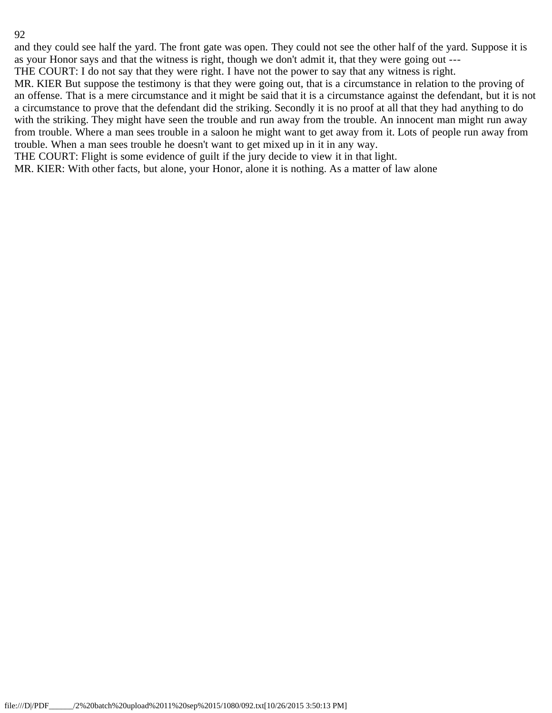and they could see half the yard. The front gate was open. They could not see the other half of the yard. Suppose it is as your Honor says and that the witness is right, though we don't admit it, that they were going out ---

THE COURT: I do not say that they were right. I have not the power to say that any witness is right.

MR. KIER But suppose the testimony is that they were going out, that is a circumstance in relation to the proving of an offense. That is a mere circumstance and it might be said that it is a circumstance against the defendant, but it is not a circumstance to prove that the defendant did the striking. Secondly it is no proof at all that they had anything to do with the striking. They might have seen the trouble and run away from the trouble. An innocent man might run away from trouble. Where a man sees trouble in a saloon he might want to get away from it. Lots of people run away from trouble. When a man sees trouble he doesn't want to get mixed up in it in any way.

THE COURT: Flight is some evidence of guilt if the jury decide to view it in that light.

MR. KIER: With other facts, but alone, your Honor, alone it is nothing. As a matter of law alone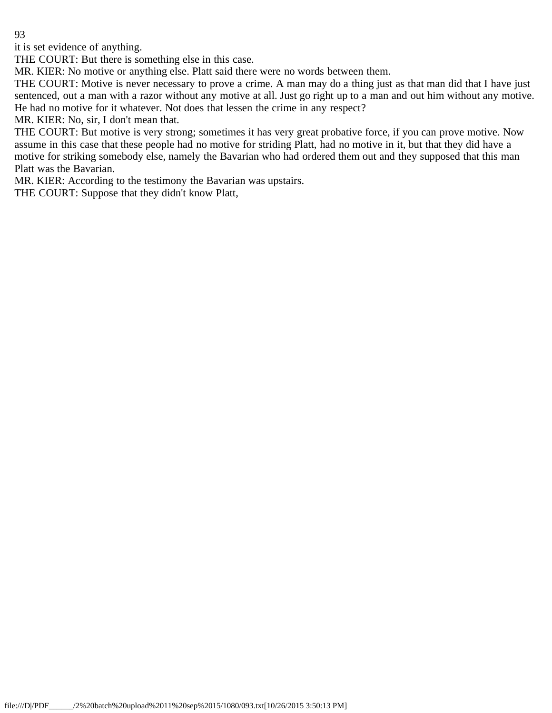it is set evidence of anything.

THE COURT: But there is something else in this case.

MR. KIER: No motive or anything else. Platt said there were no words between them.

THE COURT: Motive is never necessary to prove a crime. A man may do a thing just as that man did that I have just sentenced, out a man with a razor without any motive at all. Just go right up to a man and out him without any motive. He had no motive for it whatever. Not does that lessen the crime in any respect?

MR. KIER: No, sir, I don't mean that.

THE COURT: But motive is very strong; sometimes it has very great probative force, if you can prove motive. Now assume in this case that these people had no motive for striding Platt, had no motive in it, but that they did have a motive for striking somebody else, namely the Bavarian who had ordered them out and they supposed that this man Platt was the Bavarian.

MR. KIER: According to the testimony the Bavarian was upstairs.

THE COURT: Suppose that they didn't know Platt,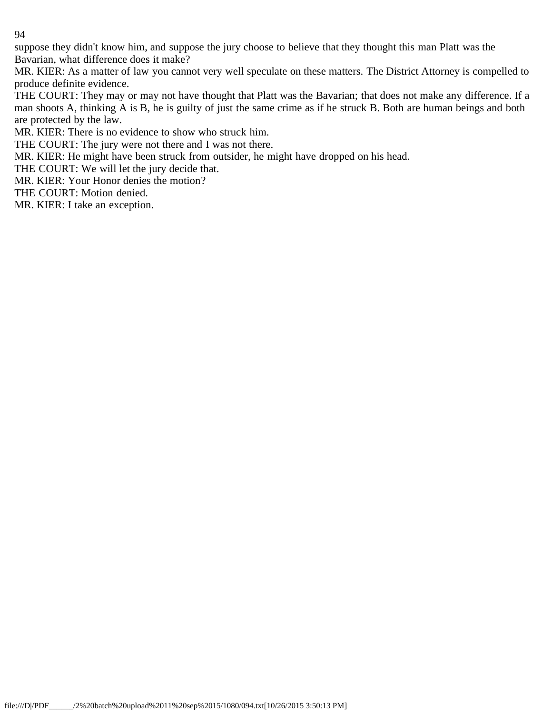suppose they didn't know him, and suppose the jury choose to believe that they thought this man Platt was the Bavarian, what difference does it make?

MR. KIER: As a matter of law you cannot very well speculate on these matters. The District Attorney is compelled to produce definite evidence.

THE COURT: They may or may not have thought that Platt was the Bavarian; that does not make any difference. If a man shoots A, thinking A is B, he is guilty of just the same crime as if he struck B. Both are human beings and both are protected by the law.

MR. KIER: There is no evidence to show who struck him.

THE COURT: The jury were not there and I was not there.

MR. KIER: He might have been struck from outsider, he might have dropped on his head.

THE COURT: We will let the jury decide that.

MR. KIER: Your Honor denies the motion?

THE COURT: Motion denied.

MR. KIER: I take an exception.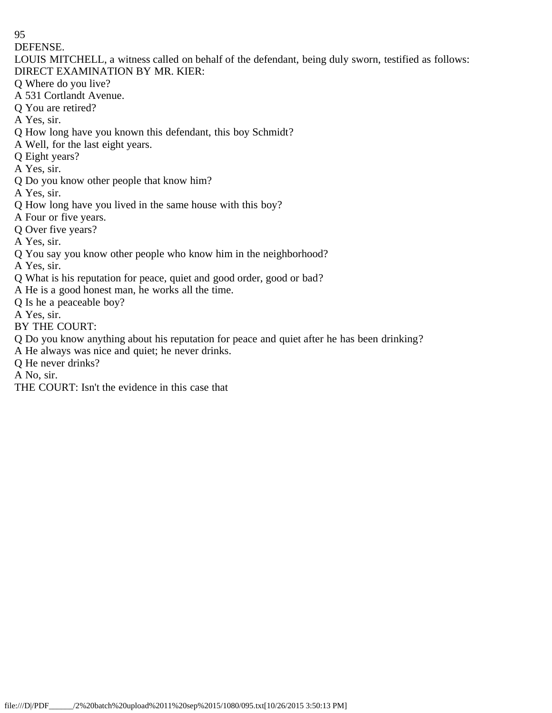DEFENSE.

- LOUIS MITCHELL, a witness called on behalf of the defendant, being duly sworn, testified as follows: DIRECT EXAMINATION BY MR. KIER:
- Q Where do you live?
- A 531 Cortlandt Avenue.
- Q You are retired?
- A Yes, sir.
- Q How long have you known this defendant, this boy Schmidt?
- A Well, for the last eight years.
- Q Eight years?
- A Yes, sir.
- Q Do you know other people that know him?
- A Yes, sir.
- Q How long have you lived in the same house with this boy?
- A Four or five years.
- Q Over five years?
- A Yes, sir.
- Q You say you know other people who know him in the neighborhood?
- A Yes, sir.
- Q What is his reputation for peace, quiet and good order, good or bad?
- A He is a good honest man, he works all the time.
- Q Is he a peaceable boy?
- A Yes, sir.
- BY THE COURT:
- Q Do you know anything about his reputation for peace and quiet after he has been drinking?
- A He always was nice and quiet; he never drinks.
- Q He never drinks?

A No, sir.

THE COURT: Isn't the evidence in this case that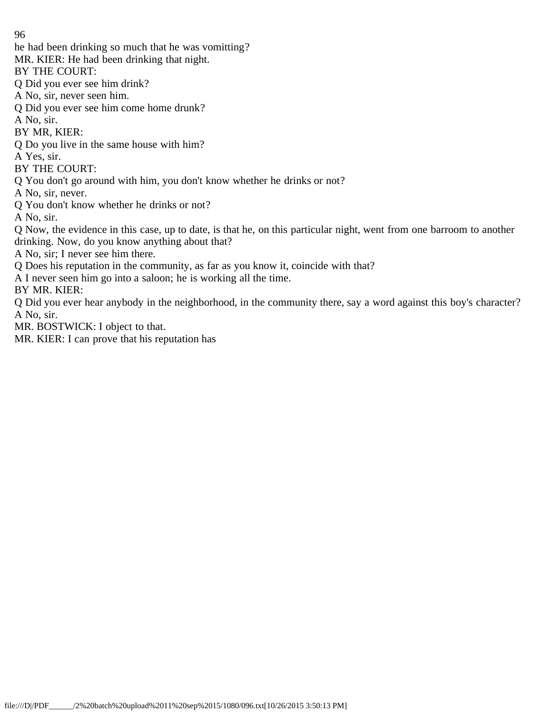- he had been drinking so much that he was vomitting?
- MR. KIER: He had been drinking that night.

BY THE COURT:

- Q Did you ever see him drink?
- A No, sir, never seen him.
- Q Did you ever see him come home drunk?
- A No, sir.

BY MR, KIER:

- Q Do you live in the same house with him?
- A Yes, sir.
- BY THE COURT:
- Q You don't go around with him, you don't know whether he drinks or not?

A No, sir, never.

Q You don't know whether he drinks or not?

A No, sir.

Q Now, the evidence in this case, up to date, is that he, on this particular night, went from one barroom to another drinking. Now, do you know anything about that?

A No, sir; I never see him there.

- Q Does his reputation in the community, as far as you know it, coincide with that?
- A I never seen him go into a saloon; he is working all the time.

BY MR. KIER:

Q Did you ever hear anybody in the neighborhood, in the community there, say a word against this boy's character? A No, sir.

MR. BOSTWICK: I object to that.

MR. KIER: I can prove that his reputation has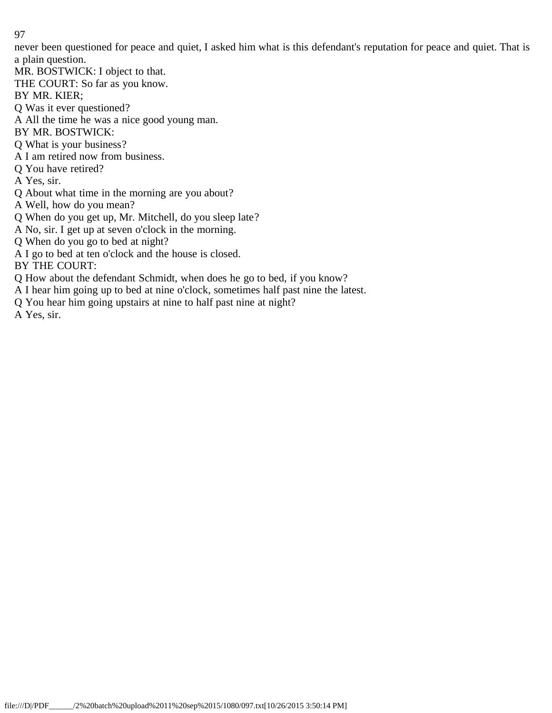never been questioned for peace and quiet, I asked him what is this defendant's reputation for peace and quiet. That is a plain question.

MR. BOSTWICK: I object to that.

THE COURT: So far as you know.

BY MR. KIER;

Q Was it ever questioned?

- A All the time he was a nice good young man.
- BY MR. BOSTWICK:
- Q What is your business?
- A I am retired now from business.
- Q You have retired?
- A Yes, sir.
- Q About what time in the morning are you about?
- A Well, how do you mean?
- Q When do you get up, Mr. Mitchell, do you sleep late?
- A No, sir. I get up at seven o'clock in the morning.
- Q When do you go to bed at night?
- A I go to bed at ten o'clock and the house is closed.

BY THE COURT:

- Q How about the defendant Schmidt, when does he go to bed, if you know?
- A I hear him going up to bed at nine o'clock, sometimes half past nine the latest.
- Q You hear him going upstairs at nine to half past nine at night?

A Yes, sir.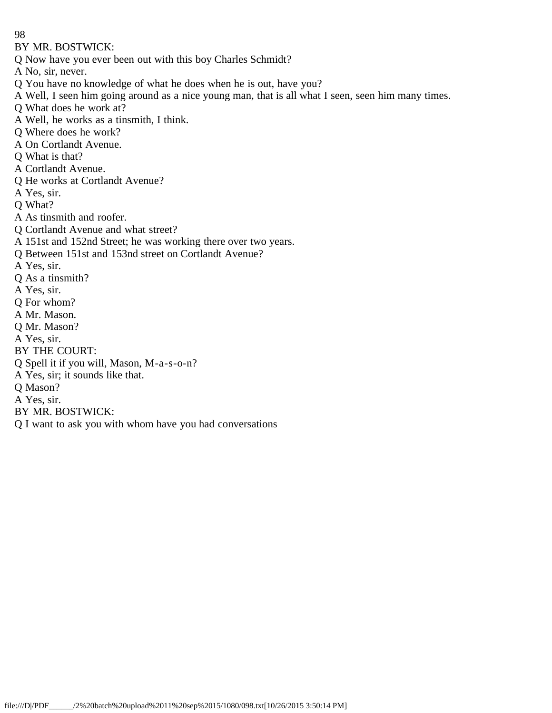BY MR. BOSTWICK:

Q Now have you ever been out with this boy Charles Schmidt?

A No, sir, never.

- Q You have no knowledge of what he does when he is out, have you?
- A Well, I seen him going around as a nice young man, that is all what I seen, seen him many times.
- Q What does he work at?
- A Well, he works as a tinsmith, I think.
- Q Where does he work?
- A On Cortlandt Avenue.
- Q What is that?
- A Cortlandt Avenue.
- Q He works at Cortlandt Avenue?
- A Yes, sir.
- Q What?
- A As tinsmith and roofer.
- Q Cortlandt Avenue and what street?
- A 151st and 152nd Street; he was working there over two years.
- Q Between 151st and 153nd street on Cortlandt Avenue?
- A Yes, sir.
- Q As a tinsmith?
- A Yes, sir.
- Q For whom?
- A Mr. Mason.
- Q Mr. Mason?
- A Yes, sir.
- BY THE COURT:
- Q Spell it if you will, Mason, M-a-s-o-n?
- A Yes, sir; it sounds like that.
- Q Mason?
- A Yes, sir.
- BY MR. BOSTWICK:
- Q I want to ask you with whom have you had conversations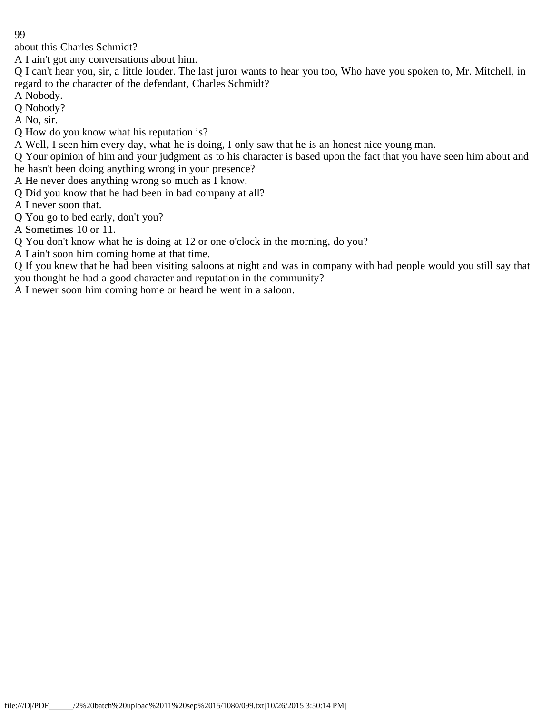about this Charles Schmidt?

A I ain't got any conversations about him.

Q I can't hear you, sir, a little louder. The last juror wants to hear you too, Who have you spoken to, Mr. Mitchell, in regard to the character of the defendant, Charles Schmidt?

A Nobody.

Q Nobody?

A No, sir.

Q How do you know what his reputation is?

A Well, I seen him every day, what he is doing, I only saw that he is an honest nice young man.

Q Your opinion of him and your judgment as to his character is based upon the fact that you have seen him about and he hasn't been doing anything wrong in your presence?

A He never does anything wrong so much as I know.

Q Did you know that he had been in bad company at all?

A I never soon that.

Q You go to bed early, don't you?

A Sometimes 10 or 11.

Q You don't know what he is doing at 12 or one o'clock in the morning, do you?

A I ain't soon him coming home at that time.

Q If you knew that he had been visiting saloons at night and was in company with had people would you still say that you thought he had a good character and reputation in the community?

A I newer soon him coming home or heard he went in a saloon.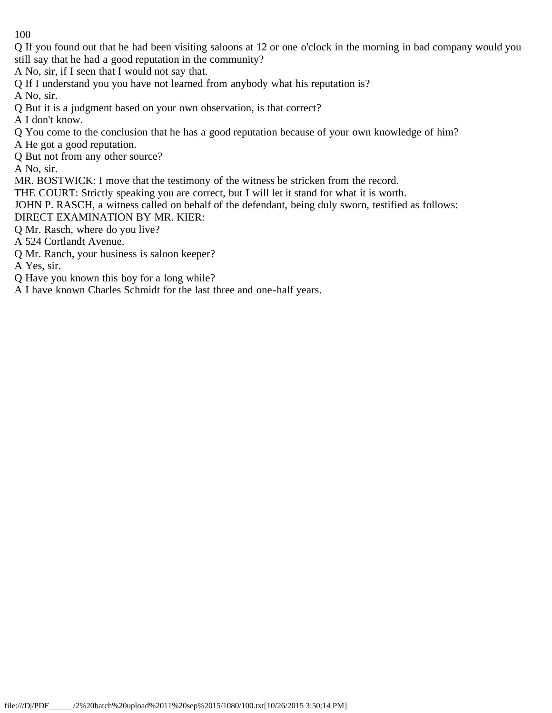Q If you found out that he had been visiting saloons at 12 or one o'clock in the morning in bad company would you still say that he had a good reputation in the community?

A No, sir, if I seen that I would not say that.

Q If I understand you you have not learned from anybody what his reputation is?

A No, sir.

Q But it is a judgment based on your own observation, is that correct?

A I don't know.

Q You come to the conclusion that he has a good reputation because of your own knowledge of him?

A He got a good reputation.

Q But not from any other source?

A No, sir.

MR. BOSTWICK: I move that the testimony of the witness be stricken from the record.

THE COURT: Strictly speaking you are correct, but I will let it stand for what it is worth.

JOHN P. RASCH, a witness called on behalf of the defendant, being duly sworn, testified as follows:

DIRECT EXAMINATION BY MR. KIER:

Q Mr. Rasch, where do you live?

A 524 Cortlandt Avenue.

Q Mr. Ranch, your business is saloon keeper?

A Yes, sir.

Q Have you known this boy for a long while?

A I have known Charles Schmidt for the last three and one-half years.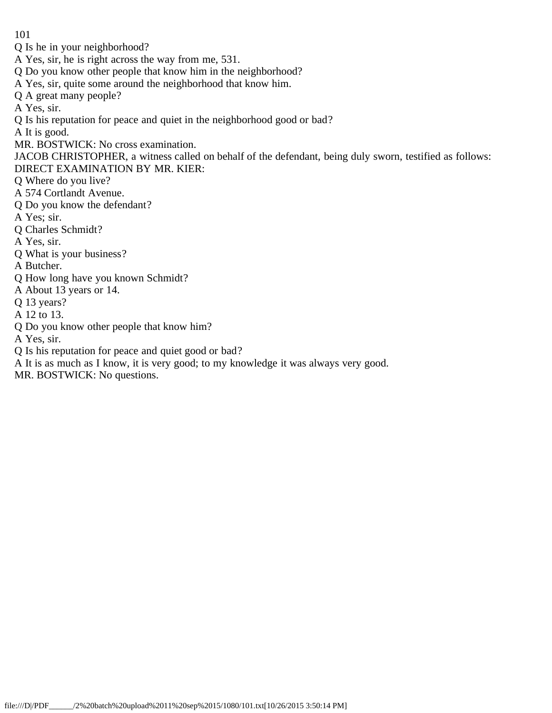- Q Is he in your neighborhood?
- A Yes, sir, he is right across the way from me, 531.
- Q Do you know other people that know him in the neighborhood?
- A Yes, sir, quite some around the neighborhood that know him.
- Q A great many people?
- A Yes, sir.
- Q Is his reputation for peace and quiet in the neighborhood good or bad?

A It is good.

- MR. BOSTWICK: No cross examination.
- JACOB CHRISTOPHER, a witness called on behalf of the defendant, being duly sworn, testified as follows: DIRECT EXAMINATION BY MR. KIER:
- Q Where do you live?
- A 574 Cortlandt Avenue.
- Q Do you know the defendant?
- A Yes; sir.
- Q Charles Schmidt?
- A Yes, sir.
- Q What is your business?

A Butcher.

- Q How long have you known Schmidt?
- A About 13 years or 14.
- Q 13 years?
- A 12 to 13.
- Q Do you know other people that know him?
- A Yes, sir.
- Q Is his reputation for peace and quiet good or bad?
- A It is as much as I know, it is very good; to my knowledge it was always very good.

MR. BOSTWICK: No questions.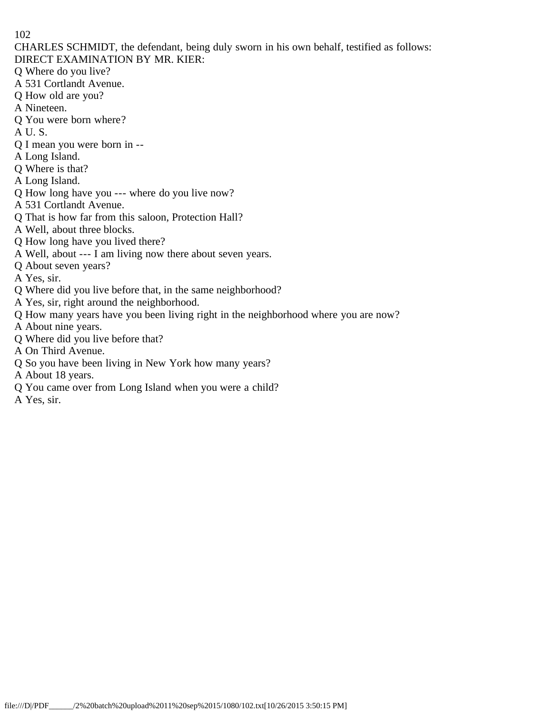CHARLES SCHMIDT, the defendant, being duly sworn in his own behalf, testified as follows:

- DIRECT EXAMINATION BY MR. KIER:
- Q Where do you live?
- A 531 Cortlandt Avenue.
- Q How old are you?
- A Nineteen.
- Q You were born where?
- A U. S.
- Q I mean you were born in --
- A Long Island.
- Q Where is that?
- A Long Island.
- Q How long have you --- where do you live now?
- A 531 Cortlandt Avenue.
- Q That is how far from this saloon, Protection Hall?
- A Well, about three blocks.
- Q How long have you lived there?
- A Well, about --- I am living now there about seven years.
- Q About seven years?
- A Yes, sir.
- Q Where did you live before that, in the same neighborhood?
- A Yes, sir, right around the neighborhood.
- Q How many years have you been living right in the neighborhood where you are now?
- A About nine years.
- Q Where did you live before that?
- A On Third Avenue.
- Q So you have been living in New York how many years?
- A About 18 years.
- Q You came over from Long Island when you were a child?
- A Yes, sir.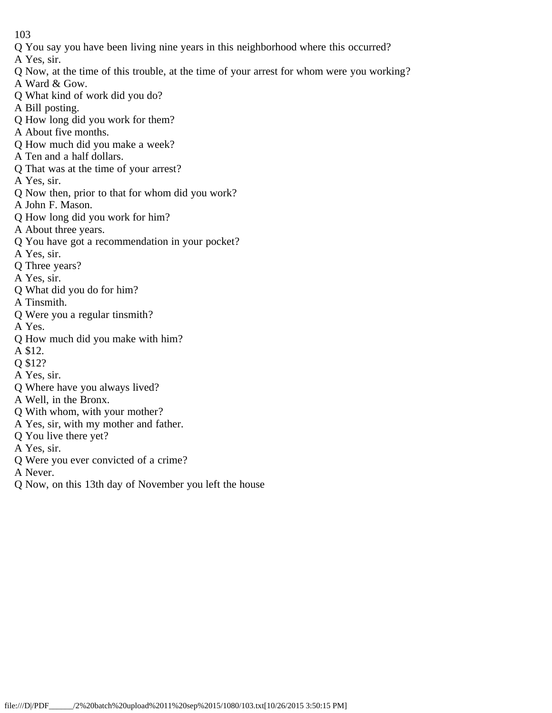- Q You say you have been living nine years in this neighborhood where this occurred?
- A Yes, sir.
- Q Now, at the time of this trouble, at the time of your arrest for whom were you working?
- A Ward & Gow.
- Q What kind of work did you do?
- A Bill posting.
- Q How long did you work for them?
- A About five months.
- Q How much did you make a week?
- A Ten and a half dollars.
- Q That was at the time of your arrest?
- A Yes, sir.
- Q Now then, prior to that for whom did you work?
- A John F. Mason.
- Q How long did you work for him?
- A About three years.
- Q You have got a recommendation in your pocket?
- A Yes, sir.
- Q Three years?
- A Yes, sir.
- Q What did you do for him?
- A Tinsmith.
- Q Were you a regular tinsmith?
- A Yes.
- Q How much did you make with him?
- A \$12.
- Q \$12?
- A Yes, sir.
- Q Where have you always lived?
- A Well, in the Bronx.
- Q With whom, with your mother?
- A Yes, sir, with my mother and father.
- Q You live there yet?
- A Yes, sir.
- Q Were you ever convicted of a crime?
- A Never.
- Q Now, on this 13th day of November you left the house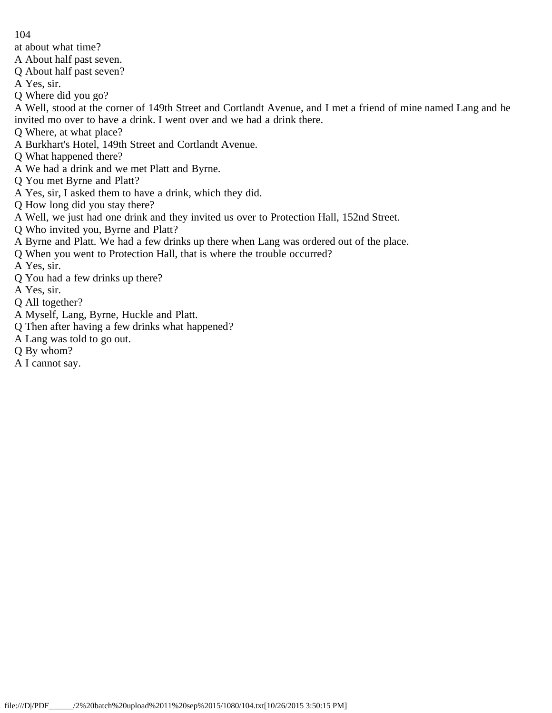- 104
- at about what time?
- A About half past seven.
- Q About half past seven?
- A Yes, sir.
- Q Where did you go?

A Well, stood at the corner of 149th Street and Cortlandt Avenue, and I met a friend of mine named Lang and he invited mo over to have a drink. I went over and we had a drink there.

- Q Where, at what place?
- A Burkhart's Hotel, 149th Street and Cortlandt Avenue.
- Q What happened there?
- A We had a drink and we met Platt and Byrne.
- Q You met Byrne and Platt?
- A Yes, sir, I asked them to have a drink, which they did.
- Q How long did you stay there?
- A Well, we just had one drink and they invited us over to Protection Hall, 152nd Street.
- Q Who invited you, Byrne and Platt?
- A Byrne and Platt. We had a few drinks up there when Lang was ordered out of the place.
- Q When you went to Protection Hall, that is where the trouble occurred?
- A Yes, sir.
- Q You had a few drinks up there?
- A Yes, sir.
- Q All together?
- A Myself, Lang, Byrne, Huckle and Platt.
- Q Then after having a few drinks what happened?
- A Lang was told to go out.
- Q By whom?
- A I cannot say.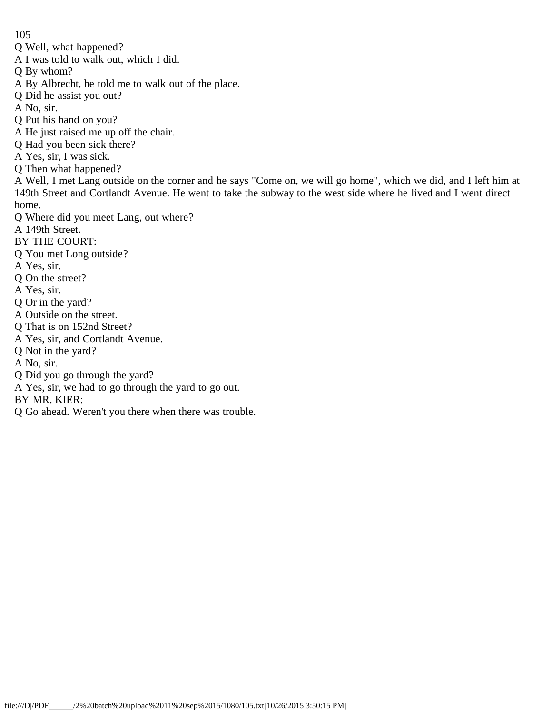Q Well, what happened?

A I was told to walk out, which I did.

Q By whom?

A By Albrecht, he told me to walk out of the place.

Q Did he assist you out?

A No, sir.

Q Put his hand on you?

A He just raised me up off the chair.

Q Had you been sick there?

A Yes, sir, I was sick.

Q Then what happened?

A Well, I met Lang outside on the corner and he says "Come on, we will go home", which we did, and I left him at 149th Street and Cortlandt Avenue. He went to take the subway to the west side where he lived and I went direct home.

Q Where did you meet Lang, out where?

A 149th Street.

BY THE COURT:

Q You met Long outside?

A Yes, sir.

Q On the street?

A Yes, sir.

Q Or in the yard?

A Outside on the street.

Q That is on 152nd Street?

A Yes, sir, and Cortlandt Avenue.

Q Not in the yard?

A No, sir.

Q Did you go through the yard?

A Yes, sir, we had to go through the yard to go out.

BY MR. KIER:

Q Go ahead. Weren't you there when there was trouble.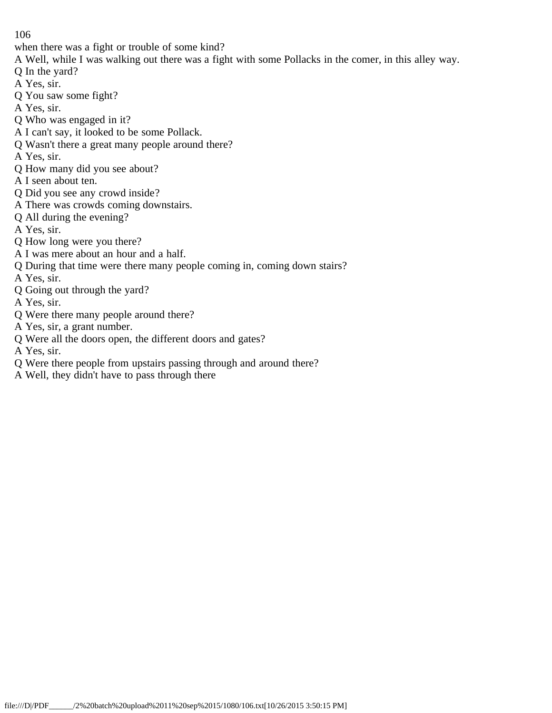- when there was a fight or trouble of some kind?
- A Well, while I was walking out there was a fight with some Pollacks in the comer, in this alley way.
- Q In the yard?
- A Yes, sir.
- Q You saw some fight?
- A Yes, sir.
- Q Who was engaged in it?
- A I can't say, it looked to be some Pollack.
- Q Wasn't there a great many people around there?
- A Yes, sir.
- Q How many did you see about?
- A I seen about ten.
- Q Did you see any crowd inside?
- A There was crowds coming downstairs.
- Q All during the evening?
- A Yes, sir.
- Q How long were you there?
- A I was mere about an hour and a half.
- Q During that time were there many people coming in, coming down stairs?
- A Yes, sir.
- Q Going out through the yard?
- A Yes, sir.
- Q Were there many people around there?
- A Yes, sir, a grant number.
- Q Were all the doors open, the different doors and gates?
- A Yes, sir.
- Q Were there people from upstairs passing through and around there?
- A Well, they didn't have to pass through there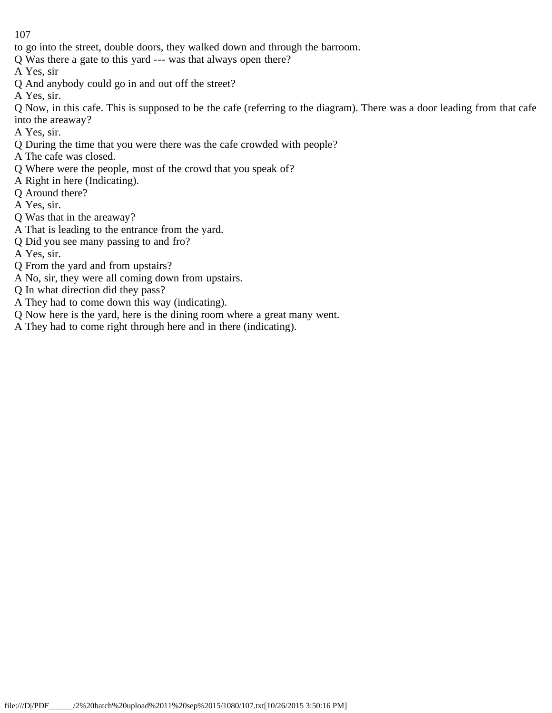- to go into the street, double doors, they walked down and through the barroom.
- Q Was there a gate to this yard --- was that always open there?
- A Yes, sir
- Q And anybody could go in and out off the street?
- A Yes, sir.

Q Now, in this cafe. This is supposed to be the cafe (referring to the diagram). There was a door leading from that cafe into the areaway?

- A Yes, sir.
- Q During the time that you were there was the cafe crowded with people?
- A The cafe was closed.
- Q Where were the people, most of the crowd that you speak of?
- A Right in here (Indicating).
- Q Around there?
- A Yes, sir.
- Q Was that in the areaway?
- A That is leading to the entrance from the yard.
- Q Did you see many passing to and fro?
- A Yes, sir.
- Q From the yard and from upstairs?
- A No, sir, they were all coming down from upstairs.
- Q In what direction did they pass?
- A They had to come down this way (indicating).
- Q Now here is the yard, here is the dining room where a great many went.
- A They had to come right through here and in there (indicating).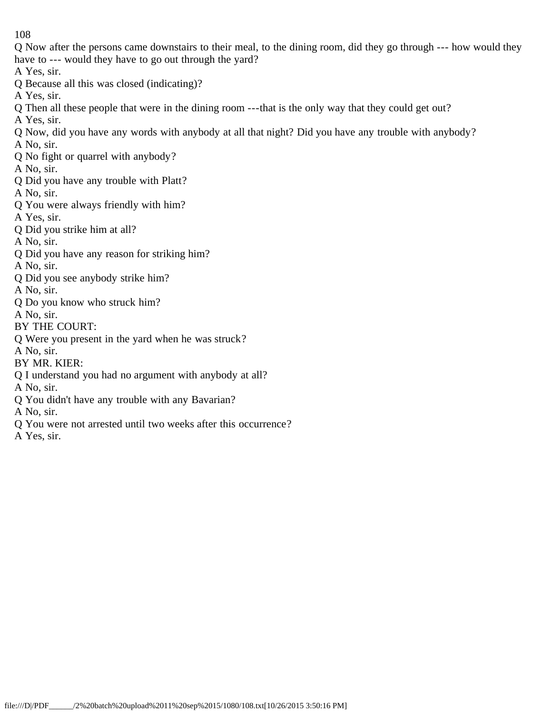Q Now after the persons came downstairs to their meal, to the dining room, did they go through --- how would they have to --- would they have to go out through the yard?

A Yes, sir.

Q Because all this was closed (indicating)?

A Yes, sir.

Q Then all these people that were in the dining room ---that is the only way that they could get out?

A Yes, sir.

Q Now, did you have any words with anybody at all that night? Did you have any trouble with anybody? A No, sir.

Q No fight or quarrel with anybody?

A No, sir.

Q Did you have any trouble with Platt?

A No, sir.

- Q You were always friendly with him?
- A Yes, sir.
- Q Did you strike him at all?

A No, sir.

Q Did you have any reason for striking him?

A No, sir.

Q Did you see anybody strike him?

A No, sir.

Q Do you know who struck him?

A No, sir.

- BY THE COURT:
- Q Were you present in the yard when he was struck?

A No, sir.

BY MR. KIER:

Q I understand you had no argument with anybody at all?

A No, sir.

Q You didn't have any trouble with any Bavarian?

A No, sir.

Q You were not arrested until two weeks after this occurrence?

A Yes, sir.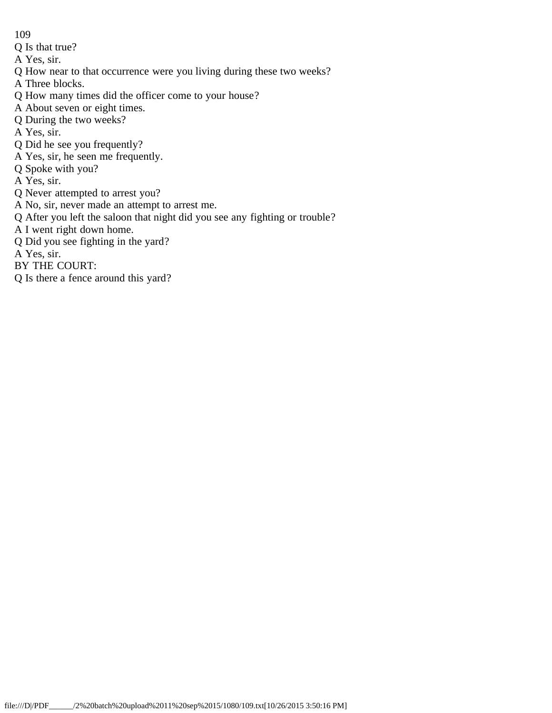- 109
- Q Is that true?
- A Yes, sir.
- Q How near to that occurrence were you living during these two weeks?
- A Three blocks.
- Q How many times did the officer come to your house?
- A About seven or eight times.
- Q During the two weeks?
- A Yes, sir.
- Q Did he see you frequently?
- A Yes, sir, he seen me frequently.
- Q Spoke with you?
- A Yes, sir.
- Q Never attempted to arrest you?
- A No, sir, never made an attempt to arrest me.
- Q After you left the saloon that night did you see any fighting or trouble?
- A I went right down home.
- Q Did you see fighting in the yard?
- A Yes, sir.
- BY THE COURT:
- Q Is there a fence around this yard?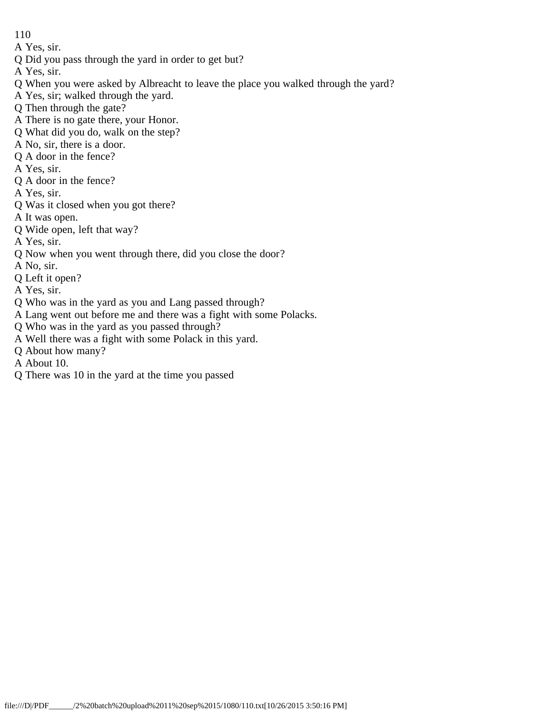- 110
- A Yes, sir.
- Q Did you pass through the yard in order to get but?
- A Yes, sir.
- Q When you were asked by Albreacht to leave the place you walked through the yard?
- A Yes, sir; walked through the yard.
- Q Then through the gate?
- A There is no gate there, your Honor.
- Q What did you do, walk on the step?
- A No, sir, there is a door.
- Q A door in the fence?
- A Yes, sir.
- Q A door in the fence?
- A Yes, sir.
- Q Was it closed when you got there?
- A It was open.
- Q Wide open, left that way?
- A Yes, sir.
- Q Now when you went through there, did you close the door?
- A No, sir.
- Q Left it open?
- A Yes, sir.
- Q Who was in the yard as you and Lang passed through?
- A Lang went out before me and there was a fight with some Polacks.
- Q Who was in the yard as you passed through?
- A Well there was a fight with some Polack in this yard.
- Q About how many?
- A About 10.
- Q There was 10 in the yard at the time you passed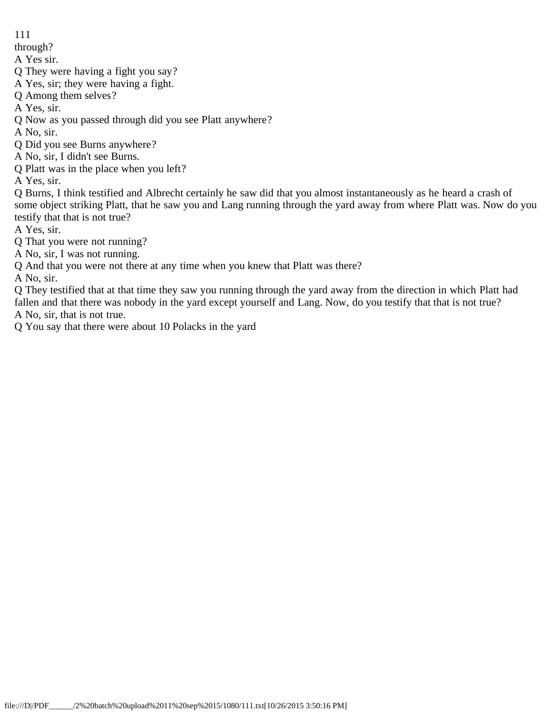through?

A Yes sir.

Q They were having a fight you say?

A Yes, sir; they were having a fight.

Q Among them selves?

A Yes, sir.

Q Now as you passed through did you see Platt anywhere?

A No, sir.

Q Did you see Burns anywhere?

A No, sir, I didn't see Burns.

Q Platt was in the place when you left?

A Yes, sir.

Q Burns, I think testified and Albrecht certainly he saw did that you almost instantaneously as he heard a crash of some object striking Platt, that he saw you and Lang running through the yard away from where Platt was. Now do you testify that that is not true?

A Yes, sir.

Q That you were not running?

A No, sir, I was not running.

Q And that you were not there at any time when you knew that Platt was there?

A No, sir.

Q They testified that at that time they saw you running through the yard away from the direction in which Platt had fallen and that there was nobody in the yard except yourself and Lang. Now, do you testify that that is not true? A No, sir, that is not true.

Q You say that there were about 10 Polacks in the yard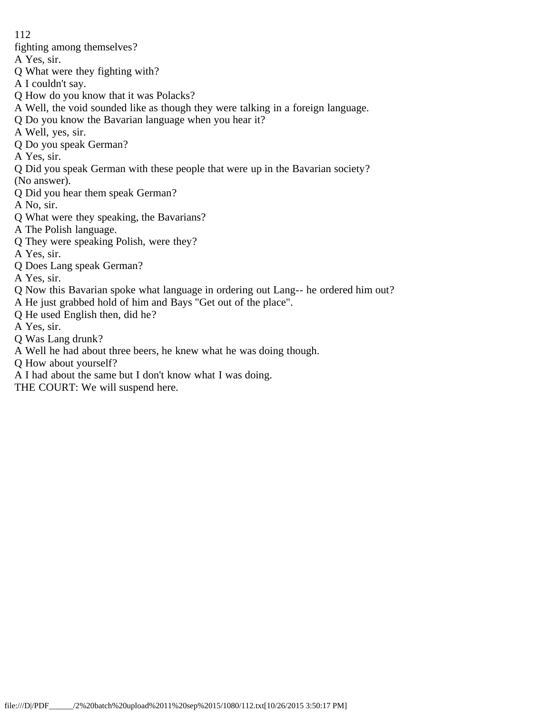- fighting among themselves?
- A Yes, sir.
- Q What were they fighting with?
- A I couldn't say.
- Q How do you know that it was Polacks?
- A Well, the void sounded like as though they were talking in a foreign language.
- Q Do you know the Bavarian language when you hear it?
- A Well, yes, sir.
- Q Do you speak German?
- A Yes, sir.
- Q Did you speak German with these people that were up in the Bavarian society?
- (No answer).
- Q Did you hear them speak German?
- A No, sir.
- Q What were they speaking, the Bavarians?
- A The Polish language.
- Q They were speaking Polish, were they?
- A Yes, sir.
- Q Does Lang speak German?
- A Yes, sir.
- Q Now this Bavarian spoke what language in ordering out Lang-- he ordered him out?
- A He just grabbed hold of him and Bays "Get out of the place".
- Q He used English then, did he?
- A Yes, sir.
- Q Was Lang drunk?
- A Well he had about three beers, he knew what he was doing though.
- Q How about yourself?
- A I had about the same but I don't know what I was doing.
- THE COURT: We will suspend here.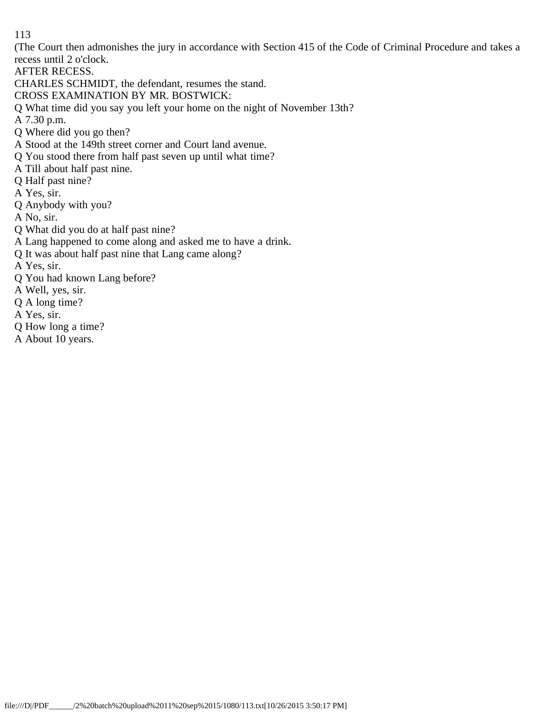(The Court then admonishes the jury in accordance with Section 415 of the Code of Criminal Procedure and takes a recess until 2 o'clock.

AFTER RECESS.

CHARLES SCHMIDT, the defendant, resumes the stand.

CROSS EXAMINATION BY MR. BOSTWICK:

Q What time did you say you left your home on the night of November 13th?

A 7.30 p.m.

Q Where did you go then?

A Stood at the 149th street corner and Court land avenue.

Q You stood there from half past seven up until what time?

A Till about half past nine.

Q Half past nine?

A Yes, sir.

Q Anybody with you?

A No, sir.

Q What did you do at half past nine?

A Lang happened to come along and asked me to have a drink.

Q It was about half past nine that Lang came along?

A Yes, sir.

Q You had known Lang before?

A Well, yes, sir.

Q A long time?

A Yes, sir.

Q How long a time?

A About 10 years.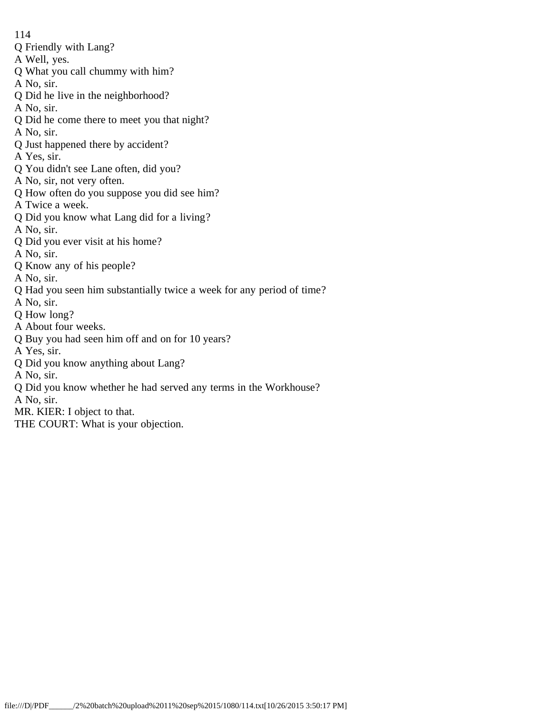- Q Friendly with Lang?
- A Well, yes.
- Q What you call chummy with him?
- A No, sir.
- Q Did he live in the neighborhood?
- A No, sir.
- Q Did he come there to meet you that night?
- A No, sir.
- Q Just happened there by accident?
- A Yes, sir.
- Q You didn't see Lane often, did you?
- A No, sir, not very often.
- Q How often do you suppose you did see him?
- A Twice a week.
- Q Did you know what Lang did for a living?
- A No, sir.
- Q Did you ever visit at his home?
- A No, sir.
- Q Know any of his people?
- A No, sir.
- Q Had you seen him substantially twice a week for any period of time?
- A No, sir.
- Q How long?
- A About four weeks.
- Q Buy you had seen him off and on for 10 years?
- A Yes, sir.
- Q Did you know anything about Lang?
- A No, sir.
- Q Did you know whether he had served any terms in the Workhouse?
- A No, sir.
- MR. KIER: I object to that.
- THE COURT: What is your objection.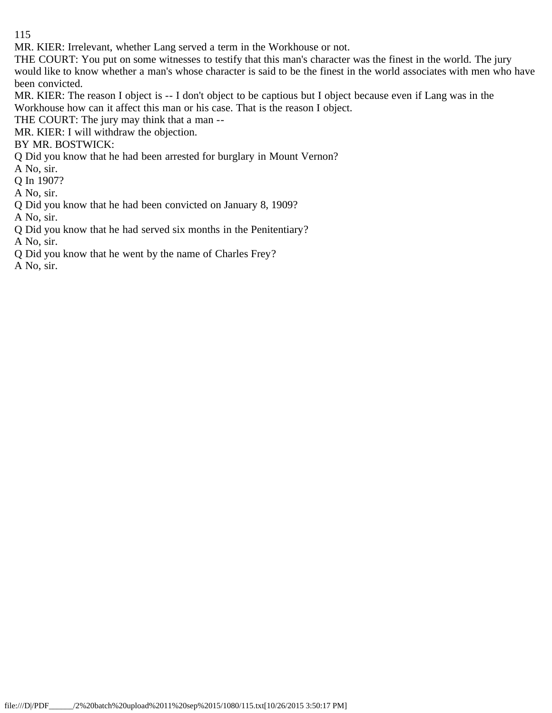MR. KIER: Irrelevant, whether Lang served a term in the Workhouse or not.

THE COURT: You put on some witnesses to testify that this man's character was the finest in the world. The jury would like to know whether a man's whose character is said to be the finest in the world associates with men who have been convicted.

MR. KIER: The reason I object is -- I don't object to be captious but I object because even if Lang was in the Workhouse how can it affect this man or his case. That is the reason I object.

THE COURT: The jury may think that a man --

MR. KIER: I will withdraw the objection.

BY MR. BOSTWICK:

Q Did you know that he had been arrested for burglary in Mount Vernon?

A No, sir.

Q In 1907?

A No, sir.

Q Did you know that he had been convicted on January 8, 1909?

A No, sir.

Q Did you know that he had served six months in the Penitentiary?

A No, sir.

Q Did you know that he went by the name of Charles Frey?

A No, sir.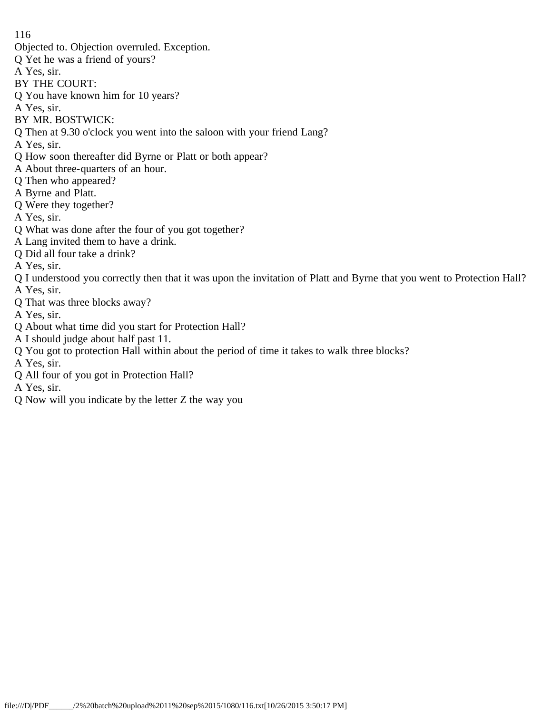- Objected to. Objection overruled. Exception.
- Q Yet he was a friend of yours?
- A Yes, sir.
- BY THE COURT:
- Q You have known him for 10 years?
- A Yes, sir.
- BY MR. BOSTWICK:
- Q Then at 9.30 o'clock you went into the saloon with your friend Lang?
- A Yes, sir.
- Q How soon thereafter did Byrne or Platt or both appear?
- A About three-quarters of an hour.
- Q Then who appeared?
- A Byrne and Platt.
- Q Were they together?
- A Yes, sir.
- Q What was done after the four of you got together?
- A Lang invited them to have a drink.
- Q Did all four take a drink?
- A Yes, sir.
- Q I understood you correctly then that it was upon the invitation of Platt and Byrne that you went to Protection Hall?
- A Yes, sir. Q That was three blocks away?
- A Yes, sir.
- Q About what time did you start for Protection Hall?
- A I should judge about half past 11.
- Q You got to protection Hall within about the period of time it takes to walk three blocks?
- A Yes, sir.
- Q All four of you got in Protection Hall?
- A Yes, sir.
- Q Now will you indicate by the letter Z the way you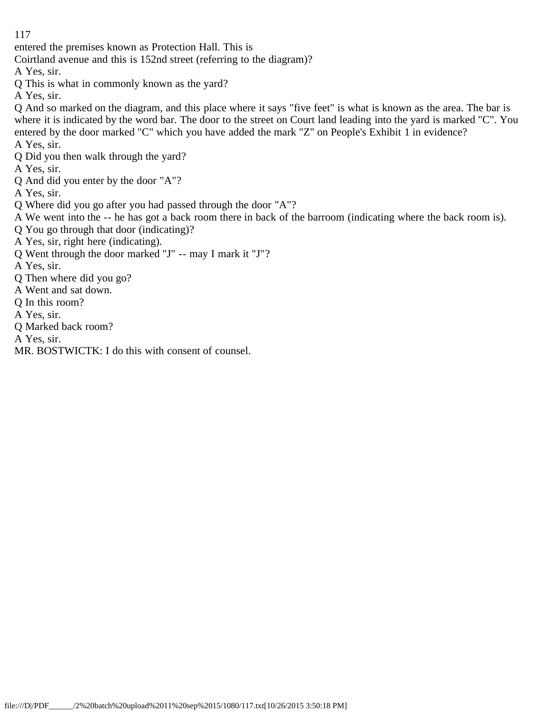entered the premises known as Protection Hall. This is

Coirtland avenue and this is 152nd street (referring to the diagram)?

A Yes, sir.

Q This is what in commonly known as the yard?

A Yes, sir.

Q And so marked on the diagram, and this place where it says "five feet" is what is known as the area. The bar is where it is indicated by the word bar. The door to the street on Court land leading into the yard is marked "C". You entered by the door marked "C" which you have added the mark "Z" on People's Exhibit 1 in evidence?

A Yes, sir.

Q Did you then walk through the yard?

A Yes, sir.

Q And did you enter by the door "A"?

A Yes, sir.

- Q Where did you go after you had passed through the door "A"?
- A We went into the -- he has got a back room there in back of the barroom (indicating where the back room is).
- Q You go through that door (indicating)?
- A Yes, sir, right here (indicating).
- Q Went through the door marked "J" -- may I mark it "J"?

A Yes, sir.

- Q Then where did you go?
- A Went and sat down.
- Q In this room?
- A Yes, sir.
- Q Marked back room?

A Yes, sir.

MR. BOSTWICTK: I do this with consent of counsel.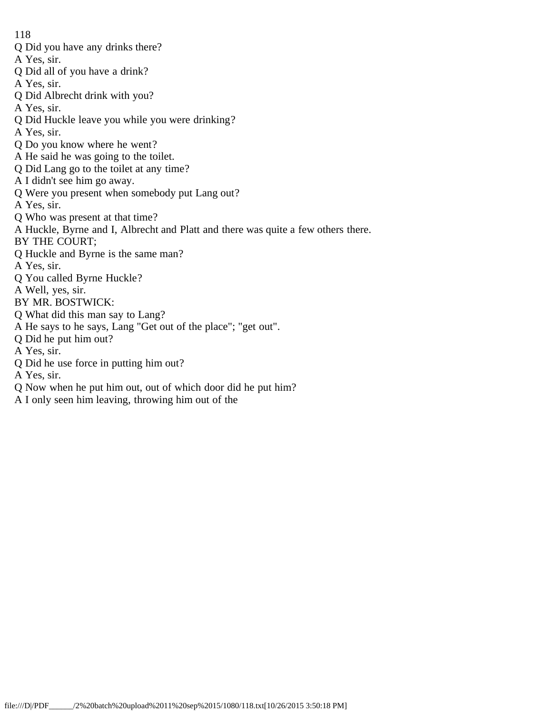- Q Did you have any drinks there?
- A Yes, sir.
- Q Did all of you have a drink?
- A Yes, sir.
- Q Did Albrecht drink with you?
- A Yes, sir.
- Q Did Huckle leave you while you were drinking?
- A Yes, sir.
- Q Do you know where he went?
- A He said he was going to the toilet.
- Q Did Lang go to the toilet at any time?
- A I didn't see him go away.
- Q Were you present when somebody put Lang out?
- A Yes, sir.
- Q Who was present at that time?
- A Huckle, Byrne and I, Albrecht and Platt and there was quite a few others there.
- BY THE COURT;
- Q Huckle and Byrne is the same man?
- A Yes, sir.
- Q You called Byrne Huckle?
- A Well, yes, sir.
- BY MR. BOSTWICK:
- Q What did this man say to Lang?
- A He says to he says, Lang "Get out of the place"; "get out".
- Q Did he put him out?
- A Yes, sir.
- Q Did he use force in putting him out?
- A Yes, sir.
- Q Now when he put him out, out of which door did he put him?
- A I only seen him leaving, throwing him out of the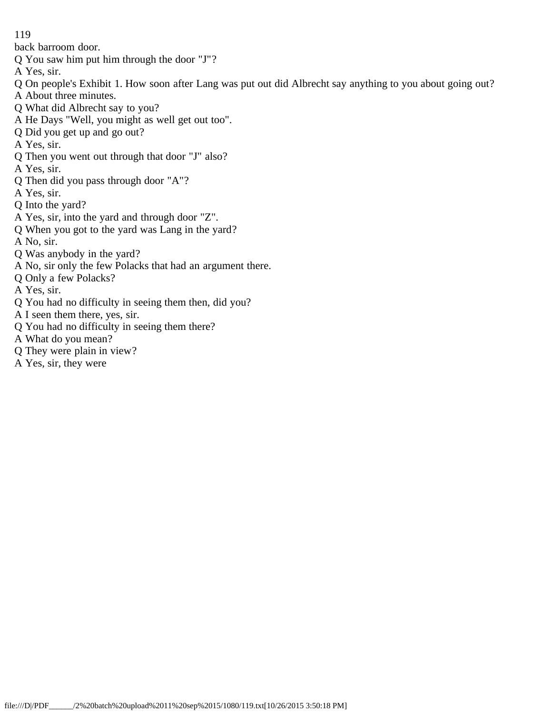back barroom door.

- Q You saw him put him through the door "J"?
- A Yes, sir.
- Q On people's Exhibit 1. How soon after Lang was put out did Albrecht say anything to you about going out?
- A About three minutes.
- Q What did Albrecht say to you?
- A He Days "Well, you might as well get out too".
- Q Did you get up and go out?
- A Yes, sir.
- Q Then you went out through that door "J" also?
- A Yes, sir.
- Q Then did you pass through door "A"?
- A Yes, sir.
- Q Into the yard?
- A Yes, sir, into the yard and through door "Z".
- Q When you got to the yard was Lang in the yard?
- A No, sir.
- Q Was anybody in the yard?
- A No, sir only the few Polacks that had an argument there.
- Q Only a few Polacks?
- A Yes, sir.
- Q You had no difficulty in seeing them then, did you?
- A I seen them there, yes, sir.
- Q You had no difficulty in seeing them there?
- A What do you mean?
- Q They were plain in view?
- A Yes, sir, they were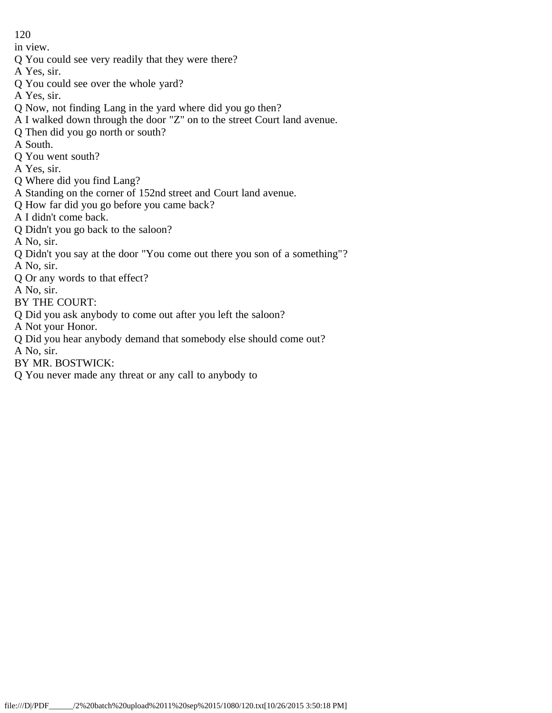in view.

Q You could see very readily that they were there?

A Yes, sir.

Q You could see over the whole yard?

A Yes, sir.

- Q Now, not finding Lang in the yard where did you go then?
- A I walked down through the door "Z" on to the street Court land avenue.
- Q Then did you go north or south?
- A South.
- Q You went south?
- A Yes, sir.
- Q Where did you find Lang?
- A Standing on the corner of 152nd street and Court land avenue.
- Q How far did you go before you came back?
- A I didn't come back.
- Q Didn't you go back to the saloon?
- A No, sir.
- Q Didn't you say at the door "You come out there you son of a something"?
- A No, sir.
- Q Or any words to that effect?
- A No, sir.
- BY THE COURT:
- Q Did you ask anybody to come out after you left the saloon?
- A Not your Honor.
- Q Did you hear anybody demand that somebody else should come out?
- A No, sir.
- BY MR. BOSTWICK:
- Q You never made any threat or any call to anybody to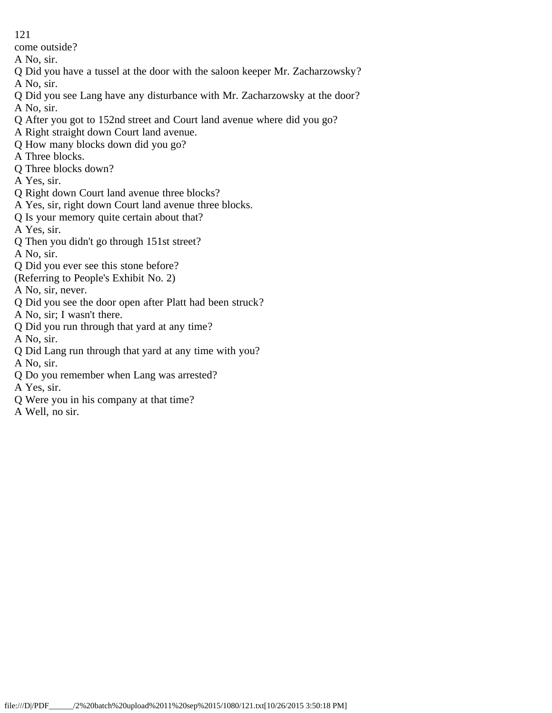come outside?

- A No, sir.
- Q Did you have a tussel at the door with the saloon keeper Mr. Zacharzowsky?
- A No, sir.
- Q Did you see Lang have any disturbance with Mr. Zacharzowsky at the door? A No, sir.
- Q After you got to 152nd street and Court land avenue where did you go?
- A Right straight down Court land avenue.
- Q How many blocks down did you go?
- A Three blocks.
- Q Three blocks down?
- A Yes, sir.
- Q Right down Court land avenue three blocks?
- A Yes, sir, right down Court land avenue three blocks.
- Q Is your memory quite certain about that?
- A Yes, sir.
- Q Then you didn't go through 151st street?
- A No, sir.
- Q Did you ever see this stone before?
- (Referring to People's Exhibit No. 2)
- A No, sir, never.
- Q Did you see the door open after Platt had been struck?
- A No, sir; I wasn't there.
- Q Did you run through that yard at any time?
- A No, sir.
- Q Did Lang run through that yard at any time with you? A No, sir.
- Q Do you remember when Lang was arrested?
- A Yes, sir.
- Q Were you in his company at that time?
- A Well, no sir.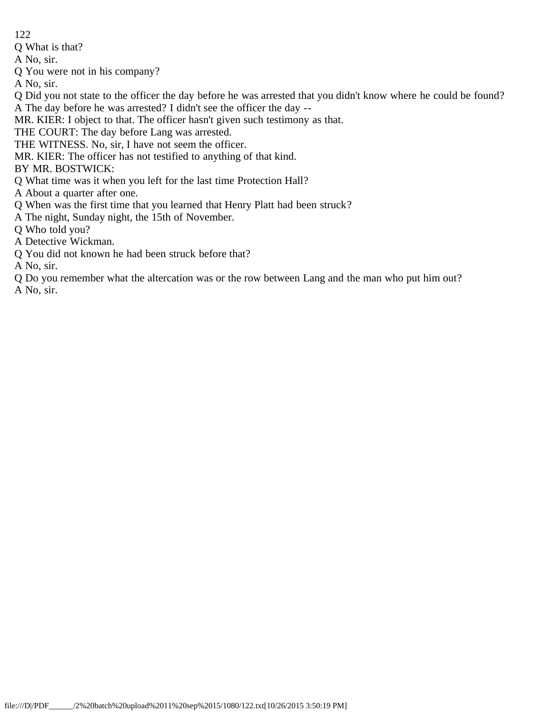Q What is that?

A No, sir.

Q You were not in his company?

A No, sir.

- Q Did you not state to the officer the day before he was arrested that you didn't know where he could be found? A The day before he was arrested? I didn't see the officer the day --
- MR. KIER: I object to that. The officer hasn't given such testimony as that.
- THE COURT: The day before Lang was arrested.
- THE WITNESS. No, sir, I have not seem the officer.
- MR. KIER: The officer has not testified to anything of that kind.
- BY MR. BOSTWICK:
- Q What time was it when you left for the last time Protection Hall?
- A About a quarter after one.
- Q When was the first time that you learned that Henry Platt had been struck?
- A The night, Sunday night, the 15th of November.
- Q Who told you?
- A Detective Wickman.
- Q You did not known he had been struck before that?

A No, sir.

Q Do you remember what the altercation was or the row between Lang and the man who put him out? A No, sir.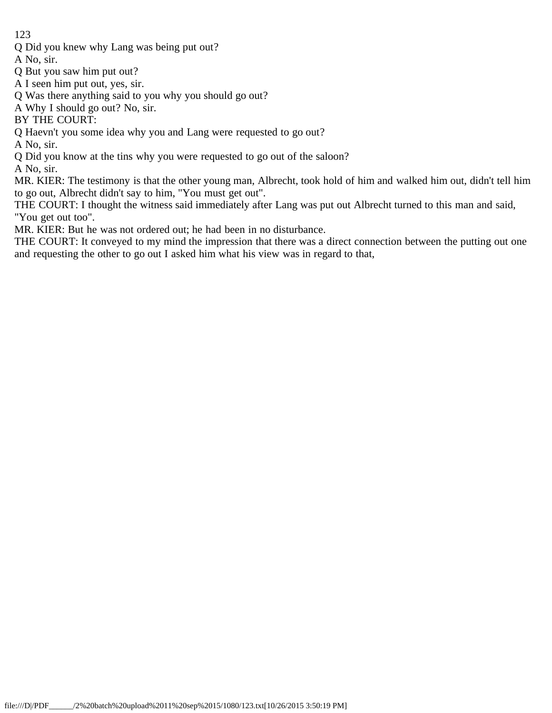Q Did you knew why Lang was being put out?

A No, sir.

- Q But you saw him put out?
- A I seen him put out, yes, sir.
- Q Was there anything said to you why you should go out?
- A Why I should go out? No, sir.

BY THE COURT:

Q Haevn't you some idea why you and Lang were requested to go out?

A No, sir.

Q Did you know at the tins why you were requested to go out of the saloon?

A No, sir.

MR. KIER: The testimony is that the other young man, Albrecht, took hold of him and walked him out, didn't tell him to go out, Albrecht didn't say to him, "You must get out".

THE COURT: I thought the witness said immediately after Lang was put out Albrecht turned to this man and said, "You get out too".

MR. KIER: But he was not ordered out; he had been in no disturbance.

THE COURT: It conveyed to my mind the impression that there was a direct connection between the putting out one and requesting the other to go out I asked him what his view was in regard to that,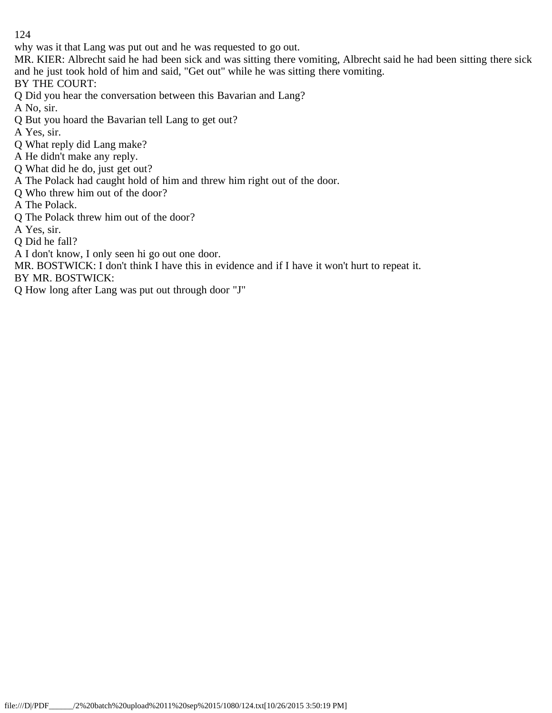why was it that Lang was put out and he was requested to go out.

MR. KIER: Albrecht said he had been sick and was sitting there vomiting, Albrecht said he had been sitting there sick and he just took hold of him and said, "Get out" while he was sitting there vomiting.

BY THE COURT:

Q Did you hear the conversation between this Bavarian and Lang?

A No, sir.

Q But you hoard the Bavarian tell Lang to get out?

A Yes, sir.

Q What reply did Lang make?

A He didn't make any reply.

Q What did he do, just get out?

A The Polack had caught hold of him and threw him right out of the door.

Q Who threw him out of the door?

A The Polack.

Q The Polack threw him out of the door?

A Yes, sir.

Q Did he fall?

A I don't know, I only seen hi go out one door.

MR. BOSTWICK: I don't think I have this in evidence and if I have it won't hurt to repeat it.

BY MR. BOSTWICK:

Q How long after Lang was put out through door "J"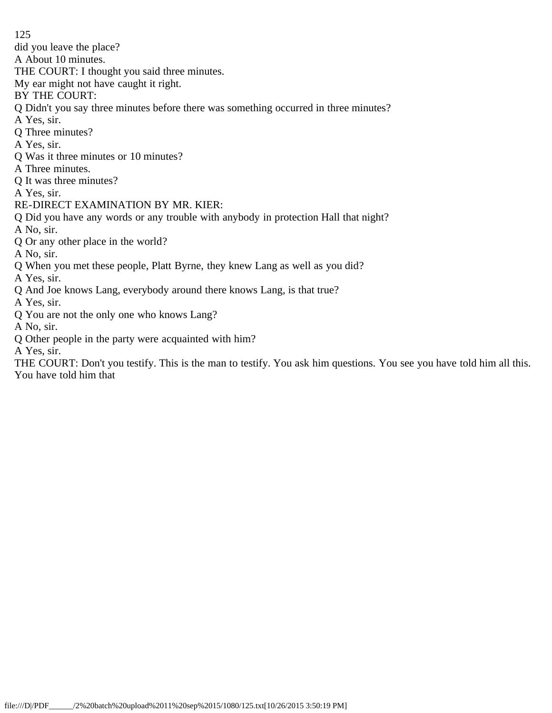did you leave the place?

A About 10 minutes.

THE COURT: I thought you said three minutes.

My ear might not have caught it right.

BY THE COURT:

Q Didn't you say three minutes before there was something occurred in three minutes?

A Yes, sir.

Q Three minutes?

A Yes, sir.

Q Was it three minutes or 10 minutes?

A Three minutes.

Q It was three minutes?

A Yes, sir.

RE-DIRECT EXAMINATION BY MR. KIER:

Q Did you have any words or any trouble with anybody in protection Hall that night?

A No, sir.

Q Or any other place in the world?

A No, sir.

Q When you met these people, Platt Byrne, they knew Lang as well as you did?

A Yes, sir.

Q And Joe knows Lang, everybody around there knows Lang, is that true?

A Yes, sir.

Q You are not the only one who knows Lang?

A No, sir.

Q Other people in the party were acquainted with him?

A Yes, sir.

THE COURT: Don't you testify. This is the man to testify. You ask him questions. You see you have told him all this. You have told him that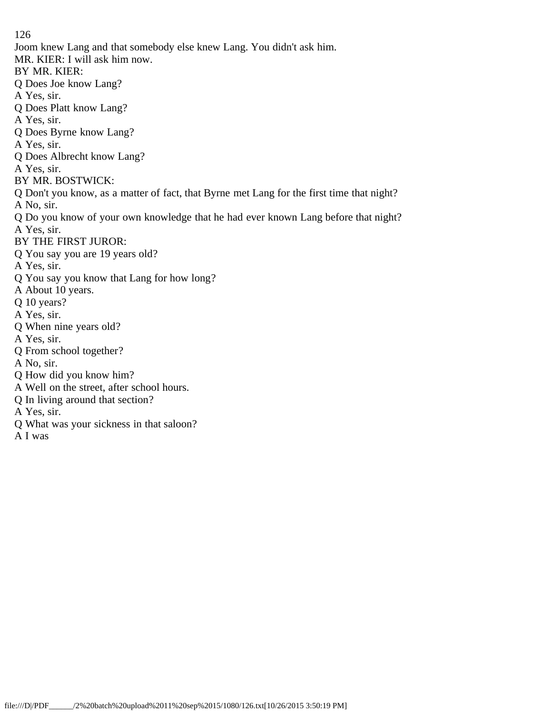126 Joom knew Lang and that somebody else knew Lang. You didn't ask him. MR. KIER: I will ask him now. BY MR. KIER: Q Does Joe know Lang? A Yes, sir. Q Does Platt know Lang? A Yes, sir. Q Does Byrne know Lang? A Yes, sir. Q Does Albrecht know Lang? A Yes, sir. BY MR. BOSTWICK: Q Don't you know, as a matter of fact, that Byrne met Lang for the first time that night? A No, sir. Q Do you know of your own knowledge that he had ever known Lang before that night? A Yes, sir. BY THE FIRST JUROR: Q You say you are 19 years old? A Yes, sir. Q You say you know that Lang for how long? A About 10 years. Q 10 years? A Yes, sir. Q When nine years old? A Yes, sir. Q From school together? A No, sir. Q How did you know him? A Well on the street, after school hours. Q In living around that section? A Yes, sir. Q What was your sickness in that saloon?

A I was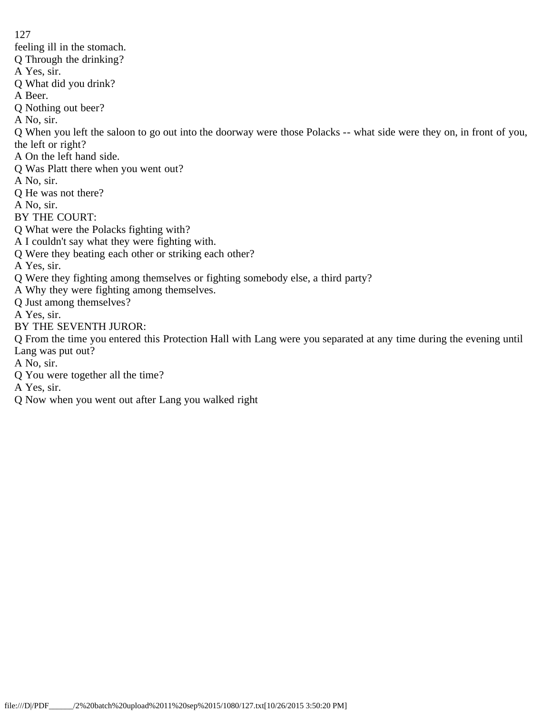feeling ill in the stomach.

Q Through the drinking?

A Yes, sir.

Q What did you drink?

A Beer.

Q Nothing out beer?

A No, sir.

Q When you left the saloon to go out into the doorway were those Polacks -- what side were they on, in front of you, the left or right?

A On the left hand side.

Q Was Platt there when you went out?

A No, sir.

Q He was not there?

A No, sir.

BY THE COURT:

Q What were the Polacks fighting with?

A I couldn't say what they were fighting with.

Q Were they beating each other or striking each other?

A Yes, sir.

- Q Were they fighting among themselves or fighting somebody else, a third party?
- A Why they were fighting among themselves.

Q Just among themselves?

A Yes, sir.

BY THE SEVENTH JUROR:

Q From the time you entered this Protection Hall with Lang were you separated at any time during the evening until Lang was put out?

A No, sir.

Q You were together all the time?

A Yes, sir.

Q Now when you went out after Lang you walked right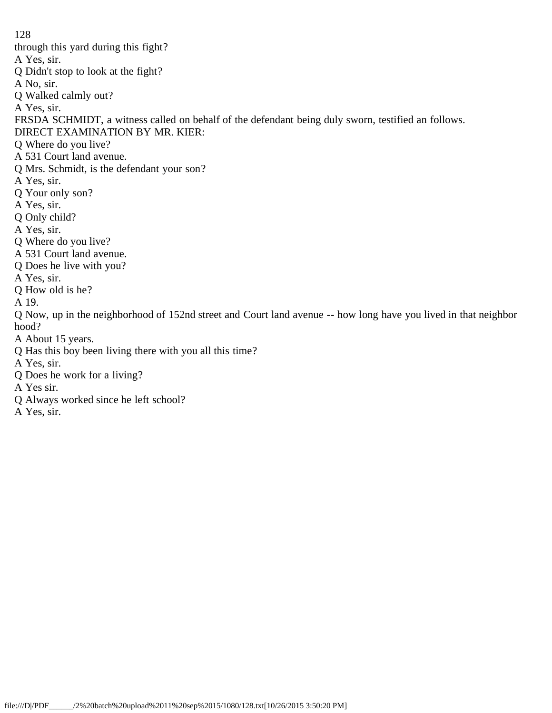128 through this yard during this fight? A Yes, sir. Q Didn't stop to look at the fight? A No, sir. Q Walked calmly out? A Yes, sir. FRSDA SCHMIDT, a witness called on behalf of the defendant being duly sworn, testified an follows. DIRECT EXAMINATION BY MR. KIER: Q Where do you live? A 531 Court land avenue. Q Mrs. Schmidt, is the defendant your son? A Yes, sir. Q Your only son? A Yes, sir. Q Only child? A Yes, sir. Q Where do you live? A 531 Court land avenue. Q Does he live with you? A Yes, sir. Q How old is he? A 19. Q Now, up in the neighborhood of 152nd street and Court land avenue -- how long have you lived in that neighbor hood? A About 15 years. Q Has this boy been living there with you all this time? A Yes, sir. Q Does he work for a living? A Yes sir. Q Always worked since he left school? A Yes, sir.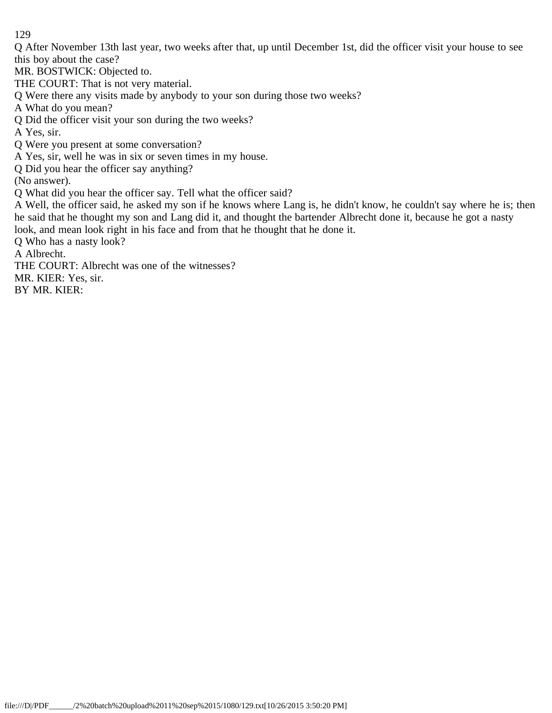Q After November 13th last year, two weeks after that, up until December 1st, did the officer visit your house to see this boy about the case?

MR. BOSTWICK: Objected to.

THE COURT: That is not very material.

Q Were there any visits made by anybody to your son during those two weeks?

A What do you mean?

Q Did the officer visit your son during the two weeks?

A Yes, sir.

Q Were you present at some conversation?

A Yes, sir, well he was in six or seven times in my house.

Q Did you hear the officer say anything?

(No answer).

Q What did you hear the officer say. Tell what the officer said?

A Well, the officer said, he asked my son if he knows where Lang is, he didn't know, he couldn't say where he is; then he said that he thought my son and Lang did it, and thought the bartender Albrecht done it, because he got a nasty look, and mean look right in his face and from that he thought that he done it.

Q Who has a nasty look?

A Albrecht.

THE COURT: Albrecht was one of the witnesses?

MR. KIER: Yes, sir.

BY MR. KIER: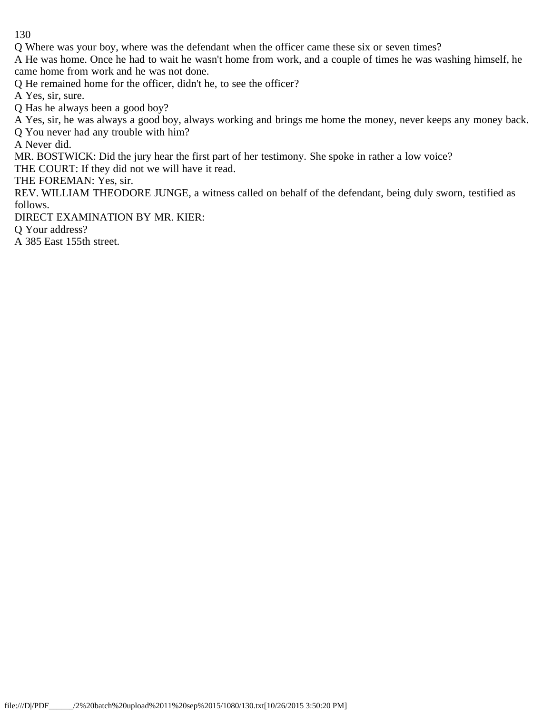Q Where was your boy, where was the defendant when the officer came these six or seven times?

A He was home. Once he had to wait he wasn't home from work, and a couple of times he was washing himself, he came home from work and he was not done.

Q He remained home for the officer, didn't he, to see the officer?

A Yes, sir, sure.

Q Has he always been a good boy?

A Yes, sir, he was always a good boy, always working and brings me home the money, never keeps any money back.

Q You never had any trouble with him?

A Never did.

MR. BOSTWICK: Did the jury hear the first part of her testimony. She spoke in rather a low voice?

THE COURT: If they did not we will have it read.

THE FOREMAN: Yes, sir.

REV. WILLIAM THEODORE JUNGE, a witness called on behalf of the defendant, being duly sworn, testified as follows.

DIRECT EXAMINATION BY MR. KIER:

Q Your address?

A 385 East 155th street.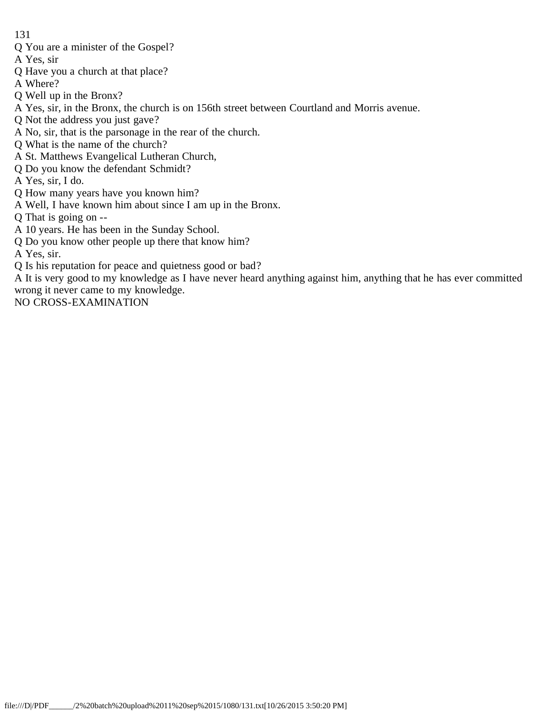Q You are a minister of the Gospel?

A Yes, sir

- Q Have you a church at that place?
- A Where?
- Q Well up in the Bronx?
- A Yes, sir, in the Bronx, the church is on 156th street between Courtland and Morris avenue.
- Q Not the address you just gave?
- A No, sir, that is the parsonage in the rear of the church.
- Q What is the name of the church?
- A St. Matthews Evangelical Lutheran Church,
- Q Do you know the defendant Schmidt?

A Yes, sir, I do.

- Q How many years have you known him?
- A Well, I have known him about since I am up in the Bronx.
- Q That is going on --
- A 10 years. He has been in the Sunday School.
- Q Do you know other people up there that know him?

A Yes, sir.

Q Is his reputation for peace and quietness good or bad?

A It is very good to my knowledge as I have never heard anything against him, anything that he has ever committed wrong it never came to my knowledge.

NO CROSS-EXAMINATION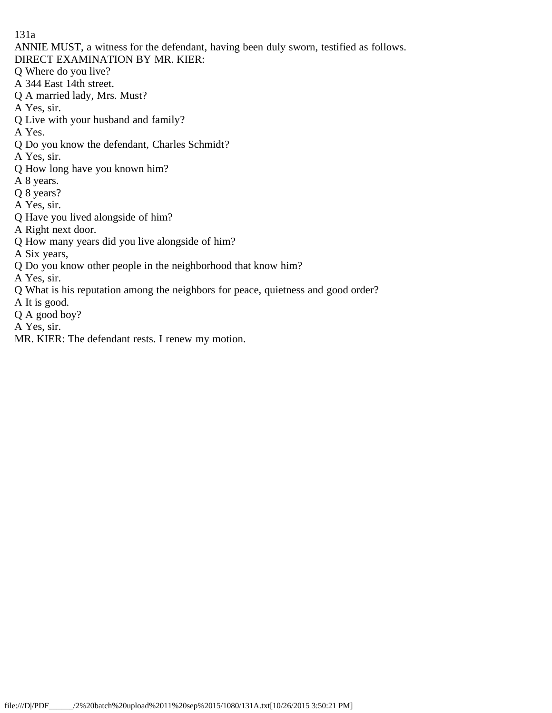131a

ANNIE MUST, a witness for the defendant, having been duly sworn, testified as follows.

- DIRECT EXAMINATION BY MR. KIER:
- Q Where do you live?
- A 344 East 14th street.
- Q A married lady, Mrs. Must?
- A Yes, sir.
- Q Live with your husband and family?
- A Yes.
- Q Do you know the defendant, Charles Schmidt?
- A Yes, sir.
- Q How long have you known him?
- A 8 years.
- Q 8 years?
- A Yes, sir.
- Q Have you lived alongside of him?
- A Right next door.
- Q How many years did you live alongside of him?
- A Six years,
- Q Do you know other people in the neighborhood that know him?
- A Yes, sir.
- Q What is his reputation among the neighbors for peace, quietness and good order?
- A It is good.
- Q A good boy?
- A Yes, sir.
- MR. KIER: The defendant rests. I renew my motion.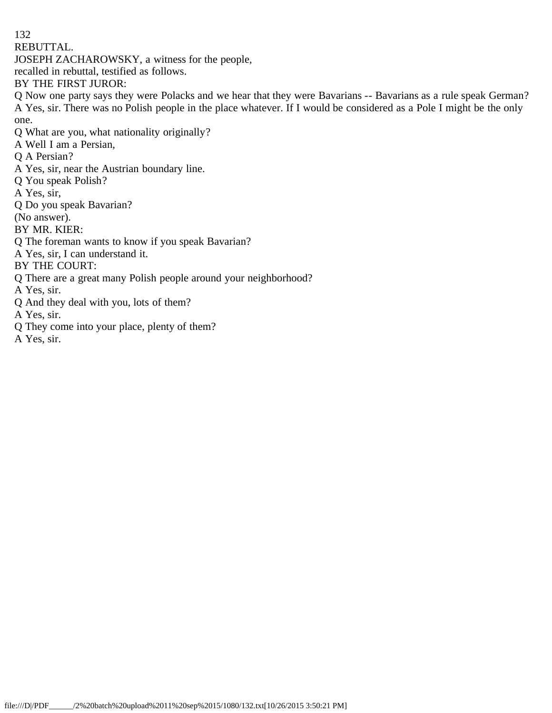132 REBUTTAL.

JOSEPH ZACHAROWSKY, a witness for the people,

recalled in rebuttal, testified as follows.

BY THE FIRST JUROR:

Q Now one party says they were Polacks and we hear that they were Bavarians -- Bavarians as a rule speak German? A Yes, sir. There was no Polish people in the place whatever. If I would be considered as a Pole I might be the only one.

Q What are you, what nationality originally?

A Well I am a Persian,

- Q A Persian?
- A Yes, sir, near the Austrian boundary line.
- Q You speak Polish?
- A Yes, sir,
- Q Do you speak Bavarian?

(No answer).

BY MR. KIER:

- Q The foreman wants to know if you speak Bavarian?
- A Yes, sir, I can understand it.

BY THE COURT:

Q There are a great many Polish people around your neighborhood?

A Yes, sir.

Q And they deal with you, lots of them?

A Yes, sir.

Q They come into your place, plenty of them?

A Yes, sir.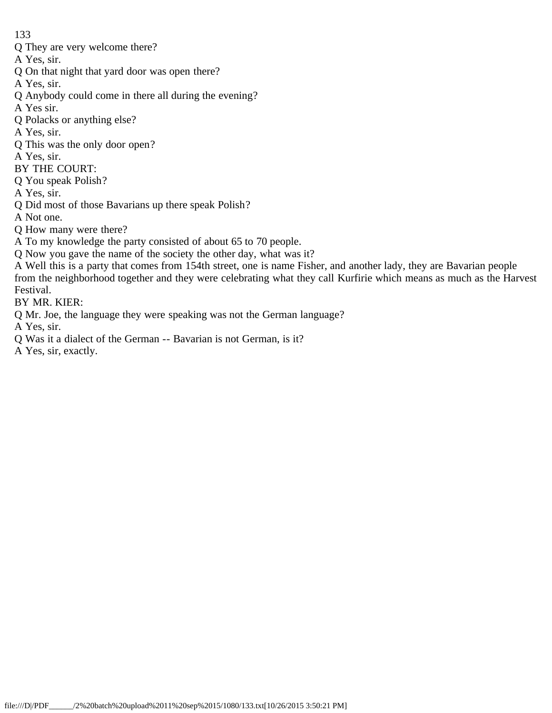Q They are very welcome there?

A Yes, sir.

Q On that night that yard door was open there?

A Yes, sir.

Q Anybody could come in there all during the evening?

A Yes sir.

Q Polacks or anything else?

A Yes, sir.

Q This was the only door open?

A Yes, sir.

- BY THE COURT:
- Q You speak Polish?

A Yes, sir.

Q Did most of those Bavarians up there speak Polish?

A Not one.

- Q How many were there?
- A To my knowledge the party consisted of about 65 to 70 people.
- Q Now you gave the name of the society the other day, what was it?

A Well this is a party that comes from 154th street, one is name Fisher, and another lady, they are Bavarian people from the neighborhood together and they were celebrating what they call Kurfirie which means as much as the Harvest Festival.

BY MR. KIER:

Q Mr. Joe, the language they were speaking was not the German language?

A Yes, sir.

Q Was it a dialect of the German -- Bavarian is not German, is it?

A Yes, sir, exactly.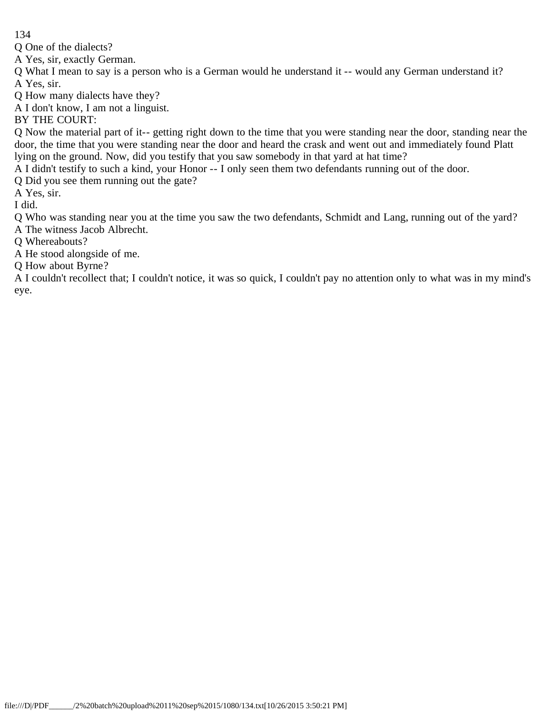Q One of the dialects?

A Yes, sir, exactly German.

Q What I mean to say is a person who is a German would he understand it -- would any German understand it? A Yes, sir.

Q How many dialects have they?

A I don't know, I am not a linguist.

BY THE COURT:

Q Now the material part of it-- getting right down to the time that you were standing near the door, standing near the door, the time that you were standing near the door and heard the crask and went out and immediately found Platt lying on the ground. Now, did you testify that you saw somebody in that yard at hat time?

A I didn't testify to such a kind, your Honor -- I only seen them two defendants running out of the door.

Q Did you see them running out the gate?

A Yes, sir.

I did.

Q Who was standing near you at the time you saw the two defendants, Schmidt and Lang, running out of the yard? A The witness Jacob Albrecht.

Q Whereabouts?

A He stood alongside of me.

Q How about Byrne?

A I couldn't recollect that; I couldn't notice, it was so quick, I couldn't pay no attention only to what was in my mind's eye.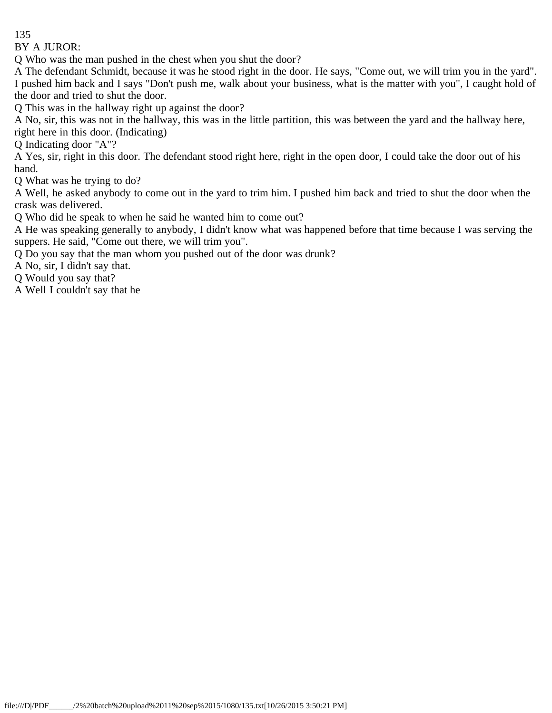BY A JUROR:

Q Who was the man pushed in the chest when you shut the door?

A The defendant Schmidt, because it was he stood right in the door. He says, "Come out, we will trim you in the yard". I pushed him back and I says "Don't push me, walk about your business, what is the matter with you", I caught hold of the door and tried to shut the door.

Q This was in the hallway right up against the door?

A No, sir, this was not in the hallway, this was in the little partition, this was between the yard and the hallway here, right here in this door. (Indicating)

Q Indicating door "A"?

A Yes, sir, right in this door. The defendant stood right here, right in the open door, I could take the door out of his hand.

Q What was he trying to do?

A Well, he asked anybody to come out in the yard to trim him. I pushed him back and tried to shut the door when the crask was delivered.

Q Who did he speak to when he said he wanted him to come out?

A He was speaking generally to anybody, I didn't know what was happened before that time because I was serving the suppers. He said, "Come out there, we will trim you".

Q Do you say that the man whom you pushed out of the door was drunk?

A No, sir, I didn't say that.

Q Would you say that?

A Well I couldn't say that he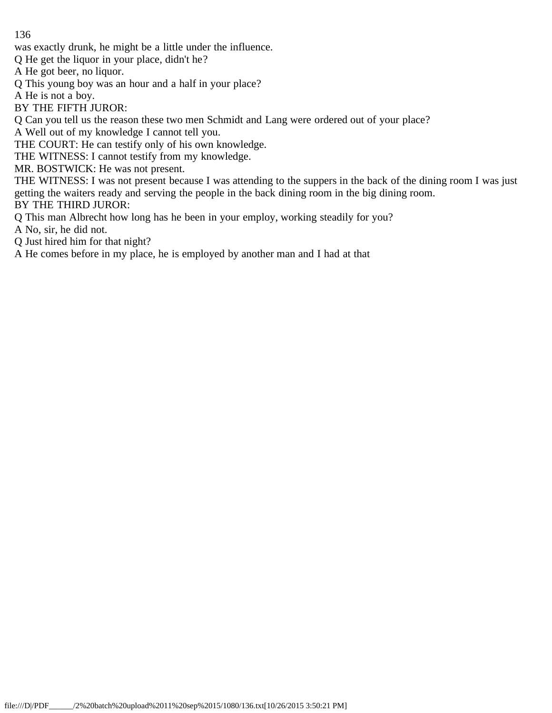was exactly drunk, he might be a little under the influence.

Q He get the liquor in your place, didn't he?

A He got beer, no liquor.

Q This young boy was an hour and a half in your place?

A He is not a boy.

BY THE FIFTH JUROR:

Q Can you tell us the reason these two men Schmidt and Lang were ordered out of your place?

A Well out of my knowledge I cannot tell you.

THE COURT: He can testify only of his own knowledge.

THE WITNESS: I cannot testify from my knowledge.

MR. BOSTWICK: He was not present.

THE WITNESS: I was not present because I was attending to the suppers in the back of the dining room I was just getting the waiters ready and serving the people in the back dining room in the big dining room. BY THE THIRD JUROR:

Q This man Albrecht how long has he been in your employ, working steadily for you?

A No, sir, he did not.

Q Just hired him for that night?

A He comes before in my place, he is employed by another man and I had at that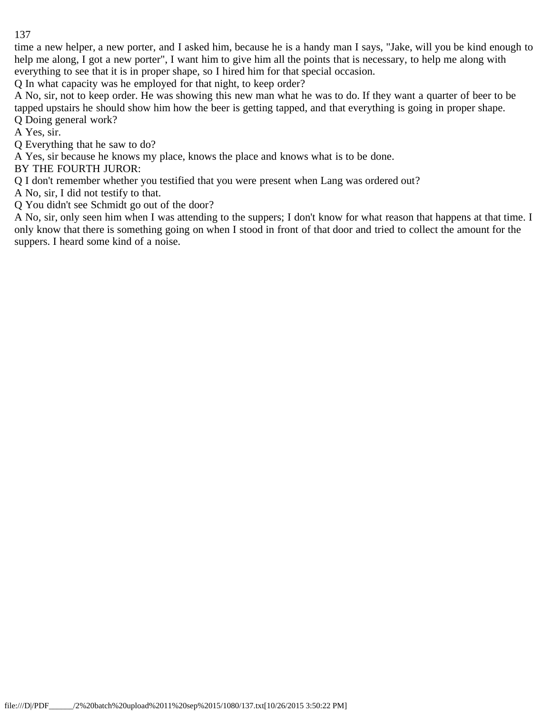time a new helper, a new porter, and I asked him, because he is a handy man I says, "Jake, will you be kind enough to help me along, I got a new porter", I want him to give him all the points that is necessary, to help me along with everything to see that it is in proper shape, so I hired him for that special occasion.

Q In what capacity was he employed for that night, to keep order?

A No, sir, not to keep order. He was showing this new man what he was to do. If they want a quarter of beer to be tapped upstairs he should show him how the beer is getting tapped, and that everything is going in proper shape. Q Doing general work?

A Yes, sir.

Q Everything that he saw to do?

A Yes, sir because he knows my place, knows the place and knows what is to be done.

BY THE FOURTH JUROR:

Q I don't remember whether you testified that you were present when Lang was ordered out?

A No, sir, I did not testify to that.

Q You didn't see Schmidt go out of the door?

A No, sir, only seen him when I was attending to the suppers; I don't know for what reason that happens at that time. I only know that there is something going on when I stood in front of that door and tried to collect the amount for the suppers. I heard some kind of a noise.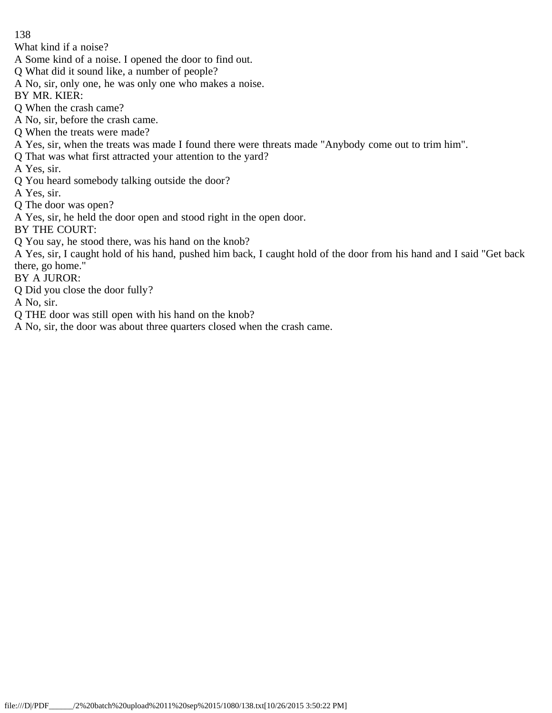What kind if a noise?

- A Some kind of a noise. I opened the door to find out.
- Q What did it sound like, a number of people?
- A No, sir, only one, he was only one who makes a noise.
- BY MR. KIER:
- Q When the crash came?
- A No, sir, before the crash came.
- Q When the treats were made?
- A Yes, sir, when the treats was made I found there were threats made "Anybody come out to trim him".
- Q That was what first attracted your attention to the yard?
- A Yes, sir.
- Q You heard somebody talking outside the door?
- A Yes, sir.
- Q The door was open?
- A Yes, sir, he held the door open and stood right in the open door.
- BY THE COURT:
- Q You say, he stood there, was his hand on the knob?
- A Yes, sir, I caught hold of his hand, pushed him back, I caught hold of the door from his hand and I said "Get back there, go home."
- BY A JUROR:
- Q Did you close the door fully?
- A No, sir.
- Q THE door was still open with his hand on the knob?
- A No, sir, the door was about three quarters closed when the crash came.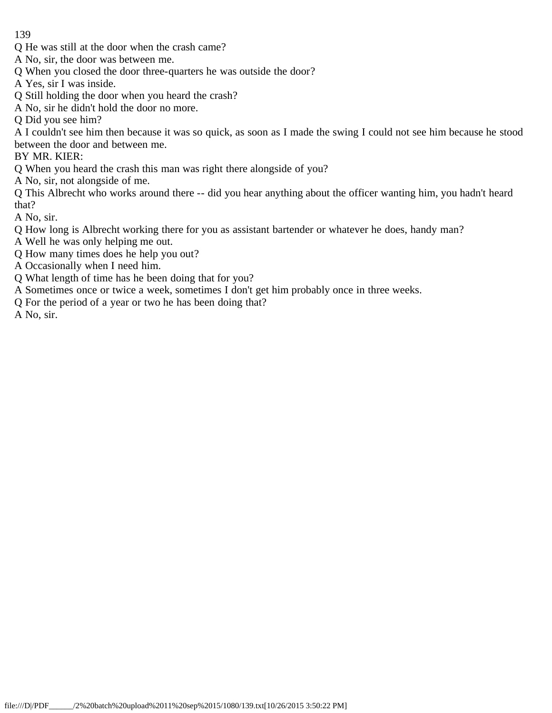- Q He was still at the door when the crash came?
- A No, sir, the door was between me.
- Q When you closed the door three-quarters he was outside the door?
- A Yes, sir I was inside.
- Q Still holding the door when you heard the crash?
- A No, sir he didn't hold the door no more.
- Q Did you see him?

A I couldn't see him then because it was so quick, as soon as I made the swing I could not see him because he stood between the door and between me.

BY MR. KIER:

Q When you heard the crash this man was right there alongside of you?

A No, sir, not alongside of me.

Q This Albrecht who works around there -- did you hear anything about the officer wanting him, you hadn't heard that?

A No, sir.

- Q How long is Albrecht working there for you as assistant bartender or whatever he does, handy man?
- A Well he was only helping me out.
- Q How many times does he help you out?
- A Occasionally when I need him.
- Q What length of time has he been doing that for you?
- A Sometimes once or twice a week, sometimes I don't get him probably once in three weeks.
- Q For the period of a year or two he has been doing that?

A No, sir.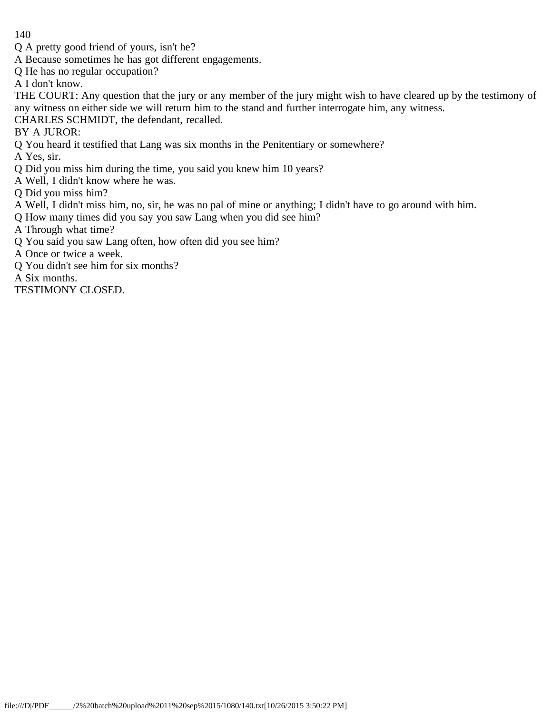- Q A pretty good friend of yours, isn't he?
- A Because sometimes he has got different engagements.
- Q He has no regular occupation?

A I don't know.

THE COURT: Any question that the jury or any member of the jury might wish to have cleared up by the testimony of any witness on either side we will return him to the stand and further interrogate him, any witness.

CHARLES SCHMIDT, the defendant, recalled.

BY A JUROR:

Q You heard it testified that Lang was six months in the Penitentiary or somewhere?

A Yes, sir.

Q Did you miss him during the time, you said you knew him 10 years?

A Well, I didn't know where he was.

- Q Did you miss him?
- A Well, I didn't miss him, no, sir, he was no pal of mine or anything; I didn't have to go around with him.
- Q How many times did you say you saw Lang when you did see him?

A Through what time?

Q You said you saw Lang often, how often did you see him?

A Once or twice a week.

Q You didn't see him for six months?

A Six months.

TESTIMONY CLOSED.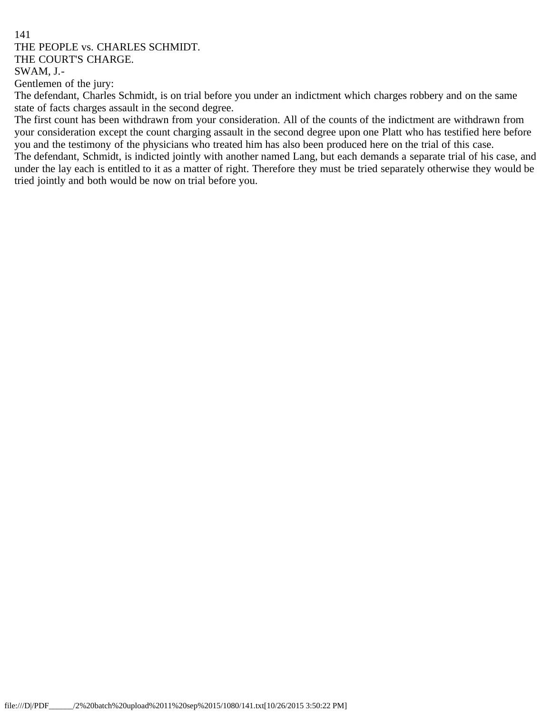#### 141 THE PEOPLE vs. CHARLES SCHMIDT. THE COURT'S CHARGE. SWAM, J.-

Gentlemen of the jury:

The defendant, Charles Schmidt, is on trial before you under an indictment which charges robbery and on the same state of facts charges assault in the second degree.

The first count has been withdrawn from your consideration. All of the counts of the indictment are withdrawn from your consideration except the count charging assault in the second degree upon one Platt who has testified here before you and the testimony of the physicians who treated him has also been produced here on the trial of this case. The defendant, Schmidt, is indicted jointly with another named Lang, but each demands a separate trial of his case, and under the lay each is entitled to it as a matter of right. Therefore they must be tried separately otherwise they would be

tried jointly and both would be now on trial before you.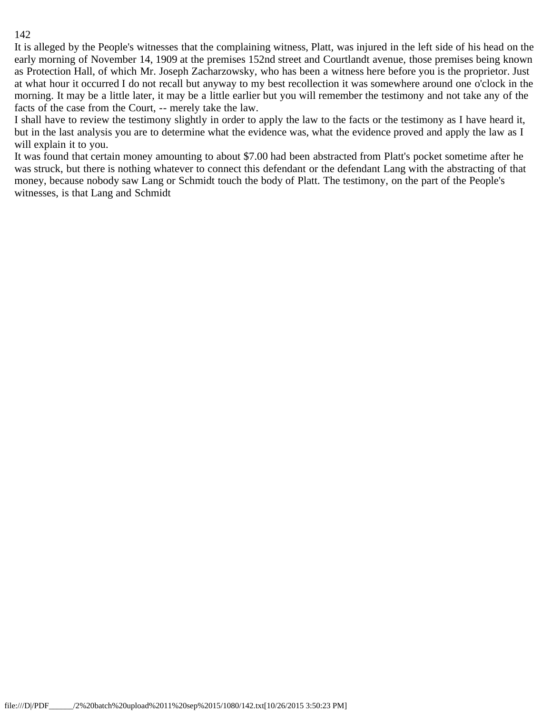It is alleged by the People's witnesses that the complaining witness, Platt, was injured in the left side of his head on the early morning of November 14, 1909 at the premises 152nd street and Courtlandt avenue, those premises being known as Protection Hall, of which Mr. Joseph Zacharzowsky, who has been a witness here before you is the proprietor. Just at what hour it occurred I do not recall but anyway to my best recollection it was somewhere around one o'clock in the morning. It may be a little later, it may be a little earlier but you will remember the testimony and not take any of the facts of the case from the Court, -- merely take the law.

I shall have to review the testimony slightly in order to apply the law to the facts or the testimony as I have heard it, but in the last analysis you are to determine what the evidence was, what the evidence proved and apply the law as I will explain it to you.

It was found that certain money amounting to about \$7.00 had been abstracted from Platt's pocket sometime after he was struck, but there is nothing whatever to connect this defendant or the defendant Lang with the abstracting of that money, because nobody saw Lang or Schmidt touch the body of Platt. The testimony, on the part of the People's witnesses, is that Lang and Schmidt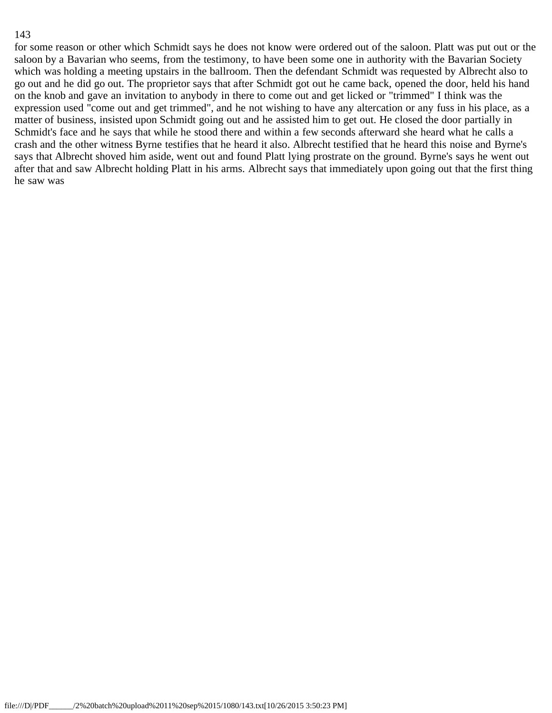for some reason or other which Schmidt says he does not know were ordered out of the saloon. Platt was put out or the saloon by a Bavarian who seems, from the testimony, to have been some one in authority with the Bavarian Society which was holding a meeting upstairs in the ballroom. Then the defendant Schmidt was requested by Albrecht also to go out and he did go out. The proprietor says that after Schmidt got out he came back, opened the door, held his hand on the knob and gave an invitation to anybody in there to come out and get licked or "trimmed" I think was the expression used "come out and get trimmed", and he not wishing to have any altercation or any fuss in his place, as a matter of business, insisted upon Schmidt going out and he assisted him to get out. He closed the door partially in Schmidt's face and he says that while he stood there and within a few seconds afterward she heard what he calls a crash and the other witness Byrne testifies that he heard it also. Albrecht testified that he heard this noise and Byrne's says that Albrecht shoved him aside, went out and found Platt lying prostrate on the ground. Byrne's says he went out after that and saw Albrecht holding Platt in his arms. Albrecht says that immediately upon going out that the first thing he saw was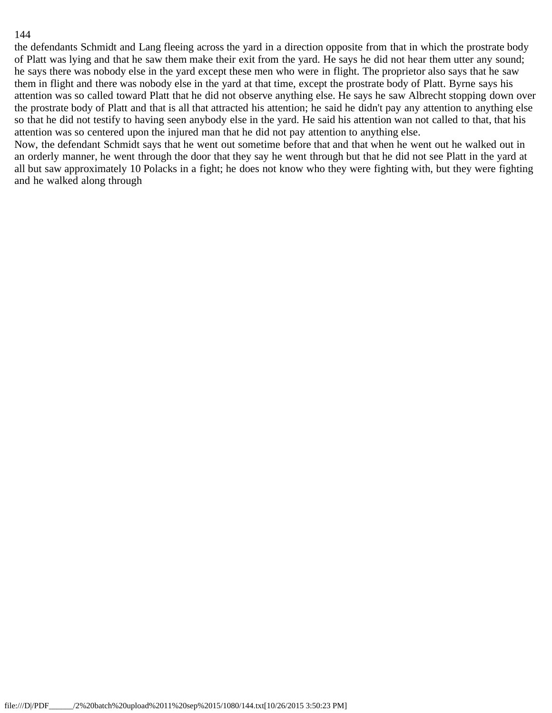the defendants Schmidt and Lang fleeing across the yard in a direction opposite from that in which the prostrate body of Platt was lying and that he saw them make their exit from the yard. He says he did not hear them utter any sound; he says there was nobody else in the yard except these men who were in flight. The proprietor also says that he saw them in flight and there was nobody else in the yard at that time, except the prostrate body of Platt. Byrne says his attention was so called toward Platt that he did not observe anything else. He says he saw Albrecht stopping down over the prostrate body of Platt and that is all that attracted his attention; he said he didn't pay any attention to anything else so that he did not testify to having seen anybody else in the yard. He said his attention wan not called to that, that his attention was so centered upon the injured man that he did not pay attention to anything else.

Now, the defendant Schmidt says that he went out sometime before that and that when he went out he walked out in an orderly manner, he went through the door that they say he went through but that he did not see Platt in the yard at all but saw approximately 10 Polacks in a fight; he does not know who they were fighting with, but they were fighting and he walked along through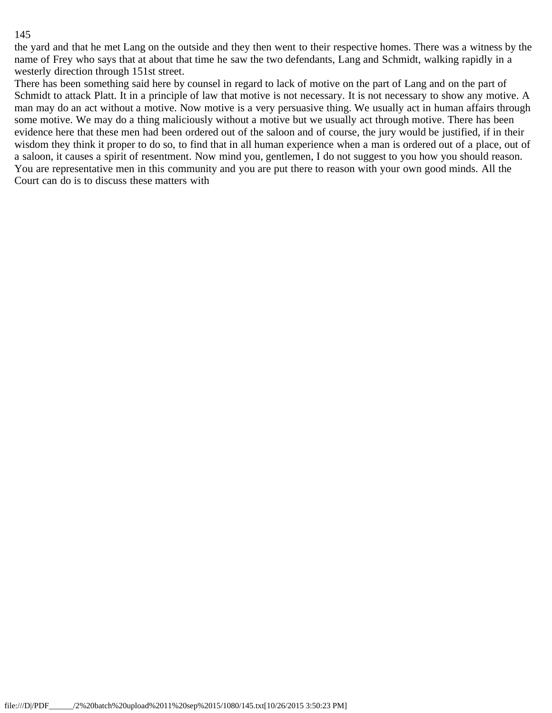the yard and that he met Lang on the outside and they then went to their respective homes. There was a witness by the name of Frey who says that at about that time he saw the two defendants, Lang and Schmidt, walking rapidly in a westerly direction through 151st street.

There has been something said here by counsel in regard to lack of motive on the part of Lang and on the part of Schmidt to attack Platt. It in a principle of law that motive is not necessary. It is not necessary to show any motive. A man may do an act without a motive. Now motive is a very persuasive thing. We usually act in human affairs through some motive. We may do a thing maliciously without a motive but we usually act through motive. There has been evidence here that these men had been ordered out of the saloon and of course, the jury would be justified, if in their wisdom they think it proper to do so, to find that in all human experience when a man is ordered out of a place, out of a saloon, it causes a spirit of resentment. Now mind you, gentlemen, I do not suggest to you how you should reason. You are representative men in this community and you are put there to reason with your own good minds. All the Court can do is to discuss these matters with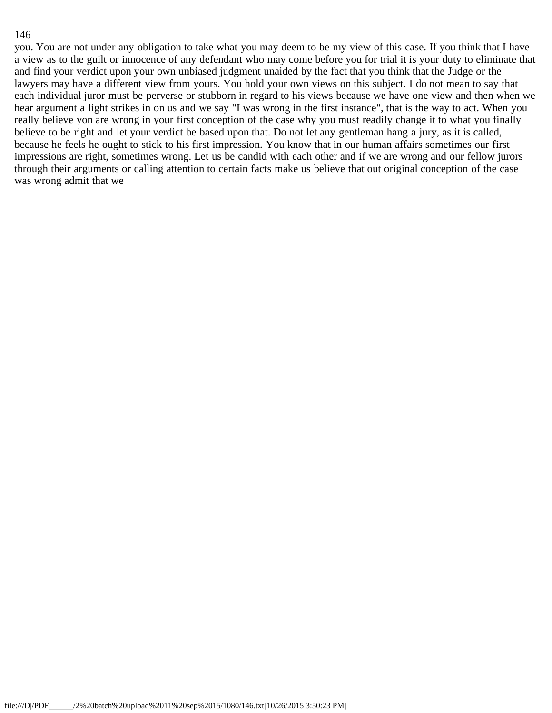you. You are not under any obligation to take what you may deem to be my view of this case. If you think that I have a view as to the guilt or innocence of any defendant who may come before you for trial it is your duty to eliminate that and find your verdict upon your own unbiased judgment unaided by the fact that you think that the Judge or the lawyers may have a different view from yours. You hold your own views on this subject. I do not mean to say that each individual juror must be perverse or stubborn in regard to his views because we have one view and then when we hear argument a light strikes in on us and we say "I was wrong in the first instance", that is the way to act. When you really believe yon are wrong in your first conception of the case why you must readily change it to what you finally believe to be right and let your verdict be based upon that. Do not let any gentleman hang a jury, as it is called, because he feels he ought to stick to his first impression. You know that in our human affairs sometimes our first impressions are right, sometimes wrong. Let us be candid with each other and if we are wrong and our fellow jurors through their arguments or calling attention to certain facts make us believe that out original conception of the case was wrong admit that we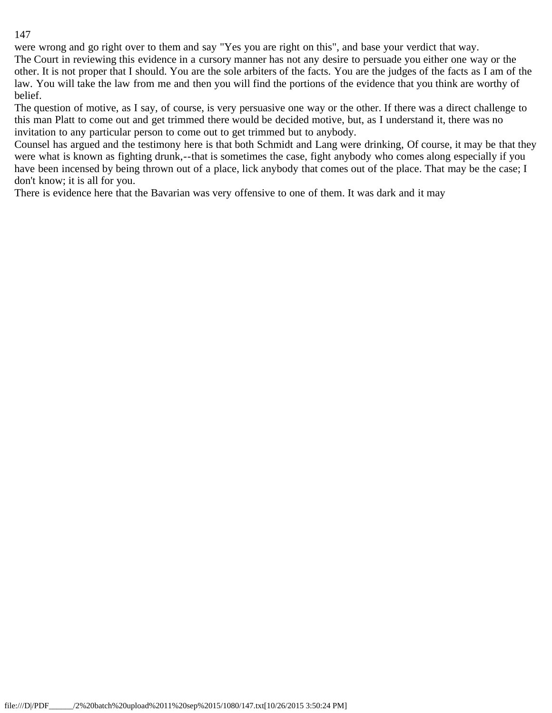were wrong and go right over to them and say "Yes you are right on this", and base your verdict that way. The Court in reviewing this evidence in a cursory manner has not any desire to persuade you either one way or the other. It is not proper that I should. You are the sole arbiters of the facts. You are the judges of the facts as I am of the law. You will take the law from me and then you will find the portions of the evidence that you think are worthy of belief.

The question of motive, as I say, of course, is very persuasive one way or the other. If there was a direct challenge to this man Platt to come out and get trimmed there would be decided motive, but, as I understand it, there was no invitation to any particular person to come out to get trimmed but to anybody.

Counsel has argued and the testimony here is that both Schmidt and Lang were drinking, Of course, it may be that they were what is known as fighting drunk,--that is sometimes the case, fight anybody who comes along especially if you have been incensed by being thrown out of a place, lick anybody that comes out of the place. That may be the case; I don't know; it is all for you.

There is evidence here that the Bavarian was very offensive to one of them. It was dark and it may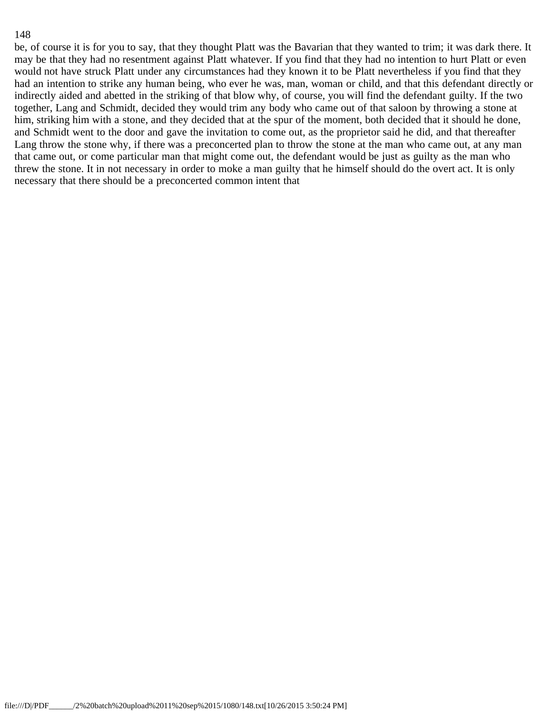be, of course it is for you to say, that they thought Platt was the Bavarian that they wanted to trim; it was dark there. It may be that they had no resentment against Platt whatever. If you find that they had no intention to hurt Platt or even would not have struck Platt under any circumstances had they known it to be Platt nevertheless if you find that they had an intention to strike any human being, who ever he was, man, woman or child, and that this defendant directly or indirectly aided and abetted in the striking of that blow why, of course, you will find the defendant guilty. If the two together, Lang and Schmidt, decided they would trim any body who came out of that saloon by throwing a stone at him, striking him with a stone, and they decided that at the spur of the moment, both decided that it should he done, and Schmidt went to the door and gave the invitation to come out, as the proprietor said he did, and that thereafter Lang throw the stone why, if there was a preconcerted plan to throw the stone at the man who came out, at any man that came out, or come particular man that might come out, the defendant would be just as guilty as the man who threw the stone. It in not necessary in order to moke a man guilty that he himself should do the overt act. It is only necessary that there should be a preconcerted common intent that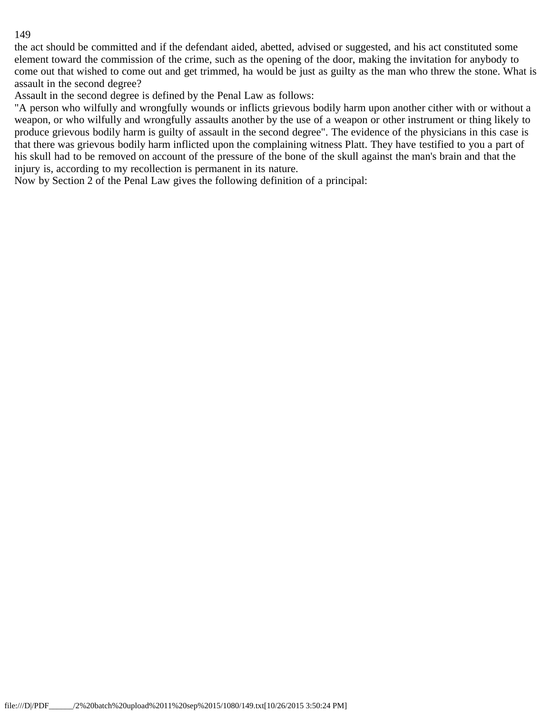the act should be committed and if the defendant aided, abetted, advised or suggested, and his act constituted some element toward the commission of the crime, such as the opening of the door, making the invitation for anybody to come out that wished to come out and get trimmed, ha would be just as guilty as the man who threw the stone. What is assault in the second degree?

Assault in the second degree is defined by the Penal Law as follows:

"A person who wilfully and wrongfully wounds or inflicts grievous bodily harm upon another cither with or without a weapon, or who wilfully and wrongfully assaults another by the use of a weapon or other instrument or thing likely to produce grievous bodily harm is guilty of assault in the second degree". The evidence of the physicians in this case is that there was grievous bodily harm inflicted upon the complaining witness Platt. They have testified to you a part of his skull had to be removed on account of the pressure of the bone of the skull against the man's brain and that the injury is, according to my recollection is permanent in its nature.

Now by Section 2 of the Penal Law gives the following definition of a principal: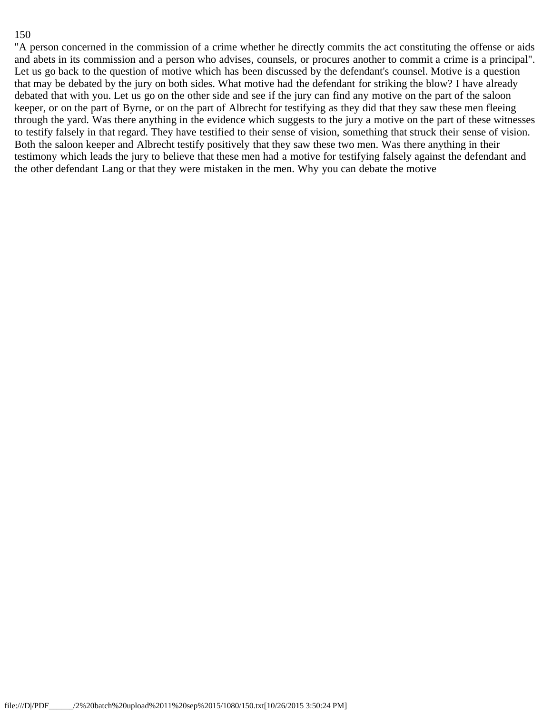"A person concerned in the commission of a crime whether he directly commits the act constituting the offense or aids and abets in its commission and a person who advises, counsels, or procures another to commit a crime is a principal". Let us go back to the question of motive which has been discussed by the defendant's counsel. Motive is a question that may be debated by the jury on both sides. What motive had the defendant for striking the blow? I have already debated that with you. Let us go on the other side and see if the jury can find any motive on the part of the saloon keeper, or on the part of Byrne, or on the part of Albrecht for testifying as they did that they saw these men fleeing through the yard. Was there anything in the evidence which suggests to the jury a motive on the part of these witnesses to testify falsely in that regard. They have testified to their sense of vision, something that struck their sense of vision. Both the saloon keeper and Albrecht testify positively that they saw these two men. Was there anything in their testimony which leads the jury to believe that these men had a motive for testifying falsely against the defendant and the other defendant Lang or that they were mistaken in the men. Why you can debate the motive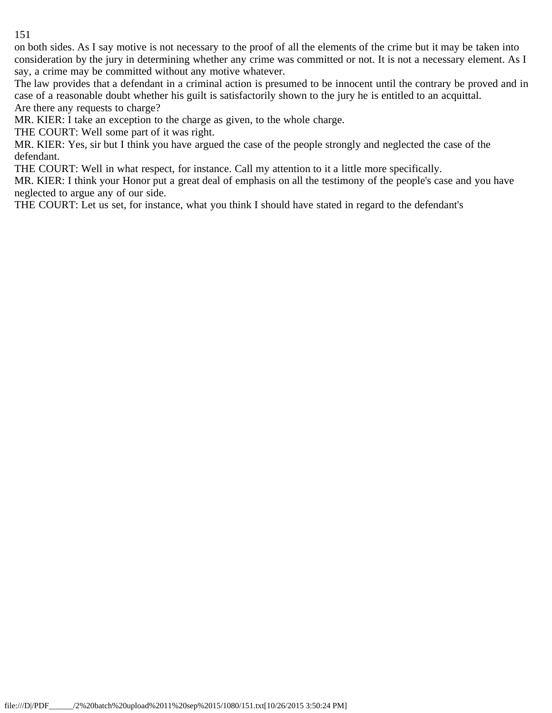on both sides. As I say motive is not necessary to the proof of all the elements of the crime but it may be taken into consideration by the jury in determining whether any crime was committed or not. It is not a necessary element. As I say, a crime may be committed without any motive whatever.

The law provides that a defendant in a criminal action is presumed to be innocent until the contrary be proved and in case of a reasonable doubt whether his guilt is satisfactorily shown to the jury he is entitled to an acquittal. Are there any requests to charge?

MR. KIER: I take an exception to the charge as given, to the whole charge.

THE COURT: Well some part of it was right.

MR. KIER: Yes, sir but I think you have argued the case of the people strongly and neglected the case of the defendant.

THE COURT: Well in what respect, for instance. Call my attention to it a little more specifically.

MR. KIER: I think your Honor put a great deal of emphasis on all the testimony of the people's case and you have neglected to argue any of our side.

THE COURT: Let us set, for instance, what you think I should have stated in regard to the defendant's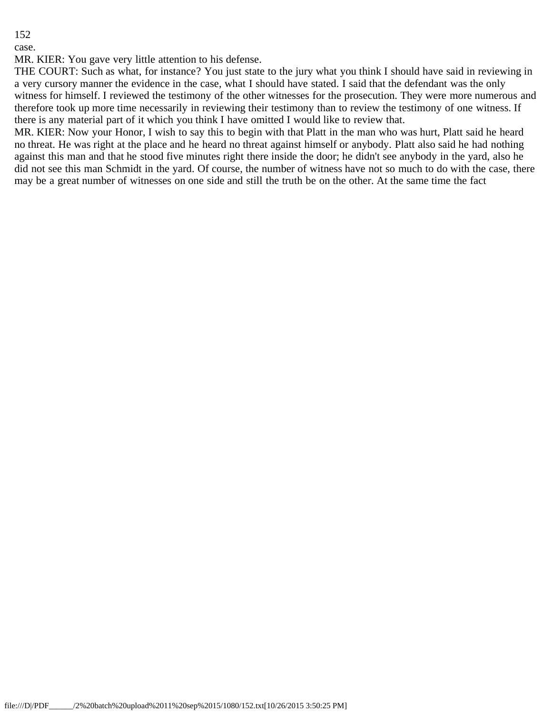case.

MR. KIER: You gave very little attention to his defense.

THE COURT: Such as what, for instance? You just state to the jury what you think I should have said in reviewing in a very cursory manner the evidence in the case, what I should have stated. I said that the defendant was the only witness for himself. I reviewed the testimony of the other witnesses for the prosecution. They were more numerous and therefore took up more time necessarily in reviewing their testimony than to review the testimony of one witness. If there is any material part of it which you think I have omitted I would like to review that.

MR. KIER: Now your Honor, I wish to say this to begin with that Platt in the man who was hurt, Platt said he heard no threat. He was right at the place and he heard no threat against himself or anybody. Platt also said he had nothing against this man and that he stood five minutes right there inside the door; he didn't see anybody in the yard, also he did not see this man Schmidt in the yard. Of course, the number of witness have not so much to do with the case, there may be a great number of witnesses on one side and still the truth be on the other. At the same time the fact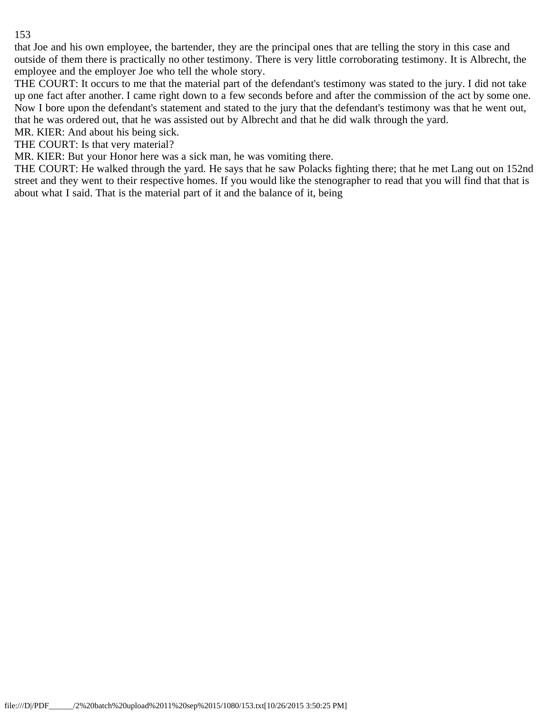that Joe and his own employee, the bartender, they are the principal ones that are telling the story in this case and outside of them there is practically no other testimony. There is very little corroborating testimony. It is Albrecht, the employee and the employer Joe who tell the whole story.

THE COURT: It occurs to me that the material part of the defendant's testimony was stated to the jury. I did not take up one fact after another. I came right down to a few seconds before and after the commission of the act by some one. Now I bore upon the defendant's statement and stated to the jury that the defendant's testimony was that he went out, that he was ordered out, that he was assisted out by Albrecht and that he did walk through the yard.

MR. KIER: And about his being sick.

THE COURT: Is that very material?

MR. KIER: But your Honor here was a sick man, he was vomiting there.

THE COURT: He walked through the yard. He says that he saw Polacks fighting there; that he met Lang out on 152nd street and they went to their respective homes. If you would like the stenographer to read that you will find that that is about what I said. That is the material part of it and the balance of it, being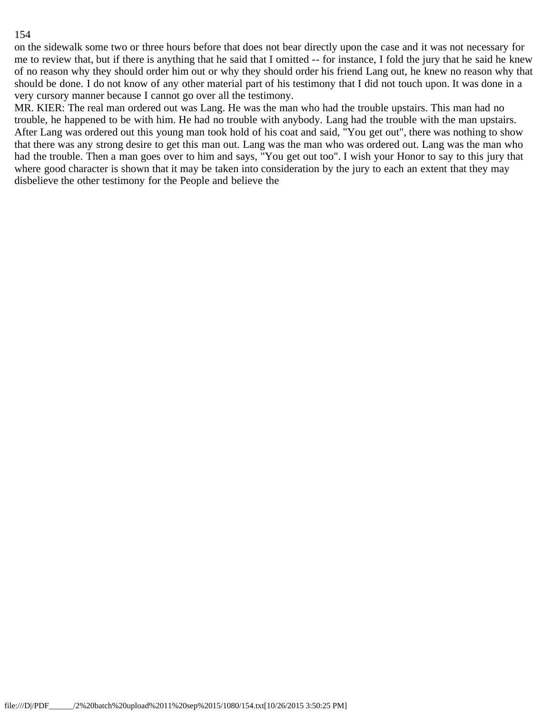on the sidewalk some two or three hours before that does not bear directly upon the case and it was not necessary for me to review that, but if there is anything that he said that I omitted -- for instance, I fold the jury that he said he knew of no reason why they should order him out or why they should order his friend Lang out, he knew no reason why that should be done. I do not know of any other material part of his testimony that I did not touch upon. It was done in a very cursory manner because I cannot go over all the testimony.

MR. KIER: The real man ordered out was Lang. He was the man who had the trouble upstairs. This man had no trouble, he happened to be with him. He had no trouble with anybody. Lang had the trouble with the man upstairs. After Lang was ordered out this young man took hold of his coat and said, "You get out", there was nothing to show that there was any strong desire to get this man out. Lang was the man who was ordered out. Lang was the man who had the trouble. Then a man goes over to him and says, "You get out too". I wish your Honor to say to this jury that where good character is shown that it may be taken into consideration by the jury to each an extent that they may disbelieve the other testimony for the People and believe the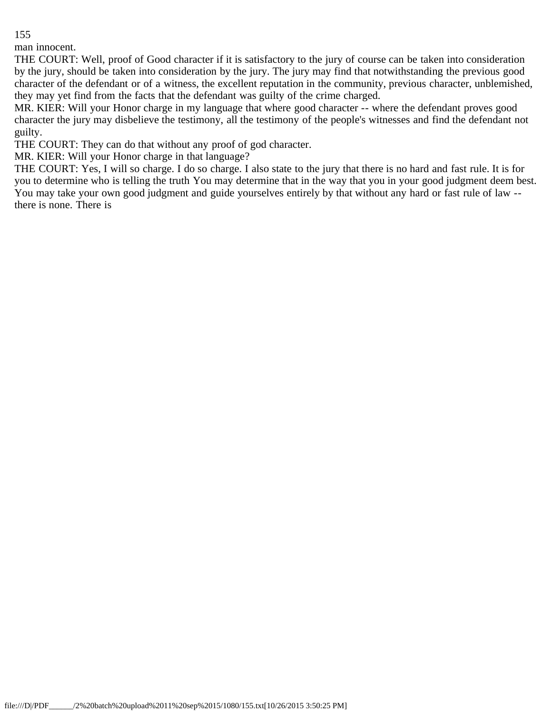man innocent.

THE COURT: Well, proof of Good character if it is satisfactory to the jury of course can be taken into consideration by the jury, should be taken into consideration by the jury. The jury may find that notwithstanding the previous good character of the defendant or of a witness, the excellent reputation in the community, previous character, unblemished, they may yet find from the facts that the defendant was guilty of the crime charged.

MR. KIER: Will your Honor charge in my language that where good character -- where the defendant proves good character the jury may disbelieve the testimony, all the testimony of the people's witnesses and find the defendant not guilty.

THE COURT: They can do that without any proof of god character.

MR. KIER: Will your Honor charge in that language?

THE COURT: Yes, I will so charge. I do so charge. I also state to the jury that there is no hard and fast rule. It is for you to determine who is telling the truth You may determine that in the way that you in your good judgment deem best. You may take your own good judgment and guide yourselves entirely by that without any hard or fast rule of law - there is none. There is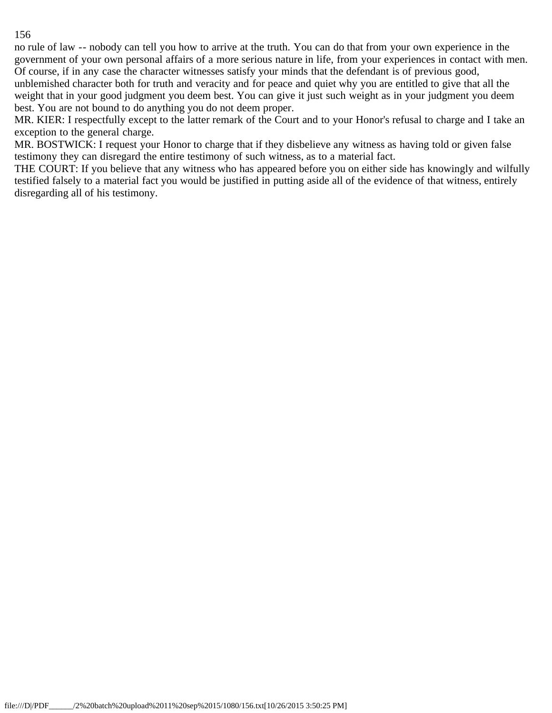no rule of law -- nobody can tell you how to arrive at the truth. You can do that from your own experience in the government of your own personal affairs of a more serious nature in life, from your experiences in contact with men. Of course, if in any case the character witnesses satisfy your minds that the defendant is of previous good,

unblemished character both for truth and veracity and for peace and quiet why you are entitled to give that all the weight that in your good judgment you deem best. You can give it just such weight as in your judgment you deem best. You are not bound to do anything you do not deem proper.

MR. KIER: I respectfully except to the latter remark of the Court and to your Honor's refusal to charge and I take an exception to the general charge.

MR. BOSTWICK: I request your Honor to charge that if they disbelieve any witness as having told or given false testimony they can disregard the entire testimony of such witness, as to a material fact.

THE COURT: If you believe that any witness who has appeared before you on either side has knowingly and wilfully testified falsely to a material fact you would be justified in putting aside all of the evidence of that witness, entirely disregarding all of his testimony.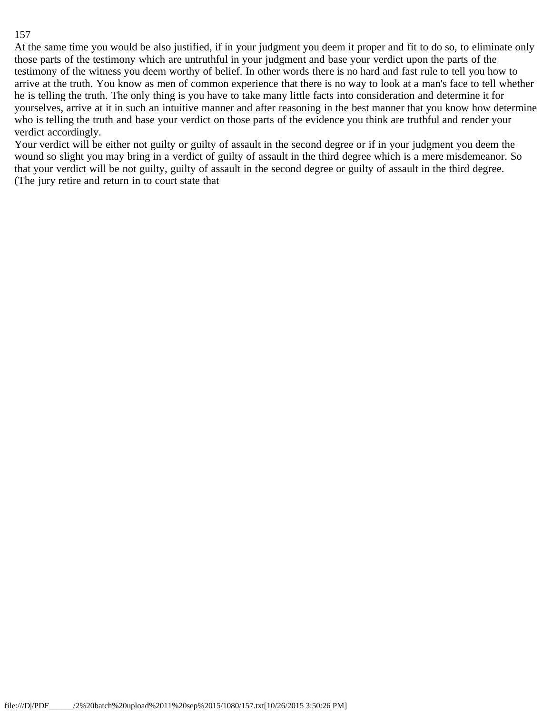At the same time you would be also justified, if in your judgment you deem it proper and fit to do so, to eliminate only those parts of the testimony which are untruthful in your judgment and base your verdict upon the parts of the testimony of the witness you deem worthy of belief. In other words there is no hard and fast rule to tell you how to arrive at the truth. You know as men of common experience that there is no way to look at a man's face to tell whether he is telling the truth. The only thing is you have to take many little facts into consideration and determine it for yourselves, arrive at it in such an intuitive manner and after reasoning in the best manner that you know how determine who is telling the truth and base your verdict on those parts of the evidence you think are truthful and render your verdict accordingly.

Your verdict will be either not guilty or guilty of assault in the second degree or if in your judgment you deem the wound so slight you may bring in a verdict of guilty of assault in the third degree which is a mere misdemeanor. So that your verdict will be not guilty, guilty of assault in the second degree or guilty of assault in the third degree. (The jury retire and return in to court state that